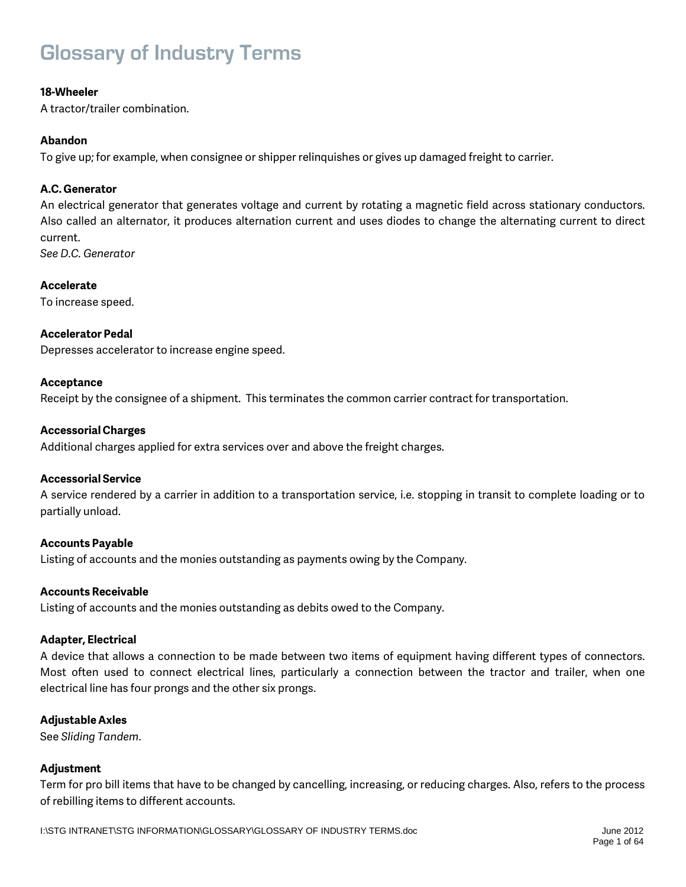# **Glossary of Industry Terms**

### **18-Wheeler**

A tractor/trailer combination.

### **Abandon**

To give up; for example, when consignee or shipper relinquishes or gives up damaged freight to carrier.

### **A.C. Generator**

An electrical generator that generates voltage and current by rotating a magnetic field across stationary conductors. Also called an alternator, it produces alternation current and uses diodes to change the alternating current to direct current.

*See D.C. Generator*

### **Accelerate**

To increase speed.

### **Accelerator Pedal**

Depresses accelerator to increase engine speed.

### **Acceptance**

Receipt by the consignee of a shipment. This terminates the common carrier contract for transportation.

### **Accessorial Charges**

Additional charges applied for extra services over and above the freight charges.

### **Accessorial Service**

A service rendered by a carrier in addition to a transportation service, i.e. stopping in transit to complete loading or to partially unload.

### **Accounts Payable**

Listing of accounts and the monies outstanding as payments owing by the Company.

### **Accounts Receivable**

Listing of accounts and the monies outstanding as debits owed to the Company.

### **Adapter, Electrical**

A device that allows a connection to be made between two items of equipment having different types of connectors. Most often used to connect electrical lines, particularly a connection between the tractor and trailer, when one electrical line has four prongs and the other six prongs.

### **Adjustable Axles**

See *Sliding Tandem*.

### **Adjustment**

Term for pro bill items that have to be changed by cancelling, increasing, or reducing charges. Also, refers to the process of rebilling items to different accounts.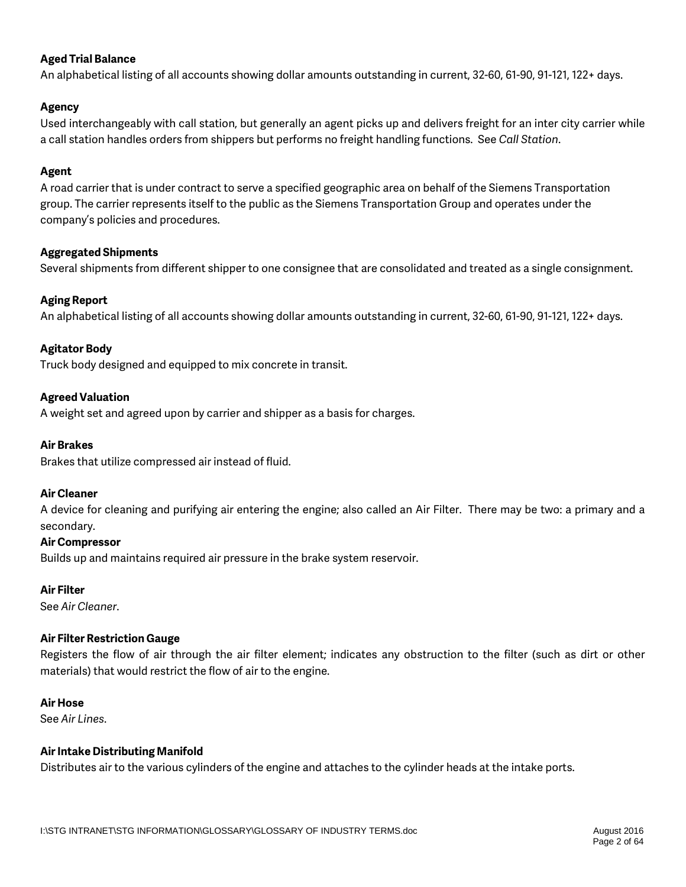### **Aged Trial Balance**

An alphabetical listing of all accounts showing dollar amounts outstanding in current, 32-60, 61-90, 91-121, 122+ days.

### **Agency**

Used interchangeably with call station, but generally an agent picks up and delivers freight for an inter city carrier while a call station handles orders from shippers but performs no freight handling functions. See *Call Station*.

### **Agent**

A road carrier that is under contract to serve a specified geographic area on behalf of the Siemens Transportation group. The carrier represents itself to the public as the Siemens Transportation Group and operates under the company's policies and procedures.

### **Aggregated Shipments**

Several shipments from different shipper to one consignee that are consolidated and treated as a single consignment.

### **Aging Report**

An alphabetical listing of all accounts showing dollar amounts outstanding in current, 32-60, 61-90, 91-121, 122+ days.

### **Agitator Body**

Truck body designed and equipped to mix concrete in transit.

### **Agreed Valuation**

A weight set and agreed upon by carrier and shipper as a basis for charges.

#### **Air Brakes**

Brakes that utilize compressed air instead of fluid.

#### **Air Cleaner**

A device for cleaning and purifying air entering the engine; also called an Air Filter. There may be two: a primary and a secondary.

#### **Air Compressor**

Builds up and maintains required air pressure in the brake system reservoir.

### **Air Filter**

See *Air Cleaner*.

### **Air Filter Restriction Gauge**

Registers the flow of air through the air filter element; indicates any obstruction to the filter (such as dirt or other materials) that would restrict the flow of air to the engine.

#### **Air Hose**

See *Air Lines*.

### **Air Intake Distributing Manifold**

Distributes air to the various cylinders of the engine and attaches to the cylinder heads at the intake ports.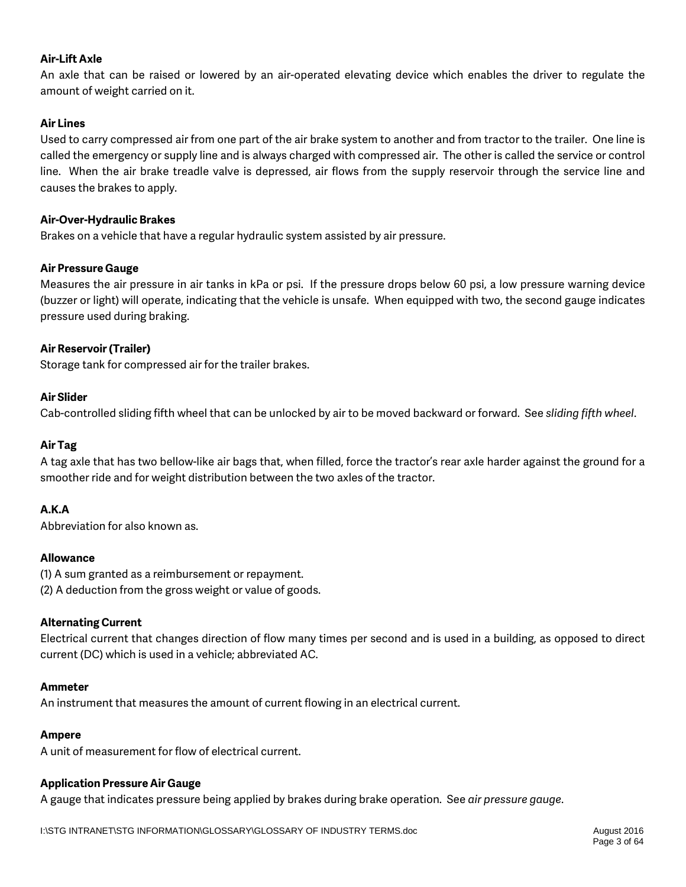### **Air-Lift Axle**

An axle that can be raised or lowered by an air-operated elevating device which enables the driver to regulate the amount of weight carried on it.

### **Air Lines**

Used to carry compressed air from one part of the air brake system to another and from tractor to the trailer. One line is called the emergency or supply line and is always charged with compressed air. The other is called the service or control line. When the air brake treadle valve is depressed, air flows from the supply reservoir through the service line and causes the brakes to apply.

### **Air-Over-Hydraulic Brakes**

Brakes on a vehicle that have a regular hydraulic system assisted by air pressure.

### **Air Pressure Gauge**

Measures the air pressure in air tanks in kPa or psi. If the pressure drops below 60 psi, a low pressure warning device (buzzer or light) will operate, indicating that the vehicle is unsafe. When equipped with two, the second gauge indicates pressure used during braking.

### **Air Reservoir (Trailer)**

Storage tank for compressed air for the trailer brakes.

### **Air Slider**

Cab-controlled sliding fifth wheel that can be unlocked by air to be moved backward or forward. See *sliding fifth wheel*.

### **Air Tag**

A tag axle that has two bellow-like air bags that, when filled, force the tractor's rear axle harder against the ground for a smoother ride and for weight distribution between the two axles of the tractor.

### **A.K.A**

Abbreviation for also known as.

### **Allowance**

(1) A sum granted as a reimbursement or repayment. (2) A deduction from the gross weight or value of goods.

### **Alternating Current**

Electrical current that changes direction of flow many times per second and is used in a building, as opposed to direct current (DC) which is used in a vehicle; abbreviated AC.

### **Ammeter**

An instrument that measures the amount of current flowing in an electrical current.

### **Ampere**

A unit of measurement for flow of electrical current.

### **Application Pressure Air Gauge**

A gauge that indicates pressure being applied by brakes during brake operation. See *air pressure gauge*.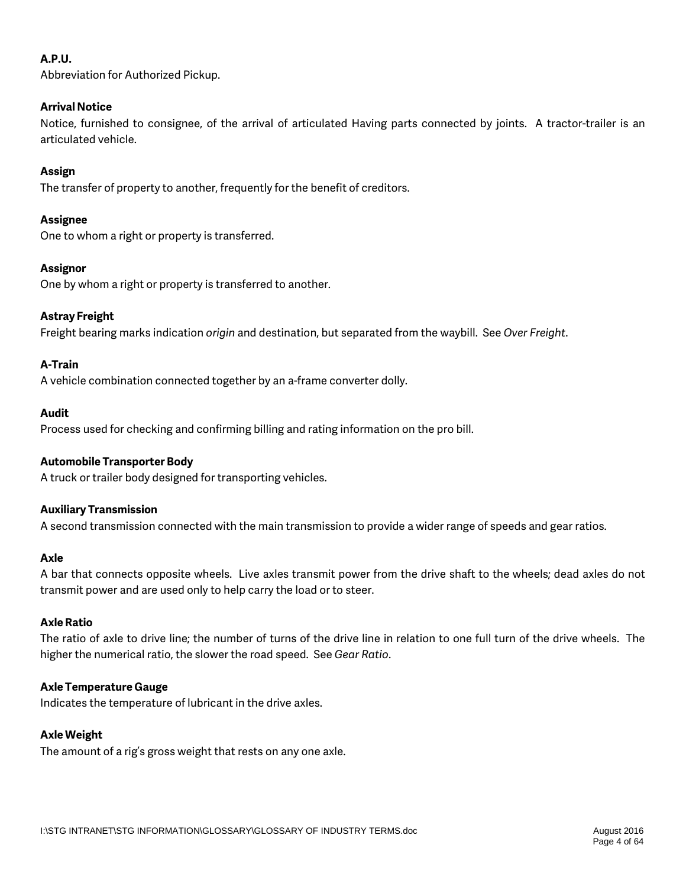### **A.P.U.**

Abbreviation for Authorized Pickup.

### **Arrival Notice**

Notice, furnished to consignee, of the arrival of articulated Having parts connected by joints. A tractor-trailer is an articulated vehicle.

### **Assign**

The transfer of property to another, frequently for the benefit of creditors.

### **Assignee**

One to whom a right or property is transferred.

### **Assignor**

One by whom a right or property is transferred to another.

### **Astray Freight**

Freight bearing marks indication *origin* and destination, but separated from the waybill. See *Over Freight*.

### **A-Train**

A vehicle combination connected together by an a-frame converter dolly.

### **Audit**

Process used for checking and confirming billing and rating information on the pro bill.

### **Automobile Transporter Body**

A truck or trailer body designed for transporting vehicles.

### **Auxiliary Transmission**

A second transmission connected with the main transmission to provide a wider range of speeds and gear ratios.

### **Axle**

A bar that connects opposite wheels. Live axles transmit power from the drive shaft to the wheels; dead axles do not transmit power and are used only to help carry the load or to steer.

### **Axle Ratio**

The ratio of axle to drive line; the number of turns of the drive line in relation to one full turn of the drive wheels. The higher the numerical ratio, the slower the road speed. See *Gear Ratio*.

### **Axle Temperature Gauge**

Indicates the temperature of lubricant in the drive axles.

### **Axle Weight**

The amount of a rig's gross weight that rests on any one axle.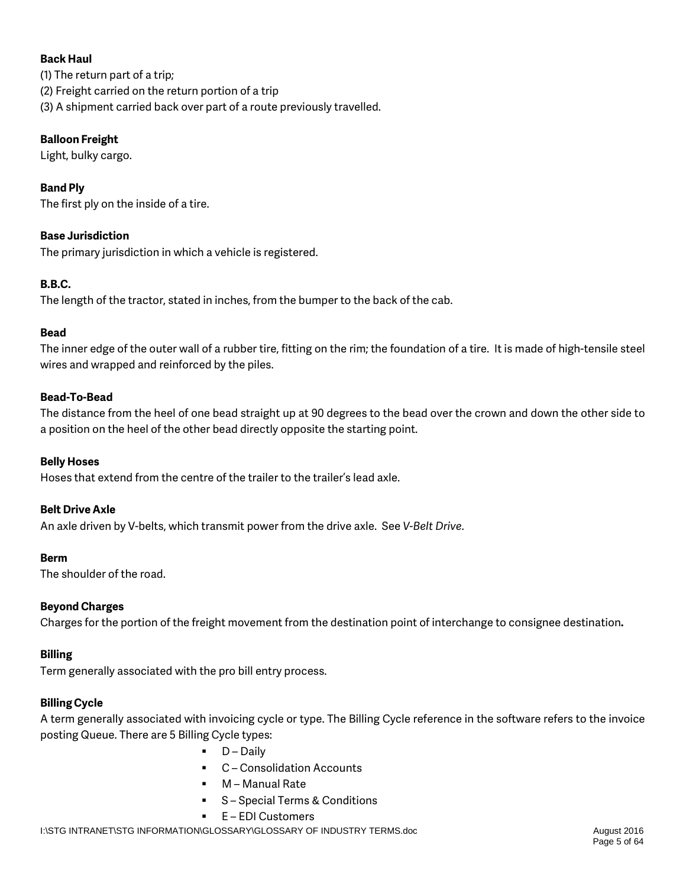### **Back Haul**

(1) The return part of a trip; (2) Freight carried on the return portion of a trip (3) A shipment carried back over part of a route previously travelled.

### **Balloon Freight**

Light, bulky cargo.

### **Band Ply**

The first ply on the inside of a tire.

### **Base Jurisdiction**

The primary jurisdiction in which a vehicle is registered.

### **B.B.C.**

The length of the tractor, stated in inches, from the bumper to the back of the cab.

### **Bead**

The inner edge of the outer wall of a rubber tire, fitting on the rim; the foundation of a tire. It is made of high-tensile steel wires and wrapped and reinforced by the piles.

### **Bead-To-Bead**

The distance from the heel of one bead straight up at 90 degrees to the bead over the crown and down the other side to a position on the heel of the other bead directly opposite the starting point.

### **Belly Hoses**

Hoses that extend from the centre of the trailer to the trailer's lead axle.

### **Belt Drive Axle**

An axle driven by V-belts, which transmit power from the drive axle. See *V-Belt Drive*.

### **Berm**

The shoulder of the road.

### **Beyond Charges**

Charges for the portion of the freight movement from the destination point of interchange to consignee destination**.**

### **Billing**

Term generally associated with the pro bill entry process.

### **Billing Cycle**

A term generally associated with invoicing cycle or type. The Billing Cycle reference in the software refers to the invoice posting Queue. There are 5 Billing Cycle types:

- D Daily
- C-Consolidation Accounts
- M Manual Rate
- S Special Terms & Conditions
- E EDI Customers

I:\STG INTRANET\STG INFORMATION\GLOSSARY\GLOSSARY OF INDUSTRY TERMS.doc August 2016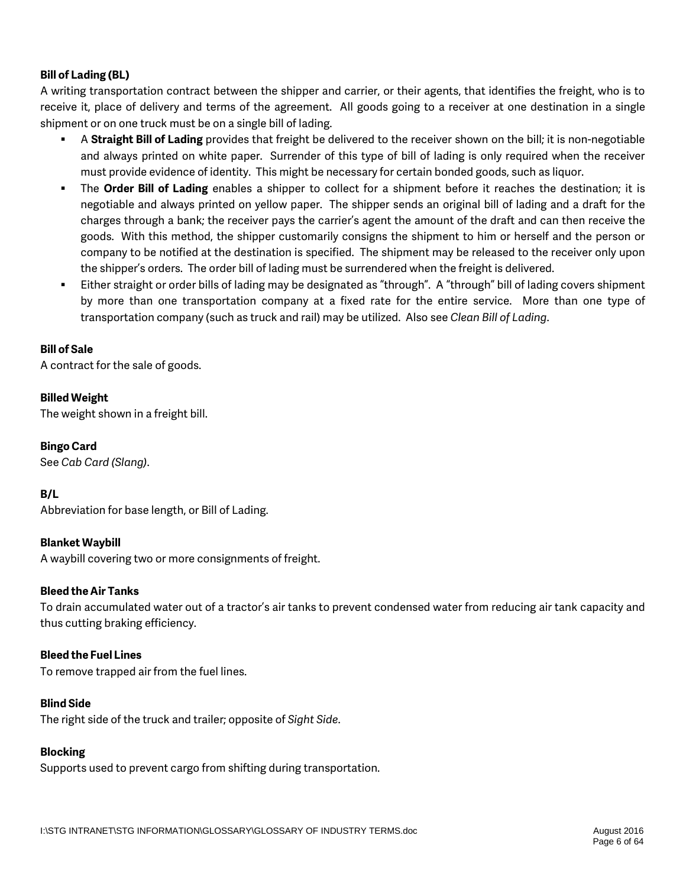### **Bill of Lading (BL)**

A writing transportation contract between the shipper and carrier, or their agents, that identifies the freight, who is to receive it, place of delivery and terms of the agreement. All goods going to a receiver at one destination in a single shipment or on one truck must be on a single bill of lading.

- A **Straight Bill of Lading** provides that freight be delivered to the receiver shown on the bill; it is non-negotiable and always printed on white paper. Surrender of this type of bill of lading is only required when the receiver must provide evidence of identity. This might be necessary for certain bonded goods, such as liquor.
- The **Order Bill of Lading** enables a shipper to collect for a shipment before it reaches the destination; it is negotiable and always printed on yellow paper. The shipper sends an original bill of lading and a draft for the charges through a bank; the receiver pays the carrier's agent the amount of the draft and can then receive the goods. With this method, the shipper customarily consigns the shipment to him or herself and the person or company to be notified at the destination is specified. The shipment may be released to the receiver only upon the shipper's orders. The order bill of lading must be surrendered when the freight is delivered.
- Either straight or order bills of lading may be designated as "through". A "through" bill of lading covers shipment by more than one transportation company at a fixed rate for the entire service. More than one type of transportation company (such as truck and rail) may be utilized. Also see *Clean Bill of Lading*.

### **Bill of Sale**

A contract for the sale of goods.

### **Billed Weight**

The weight shown in a freight bill.

### **Bingo Card**

See *Cab Card (Slang)*.

### **B/L**

Abbreviation for base length, or Bill of Lading.

### **Blanket Waybill**

A waybill covering two or more consignments of freight.

### **Bleed the Air Tanks**

To drain accumulated water out of a tractor's air tanks to prevent condensed water from reducing air tank capacity and thus cutting braking efficiency.

### **Bleed the Fuel Lines**

To remove trapped air from the fuel lines.

### **Blind Side**

The right side of the truck and trailer; opposite of *Sight Side*.

### **Blocking**

Supports used to prevent cargo from shifting during transportation.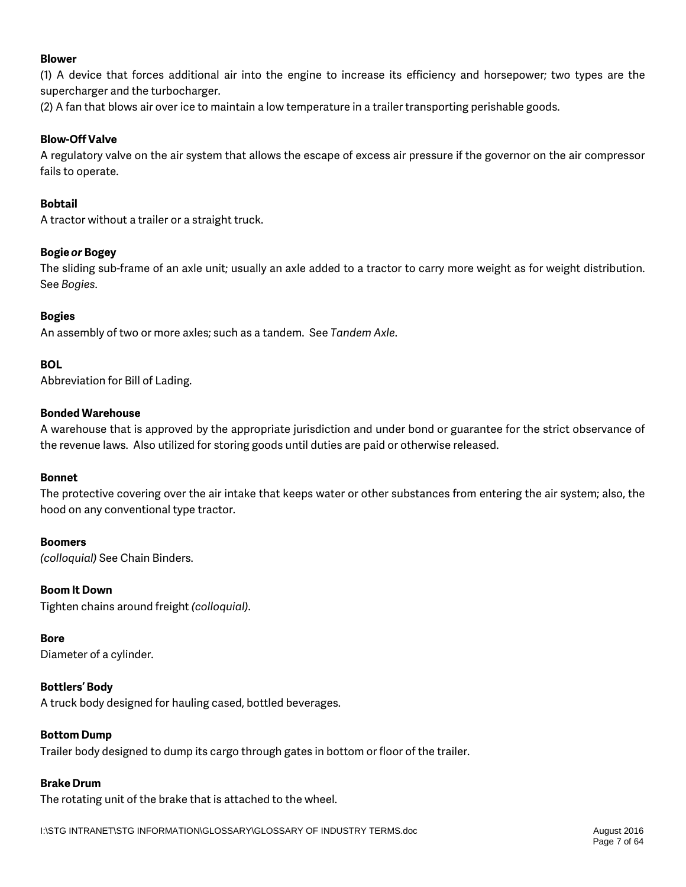### **Blower**

(1) A device that forces additional air into the engine to increase its efficiency and horsepower; two types are the supercharger and the turbocharger.

(2) A fan that blows air over ice to maintain a low temperature in a trailer transporting perishable goods.

### **Blow-Off Valve**

A regulatory valve on the air system that allows the escape of excess air pressure if the governor on the air compressor fails to operate.

### **Bobtail**

A tractor without a trailer or a straight truck.

### **Bogie** *or* **Bogey**

The sliding sub-frame of an axle unit; usually an axle added to a tractor to carry more weight as for weight distribution. See *Bogies*.

### **Bogies**

An assembly of two or more axles; such as a tandem. See *Tandem Axle*.

### **BOL**

Abbreviation for Bill of Lading.

### **Bonded Warehouse**

A warehouse that is approved by the appropriate jurisdiction and under bond or guarantee for the strict observance of the revenue laws. Also utilized for storing goods until duties are paid or otherwise released.

### **Bonnet**

The protective covering over the air intake that keeps water or other substances from entering the air system; also, the hood on any conventional type tractor.

### **Boomers**

*(colloquial)* See Chain Binders.

### **Boom It Down**

Tighten chains around freight *(colloquial)*.

### **Bore**

Diameter of a cylinder.

### **Bottlers' Body**

A truck body designed for hauling cased, bottled beverages.

### **Bottom Dump**

Trailer body designed to dump its cargo through gates in bottom or floor of the trailer.

### **Brake Drum**

The rotating unit of the brake that is attached to the wheel.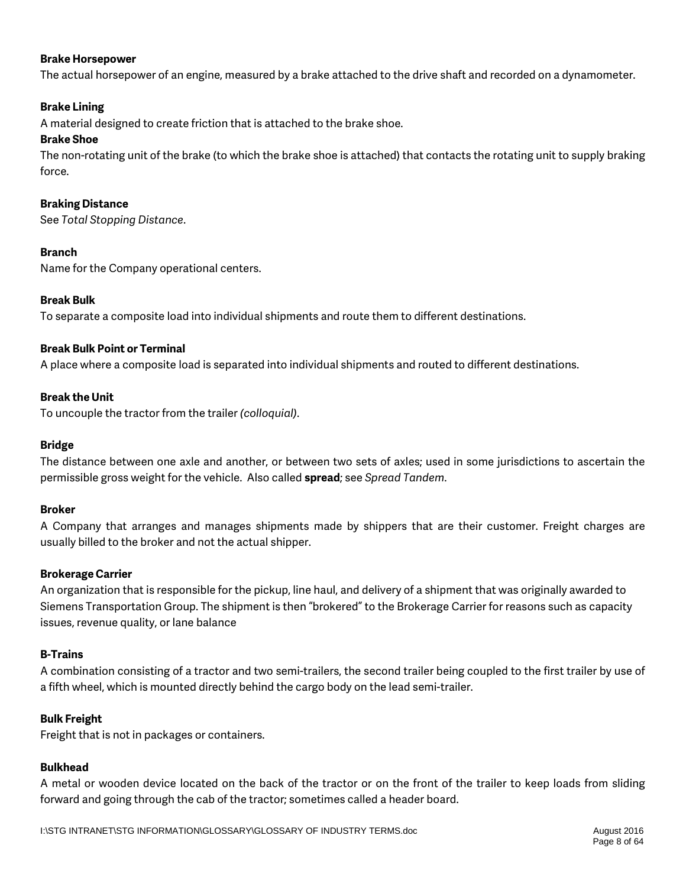### **Brake Horsepower**

The actual horsepower of an engine, measured by a brake attached to the drive shaft and recorded on a dynamometer.

### **Brake Lining**

A material designed to create friction that is attached to the brake shoe.

### **Brake Shoe**

The non-rotating unit of the brake (to which the brake shoe is attached) that contacts the rotating unit to supply braking force.

### **Braking Distance**

See *Total Stopping Distance*.

### **Branch**

Name for the Company operational centers.

### **Break Bulk**

To separate a composite load into individual shipments and route them to different destinations.

### **Break Bulk Point or Terminal**

A place where a composite load is separated into individual shipments and routed to different destinations.

### **Break the Unit**

To uncouple the tractor from the trailer *(colloquial)*.

### **Bridge**

The distance between one axle and another, or between two sets of axles; used in some jurisdictions to ascertain the permissible gross weight for the vehicle. Also called **spread**; see *Spread Tandem*.

### **Broker**

A Company that arranges and manages shipments made by shippers that are their customer. Freight charges are usually billed to the broker and not the actual shipper.

### **Brokerage Carrier**

An organization that is responsible for the pickup, line haul, and delivery of a shipment that was originally awarded to Siemens Transportation Group. The shipment is then "brokered" to the Brokerage Carrier for reasons such as capacity issues, revenue quality, or lane balance

### **B-Trains**

A combination consisting of a tractor and two semi-trailers, the second trailer being coupled to the first trailer by use of a fifth wheel, which is mounted directly behind the cargo body on the lead semi-trailer.

### **Bulk Freight**

Freight that is not in packages or containers.

### **Bulkhead**

A metal or wooden device located on the back of the tractor or on the front of the trailer to keep loads from sliding forward and going through the cab of the tractor; sometimes called a header board.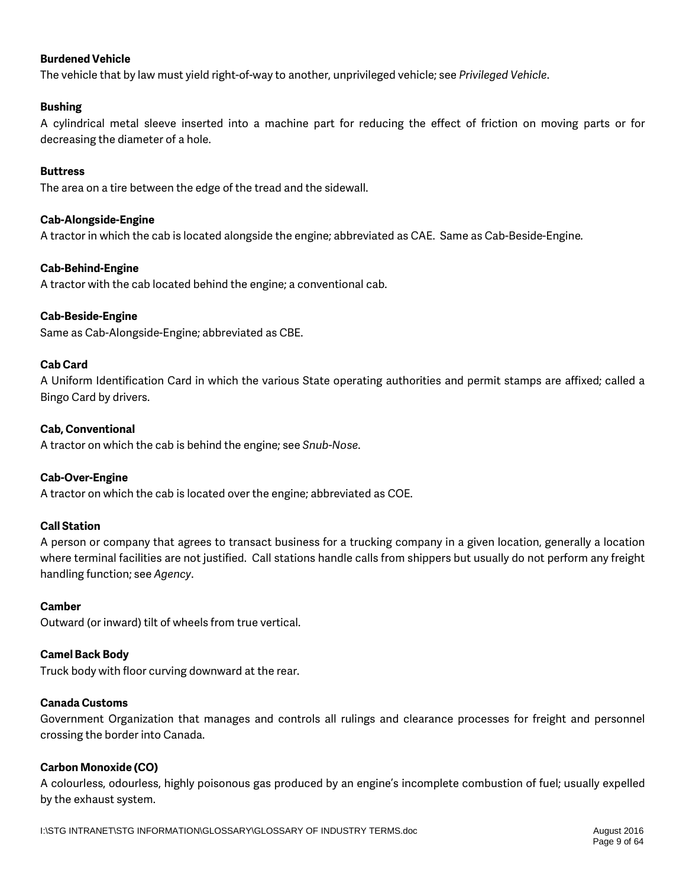### **Burdened Vehicle**

The vehicle that by law must yield right-of-way to another, unprivileged vehicle; see *Privileged Vehicle*.

### **Bushing**

A cylindrical metal sleeve inserted into a machine part for reducing the effect of friction on moving parts or for decreasing the diameter of a hole.

### **Buttress**

The area on a tire between the edge of the tread and the sidewall.

### **Cab-Alongside-Engine**

A tractor in which the cab is located alongside the engine; abbreviated as CAE. Same as Cab-Beside-Engine*.*

### **Cab-Behind-Engine**

A tractor with the cab located behind the engine; a conventional cab.

#### **Cab-Beside-Engine**

Same as Cab-Alongside-Engine; abbreviated as CBE.

### **Cab Card**

A Uniform Identification Card in which the various State operating authorities and permit stamps are affixed; called a Bingo Card by drivers.

#### **Cab, Conventional**

A tractor on which the cab is behind the engine; see *Snub-Nose*.

### **Cab-Over-Engine**

A tractor on which the cab is located over the engine; abbreviated as COE.

### **Call Station**

A person or company that agrees to transact business for a trucking company in a given location, generally a location where terminal facilities are not justified. Call stations handle calls from shippers but usually do not perform any freight handling function; see *Agency*.

### **Camber**

Outward (or inward) tilt of wheels from true vertical.

### **Camel Back Body**

Truck body with floor curving downward at the rear.

#### **Canada Customs**

Government Organization that manages and controls all rulings and clearance processes for freight and personnel crossing the border into Canada.

#### **Carbon Monoxide (CO)**

A colourless, odourless, highly poisonous gas produced by an engine's incomplete combustion of fuel; usually expelled by the exhaust system.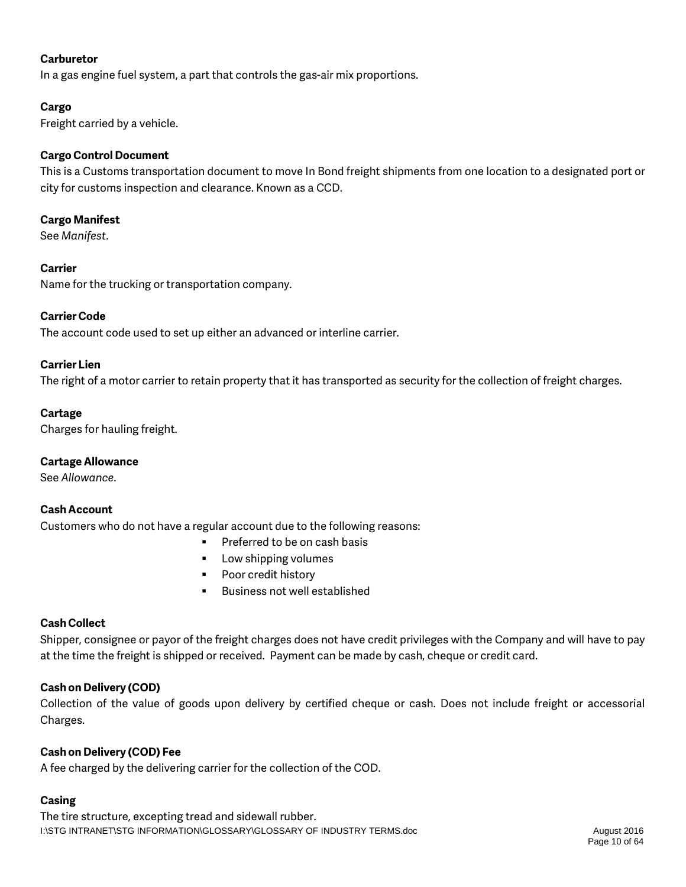### **Carburetor**

In a gas engine fuel system, a part that controls the gas-air mix proportions.

### **Cargo**

Freight carried by a vehicle.

### **Cargo Control Document**

This is a Customs transportation document to move In Bond freight shipments from one location to a designated port or city for customs inspection and clearance. Known as a CCD.

### **Cargo Manifest**

See *Manifest*.

### **Carrier**

Name for the trucking or transportation company.

### **Carrier Code**

The account code used to set up either an advanced or interline carrier.

#### **Carrier Lien**

The right of a motor carrier to retain property that it has transported as security for the collection of freight charges.

### **Cartage**

Charges for hauling freight.

### **Cartage Allowance**

See *Allowance*.

### **Cash Account**

Customers who do not have a regular account due to the following reasons:

- **Preferred to be on cash basis**
- Low shipping volumes
- **•** Poor credit history
- **Business not well established**

### **Cash Collect**

Shipper, consignee or payor of the freight charges does not have credit privileges with the Company and will have to pay at the time the freight is shipped or received. Payment can be made by cash, cheque or credit card.

### **Cash on Delivery (COD)**

Collection of the value of goods upon delivery by certified cheque or cash. Does not include freight or accessorial Charges.

### **Cash on Delivery (COD) Fee**

A fee charged by the delivering carrier for the collection of the COD.

### **Casing**

I:\STG INTRANET\STG INFORMATION\GLOSSARY\GLOSSARY OF INDUSTRY TERMS.doc August 2016 The tire structure, excepting tread and sidewall rubber.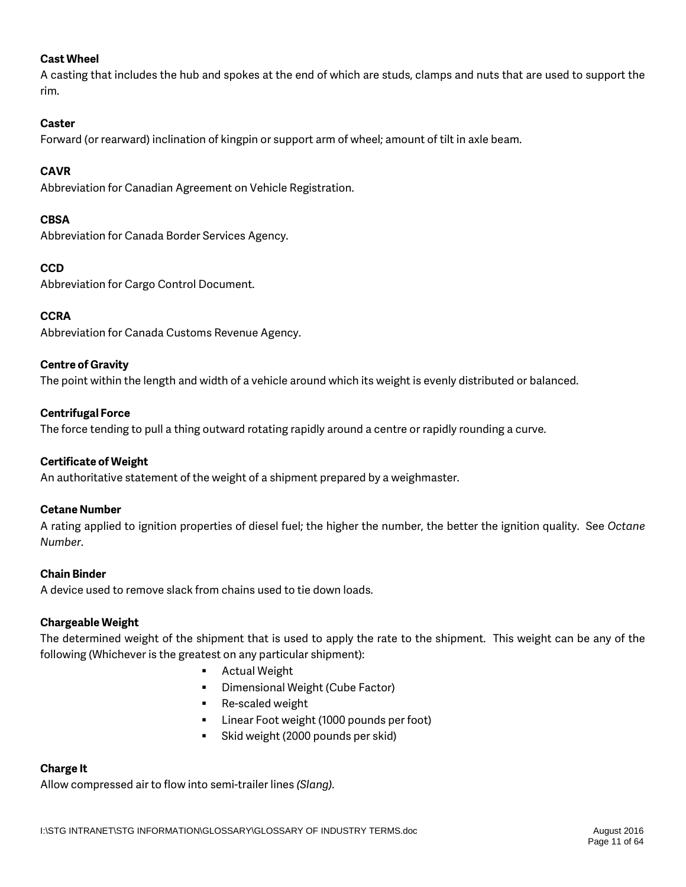### **Cast Wheel**

A casting that includes the hub and spokes at the end of which are studs, clamps and nuts that are used to support the rim.

### **Caster**

Forward (or rearward) inclination of kingpin or support arm of wheel; amount of tilt in axle beam.

### **CAVR**

Abbreviation for Canadian Agreement on Vehicle Registration.

### **CBSA**

Abbreviation for Canada Border Services Agency.

### **CCD**

Abbreviation for Cargo Control Document.

### **CCRA**

Abbreviation for Canada Customs Revenue Agency.

### **Centre of Gravity**

The point within the length and width of a vehicle around which its weight is evenly distributed or balanced.

### **Centrifugal Force**

The force tending to pull a thing outward rotating rapidly around a centre or rapidly rounding a curve.

### **Certificate of Weight**

An authoritative statement of the weight of a shipment prepared by a weighmaster.

### **Cetane Number**

A rating applied to ignition properties of diesel fuel; the higher the number, the better the ignition quality. See *Octane Number*.

### **Chain Binder**

A device used to remove slack from chains used to tie down loads.

### **Chargeable Weight**

The determined weight of the shipment that is used to apply the rate to the shipment. This weight can be any of the following (Whichever is the greatest on any particular shipment):

- Actual Weight
- **•** Dimensional Weight (Cube Factor)
- Re-scaled weight
- **EXEC** Linear Foot weight (1000 pounds per foot)
- Skid weight (2000 pounds per skid)

### **Charge It**

Allow compressed air to flow into semi-trailer lines *(Slang).*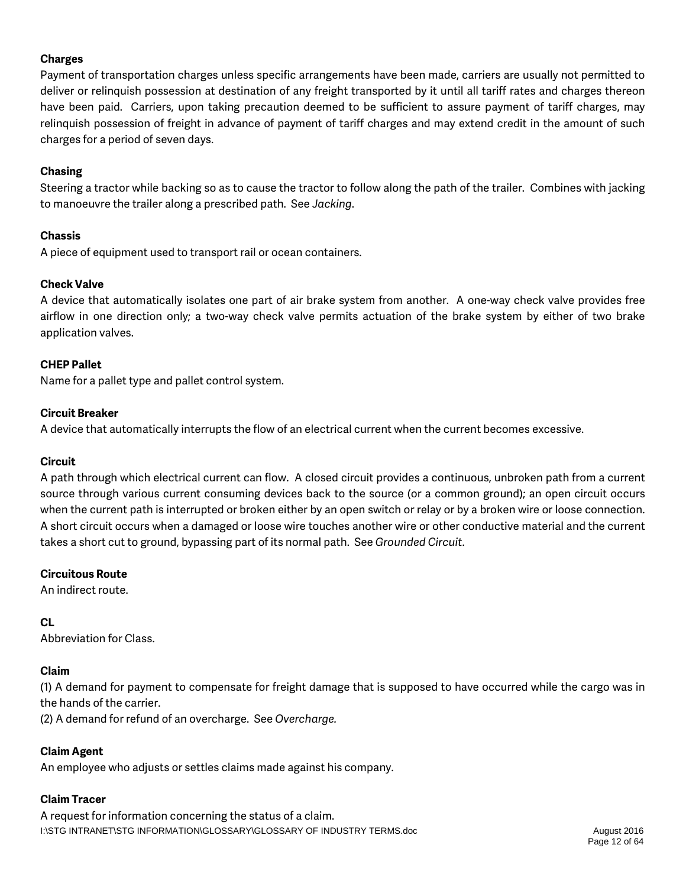### **Charges**

Payment of transportation charges unless specific arrangements have been made, carriers are usually not permitted to deliver or relinquish possession at destination of any freight transported by it until all tariff rates and charges thereon have been paid. Carriers, upon taking precaution deemed to be sufficient to assure payment of tariff charges, may relinquish possession of freight in advance of payment of tariff charges and may extend credit in the amount of such charges for a period of seven days.

### **Chasing**

Steering a tractor while backing so as to cause the tractor to follow along the path of the trailer. Combines with jacking to manoeuvre the trailer along a prescribed path. See *Jacking*.

### **Chassis**

A piece of equipment used to transport rail or ocean containers.

### **Check Valve**

A device that automatically isolates one part of air brake system from another. A one-way check valve provides free airflow in one direction only; a two-way check valve permits actuation of the brake system by either of two brake application valves.

### **CHEP Pallet**

Name for a pallet type and pallet control system.

### **Circuit Breaker**

A device that automatically interrupts the flow of an electrical current when the current becomes excessive.

### **Circuit**

A path through which electrical current can flow. A closed circuit provides a continuous, unbroken path from a current source through various current consuming devices back to the source (or a common ground); an open circuit occurs when the current path is interrupted or broken either by an open switch or relay or by a broken wire or loose connection. A short circuit occurs when a damaged or loose wire touches another wire or other conductive material and the current takes a short cut to ground, bypassing part of its normal path. See *Grounded Circuit*.

### **Circuitous Route**

An indirect route.

### **CL**

Abbreviation for Class.

### **Claim**

(1) A demand for payment to compensate for freight damage that is supposed to have occurred while the cargo was in the hands of the carrier.

(2) A demand for refund of an overcharge. See *Overcharge.*

### **Claim Agent**

An employee who adjusts or settles claims made against his company.

### **Claim Tracer**

I:\STG INTRANET\STG INFORMATION\GLOSSARY\GLOSSARY OF INDUSTRY TERMS.doc August 2016 A request for information concerning the status of a claim.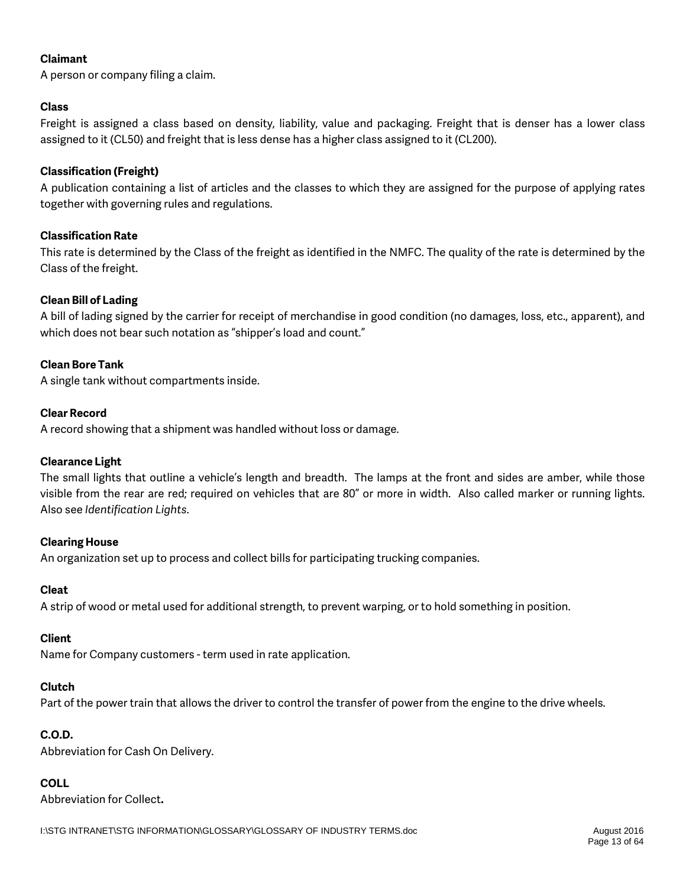### **Claimant**

A person or company filing a claim.

### **Class**

Freight is assigned a class based on density, liability, value and packaging. Freight that is denser has a lower class assigned to it (CL50) and freight that is less dense has a higher class assigned to it (CL200).

### **Classification (Freight)**

A publication containing a list of articles and the classes to which they are assigned for the purpose of applying rates together with governing rules and regulations.

### **Classification Rate**

This rate is determined by the Class of the freight as identified in the NMFC. The quality of the rate is determined by the Class of the freight.

### **Clean Bill of Lading**

A bill of lading signed by the carrier for receipt of merchandise in good condition (no damages, loss, etc., apparent), and which does not bear such notation as "shipper's load and count."

### **Clean Bore Tank**

A single tank without compartments inside.

### **Clear Record**

A record showing that a shipment was handled without loss or damage.

### **Clearance Light**

The small lights that outline a vehicle's length and breadth. The lamps at the front and sides are amber, while those visible from the rear are red; required on vehicles that are 80" or more in width. Also called marker or running lights. Also see *Identification Lights*.

### **Clearing House**

An organization set up to process and collect bills for participating trucking companies.

### **Cleat**

A strip of wood or metal used for additional strength, to prevent warping, or to hold something in position.

### **Client**

Name for Company customers - term used in rate application.

### **Clutch**

Part of the power train that allows the driver to control the transfer of power from the engine to the drive wheels.

### **C.O.D.**

Abbreviation for Cash On Delivery.

### **COLL**

Abbreviation for Collect**.**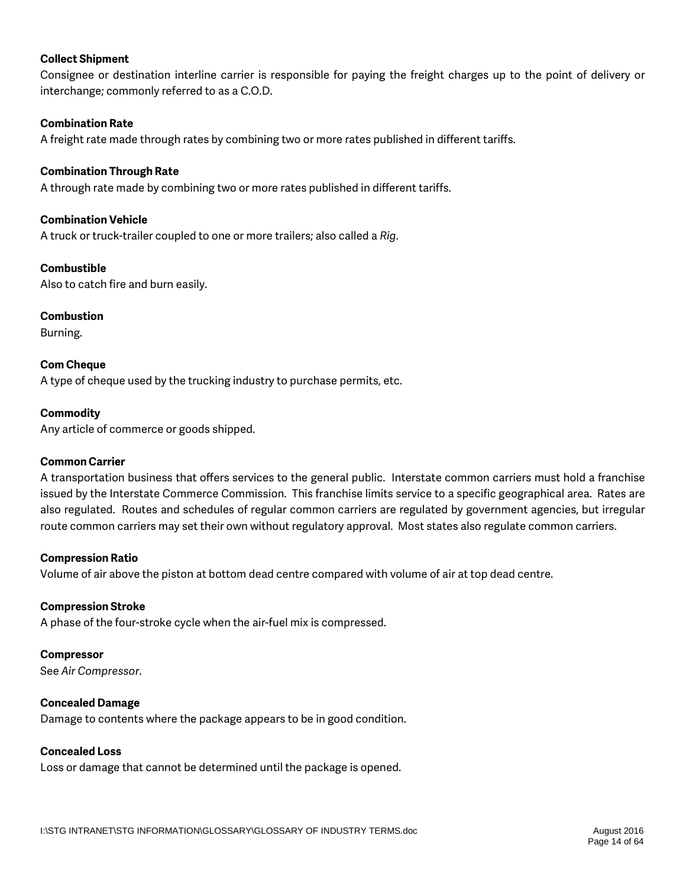### **Collect Shipment**

Consignee or destination interline carrier is responsible for paying the freight charges up to the point of delivery or interchange; commonly referred to as a C.O.D.

### **Combination Rate**

A freight rate made through rates by combining two or more rates published in different tariffs.

#### **Combination Through Rate**

A through rate made by combining two or more rates published in different tariffs.

#### **Combination Vehicle**

A truck or truck-trailer coupled to one or more trailers; also called a *Rig*.

#### **Combustible**

Also to catch fire and burn easily.

### **Combustion**

Burning.

**Com Cheque** A type of cheque used by the trucking industry to purchase permits, etc.

#### **Commodity**

Any article of commerce or goods shipped.

#### **Common Carrier**

A transportation business that offers services to the general public. Interstate common carriers must hold a franchise issued by the Interstate Commerce Commission. This franchise limits service to a specific geographical area. Rates are also regulated. Routes and schedules of regular common carriers are regulated by government agencies, but irregular route common carriers may set their own without regulatory approval. Most states also regulate common carriers.

#### **Compression Ratio**

Volume of air above the piston at bottom dead centre compared with volume of air at top dead centre.

#### **Compression Stroke**

A phase of the four-stroke cycle when the air-fuel mix is compressed.

#### **Compressor**

See *Air Compressor*.

### **Concealed Damage**

Damage to contents where the package appears to be in good condition.

#### **Concealed Loss**

Loss or damage that cannot be determined until the package is opened.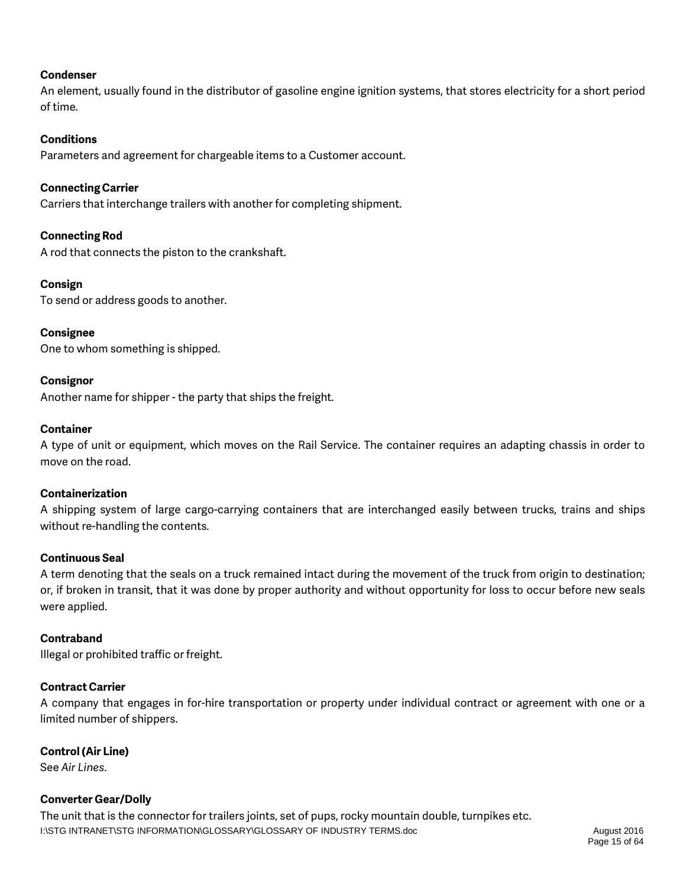### **Condenser**

An element, usually found in the distributor of gasoline engine ignition systems, that stores electricity for a short period of time.

#### **Conditions**

Parameters and agreement for chargeable items to a Customer account.

#### **Connecting Carrier**

Carriers that interchange trailers with another for completing shipment.

#### **Connecting Rod**

A rod that connects the piston to the crankshaft.

#### **Consign**

To send or address goods to another.

### **Consignee**

One to whom something is shipped.

#### **Consignor**

Another name for shipper - the party that ships the freight.

#### **Container**

A type of unit or equipment, which moves on the Rail Service. The container requires an adapting chassis in order to move on the road.

### **Containerization**

A shipping system of large cargo-carrying containers that are interchanged easily between trucks, trains and ships without re-handling the contents.

#### **Continuous Seal**

A term denoting that the seals on a truck remained intact during the movement of the truck from origin to destination; or, if broken in transit, that it was done by proper authority and without opportunity for loss to occur before new seals were applied.

### **Contraband**

Illegal or prohibited traffic or freight.

### **Contract Carrier**

A company that engages in for-hire transportation or property under individual contract or agreement with one or a limited number of shippers.

### **Control (Air Line)**

See *Air Lines*.

### **Converter Gear/Dolly**

I:\STG INTRANET\STG INFORMATION\GLOSSARY\GLOSSARY OF INDUSTRY TERMS.doc August 2016 The unit that is the connector for trailers joints, set of pups, rocky mountain double, turnpikes etc.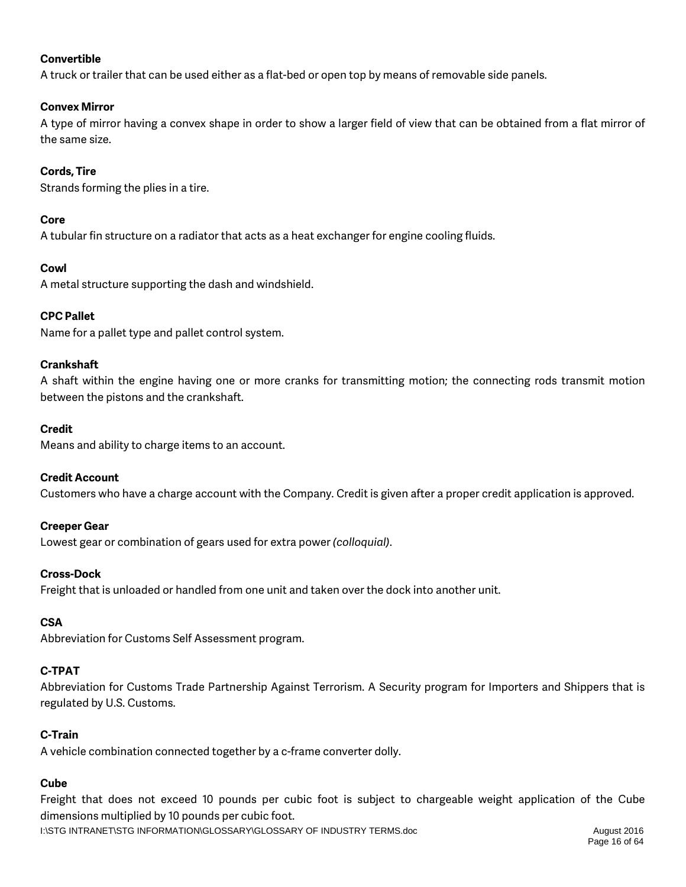### **Convertible**

A truck or trailer that can be used either as a flat-bed or open top by means of removable side panels.

### **Convex Mirror**

A type of mirror having a convex shape in order to show a larger field of view that can be obtained from a flat mirror of the same size.

### **Cords, Tire**

Strands forming the plies in a tire.

### **Core**

A tubular fin structure on a radiator that acts as a heat exchanger for engine cooling fluids.

### **Cowl**

A metal structure supporting the dash and windshield.

### **CPC Pallet**

Name for a pallet type and pallet control system.

### **Crankshaft**

A shaft within the engine having one or more cranks for transmitting motion; the connecting rods transmit motion between the pistons and the crankshaft.

#### **Credit**

Means and ability to charge items to an account.

### **Credit Account**

Customers who have a charge account with the Company. Credit is given after a proper credit application is approved.

### **Creeper Gear**

Lowest gear or combination of gears used for extra power *(colloquial)*.

### **Cross-Dock**

Freight that is unloaded or handled from one unit and taken over the dock into another unit.

### **CSA**

Abbreviation for Customs Self Assessment program.

### **C-TPAT**

Abbreviation for Customs Trade Partnership Against Terrorism. A Security program for Importers and Shippers that is regulated by U.S. Customs.

### **C-Train**

A vehicle combination connected together by a c-frame converter dolly.

### **Cube**

Freight that does not exceed 10 pounds per cubic foot is subject to chargeable weight application of the Cube dimensions multiplied by 10 pounds per cubic foot.

I:\STG INTRANET\STG INFORMATION\GLOSSARY\GLOSSARY OF INDUSTRY TERMS.doc August 2016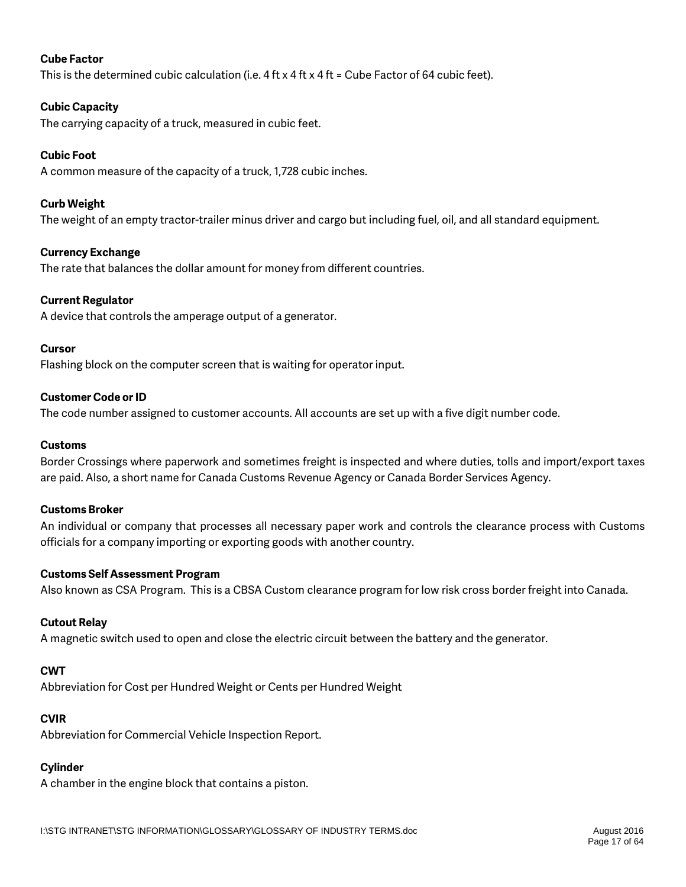### **Cube Factor**

This is the determined cubic calculation (i.e.  $4 \text{ ft} \times 4 \text{ ft} \times 4 \text{ ft}$  = Cube Factor of 64 cubic feet).

### **Cubic Capacity**

The carrying capacity of a truck, measured in cubic feet.

### **Cubic Foot**

A common measure of the capacity of a truck, 1,728 cubic inches.

### **Curb Weight**

The weight of an empty tractor-trailer minus driver and cargo but including fuel, oil, and all standard equipment.

### **Currency Exchange**

The rate that balances the dollar amount for money from different countries.

### **Current Regulator**

A device that controls the amperage output of a generator.

### **Cursor**

Flashing block on the computer screen that is waiting for operator input.

### **Customer Code or ID**

The code number assigned to customer accounts. All accounts are set up with a five digit number code.

#### **Customs**

Border Crossings where paperwork and sometimes freight is inspected and where duties, tolls and import/export taxes are paid. Also, a short name for Canada Customs Revenue Agency or Canada Border Services Agency.

### **Customs Broker**

An individual or company that processes all necessary paper work and controls the clearance process with Customs officials for a company importing or exporting goods with another country.

### **Customs Self Assessment Program**

Also known as CSA Program. This is a CBSA Custom clearance program for low risk cross border freight into Canada.

### **Cutout Relay**

A magnetic switch used to open and close the electric circuit between the battery and the generator.

### **CWT**

Abbreviation for Cost per Hundred Weight or Cents per Hundred Weight

### **CVIR**

Abbreviation for Commercial Vehicle Inspection Report.

### **Cylinder**

A chamber in the engine block that contains a piston.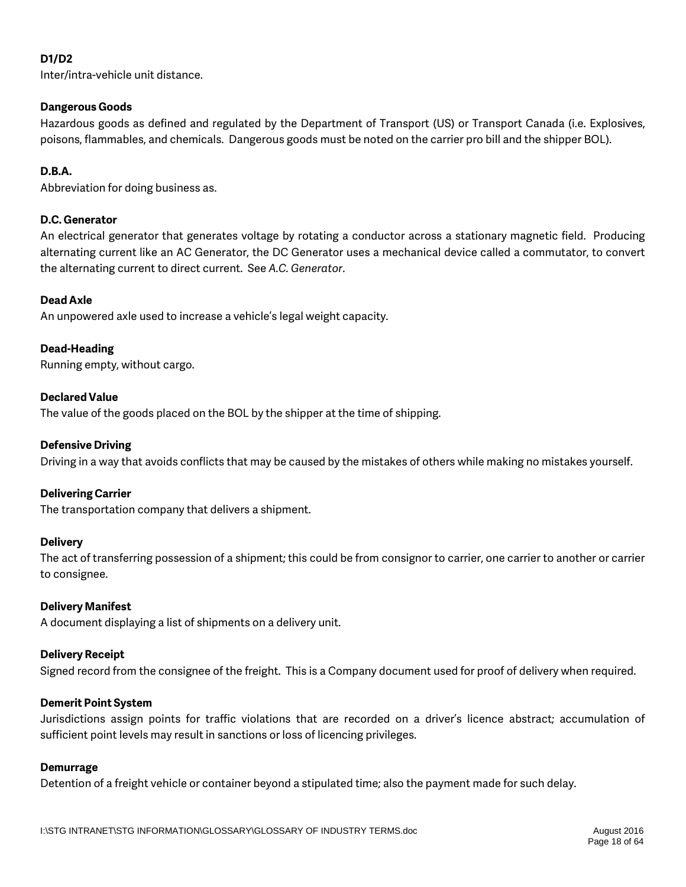### **D1/D2**

Inter/intra-vehicle unit distance.

### **Dangerous Goods**

Hazardous goods as defined and regulated by the Department of Transport (US) or Transport Canada (i.e. Explosives, poisons, flammables, and chemicals. Dangerous goods must be noted on the carrier pro bill and the shipper BOL).

### **D.B.A.**

Abbreviation for doing business as.

### **D.C. Generator**

An electrical generator that generates voltage by rotating a conductor across a stationary magnetic field. Producing alternating current like an AC Generator, the DC Generator uses a mechanical device called a commutator, to convert the alternating current to direct current. See *A.C. Generator*.

### **Dead Axle**

An unpowered axle used to increase a vehicle's legal weight capacity.

### **Dead-Heading**

Running empty, without cargo.

### **Declared Value**

The value of the goods placed on the BOL by the shipper at the time of shipping.

### **Defensive Driving**

Driving in a way that avoids conflicts that may be caused by the mistakes of others while making no mistakes yourself.

### **Delivering Carrier**

The transportation company that delivers a shipment.

### **Delivery**

The act of transferring possession of a shipment; this could be from consignor to carrier, one carrier to another or carrier to consignee.

### **Delivery Manifest**

A document displaying a list of shipments on a delivery unit.

### **Delivery Receipt**

Signed record from the consignee of the freight. This is a Company document used for proof of delivery when required.

### **Demerit Point System**

Jurisdictions assign points for traffic violations that are recorded on a driver's licence abstract; accumulation of sufficient point levels may result in sanctions or loss of licencing privileges.

#### **Demurrage**

Detention of a freight vehicle or container beyond a stipulated time; also the payment made for such delay.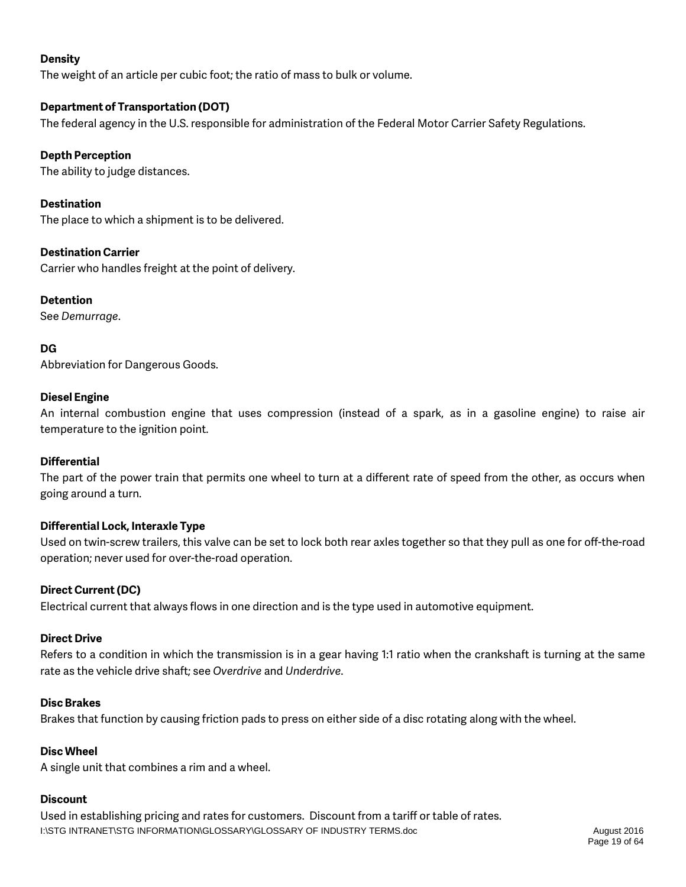### **Density**

The weight of an article per cubic foot; the ratio of mass to bulk or volume.

### **Department of Transportation (DOT)**

The federal agency in the U.S. responsible for administration of the Federal Motor Carrier Safety Regulations.

### **Depth Perception**

The ability to judge distances.

### **Destination**

The place to which a shipment is to be delivered.

### **Destination Carrier**

Carrier who handles freight at the point of delivery.

### **Detention**

See *Demurrage*.

**DG** Abbreviation for Dangerous Goods.

### **Diesel Engine**

An internal combustion engine that uses compression (instead of a spark, as in a gasoline engine) to raise air temperature to the ignition point.

### **Differential**

The part of the power train that permits one wheel to turn at a different rate of speed from the other, as occurs when going around a turn.

### **Differential Lock, Interaxle Type**

Used on twin-screw trailers, this valve can be set to lock both rear axles together so that they pull as one for off-the-road operation; never used for over-the-road operation.

### **Direct Current (DC)**

Electrical current that always flows in one direction and is the type used in automotive equipment.

### **Direct Drive**

Refers to a condition in which the transmission is in a gear having 1:1 ratio when the crankshaft is turning at the same rate as the vehicle drive shaft; see *Overdrive* and *Underdrive*.

### **Disc Brakes**

Brakes that function by causing friction pads to press on either side of a disc rotating along with the wheel.

### **Disc Wheel**

A single unit that combines a rim and a wheel.

### **Discount**

I:\STG INTRANET\STG INFORMATION\GLOSSARY\GLOSSARY OF INDUSTRY TERMS.doc August 2016 Used in establishing pricing and rates for customers. Discount from a tariff or table of rates.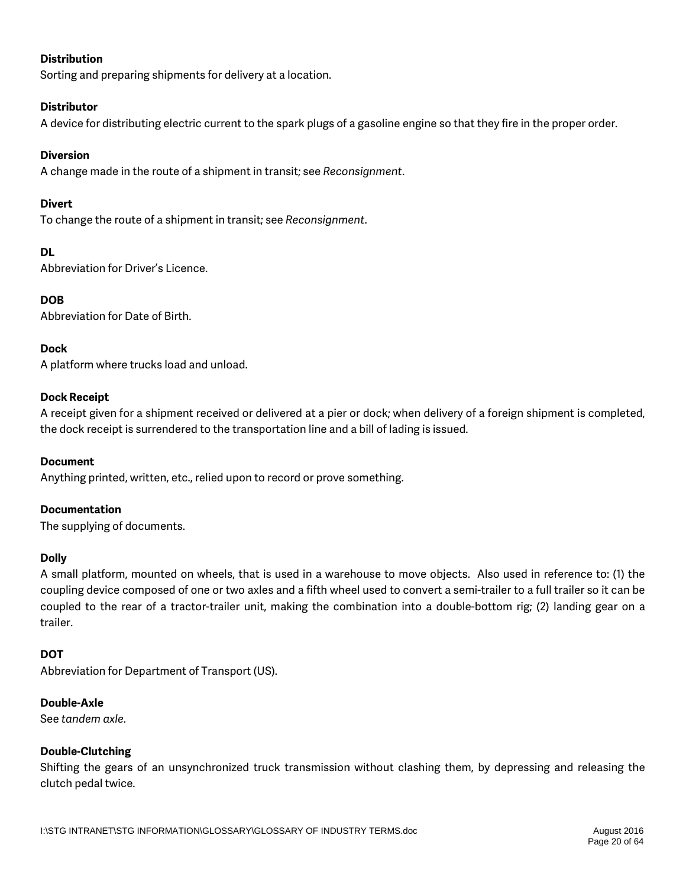### **Distribution**

Sorting and preparing shipments for delivery at a location.

### **Distributor**

A device for distributing electric current to the spark plugs of a gasoline engine so that they fire in the proper order.

### **Diversion**

A change made in the route of a shipment in transit; see *Reconsignment*.

### **Divert**

To change the route of a shipment in transit; see *Reconsignment*.

### **DL**

Abbreviation for Driver's Licence.

**DOB** 

Abbreviation for Date of Birth.

### **Dock**

A platform where trucks load and unload.

### **Dock Receipt**

A receipt given for a shipment received or delivered at a pier or dock; when delivery of a foreign shipment is completed, the dock receipt is surrendered to the transportation line and a bill of lading is issued.

### **Document**

Anything printed, written, etc., relied upon to record or prove something.

### **Documentation**

The supplying of documents.

### **Dolly**

A small platform, mounted on wheels, that is used in a warehouse to move objects. Also used in reference to: (1) the coupling device composed of one or two axles and a fifth wheel used to convert a semi-trailer to a full trailer so it can be coupled to the rear of a tractor-trailer unit, making the combination into a double-bottom rig; (2) landing gear on a trailer.

### **DOT**

Abbreviation for Department of Transport (US).

### **Double-Axle**

See *tandem axle*.

### **Double-Clutching**

Shifting the gears of an unsynchronized truck transmission without clashing them, by depressing and releasing the clutch pedal twice.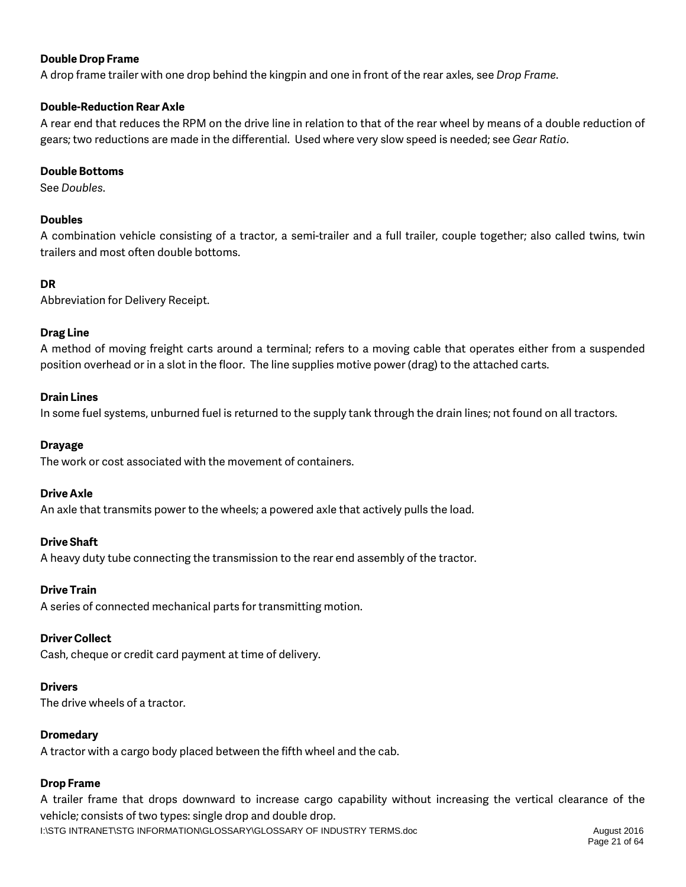### **Double Drop Frame**

A drop frame trailer with one drop behind the kingpin and one in front of the rear axles, see *Drop Frame*.

### **Double-Reduction Rear Axle**

A rear end that reduces the RPM on the drive line in relation to that of the rear wheel by means of a double reduction of gears; two reductions are made in the differential. Used where very slow speed is needed; see *Gear Ratio*.

### **Double Bottoms**

See *Doubles*.

### **Doubles**

A combination vehicle consisting of a tractor, a semi-trailer and a full trailer, couple together; also called twins, twin trailers and most often double bottoms.

### **DR**

Abbreviation for Delivery Receipt.

### **Drag Line**

A method of moving freight carts around a terminal; refers to a moving cable that operates either from a suspended position overhead or in a slot in the floor. The line supplies motive power (drag) to the attached carts.

### **Drain Lines**

In some fuel systems, unburned fuel is returned to the supply tank through the drain lines; not found on all tractors.

### **Drayage**

The work or cost associated with the movement of containers.

### **Drive Axle**

An axle that transmits power to the wheels; a powered axle that actively pulls the load.

### **Drive Shaft**

A heavy duty tube connecting the transmission to the rear end assembly of the tractor.

### **Drive Train**

A series of connected mechanical parts for transmitting motion.

### **Driver Collect**

Cash, cheque or credit card payment at time of delivery.

### **Drivers**

The drive wheels of a tractor.

### **Dromedary**

A tractor with a cargo body placed between the fifth wheel and the cab.

### **Drop Frame**

I:\STG INTRANET\STG INFORMATION\GLOSSARY\GLOSSARY OF INDUSTRY TERMS.doc August 2016 A trailer frame that drops downward to increase cargo capability without increasing the vertical clearance of the vehicle; consists of two types: single drop and double drop.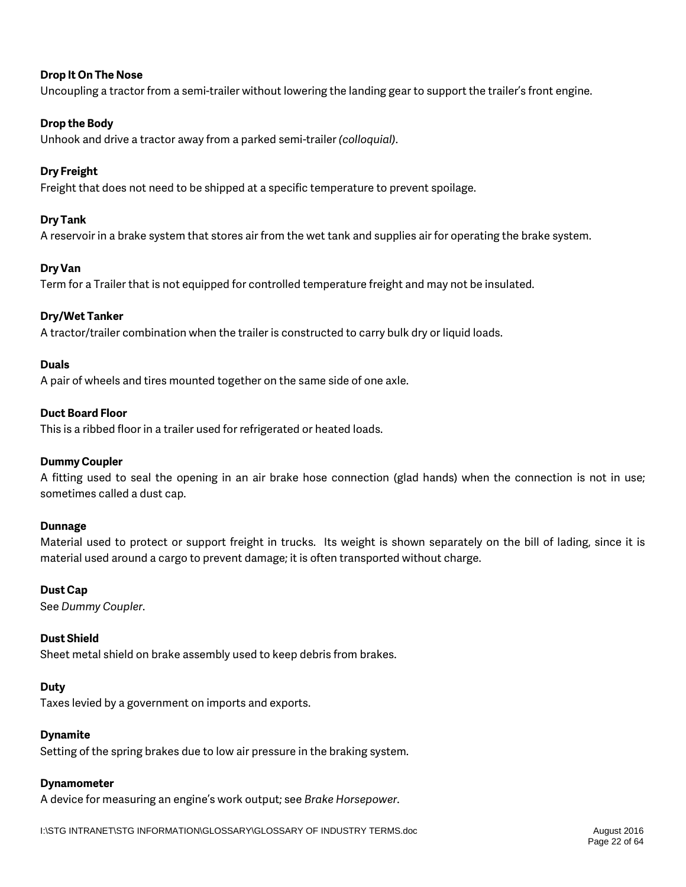### **Drop It On The Nose**

Uncoupling a tractor from a semi-trailer without lowering the landing gear to support the trailer's front engine.

### **Drop the Body**

Unhook and drive a tractor away from a parked semi-trailer *(colloquial)*.

### **Dry Freight**

Freight that does not need to be shipped at a specific temperature to prevent spoilage.

### **Dry Tank**

A reservoir in a brake system that stores air from the wet tank and supplies air for operating the brake system.

### **Dry Van**

Term for a Trailer that is not equipped for controlled temperature freight and may not be insulated.

### **Dry/Wet Tanker**

A tractor/trailer combination when the trailer is constructed to carry bulk dry or liquid loads.

#### **Duals**

A pair of wheels and tires mounted together on the same side of one axle.

#### **Duct Board Floor**

This is a ribbed floor in a trailer used for refrigerated or heated loads.

### **Dummy Coupler**

A fitting used to seal the opening in an air brake hose connection (glad hands) when the connection is not in use; sometimes called a dust cap.

### **Dunnage**

Material used to protect or support freight in trucks. Its weight is shown separately on the bill of lading, since it is material used around a cargo to prevent damage; it is often transported without charge.

#### **Dust Cap**

See *Dummy Coupler*.

### **Dust Shield**

Sheet metal shield on brake assembly used to keep debris from brakes.

#### **Duty**

Taxes levied by a government on imports and exports.

### **Dynamite**

Setting of the spring brakes due to low air pressure in the braking system.

#### **Dynamometer**

A device for measuring an engine's work output; see *Brake Horsepower*.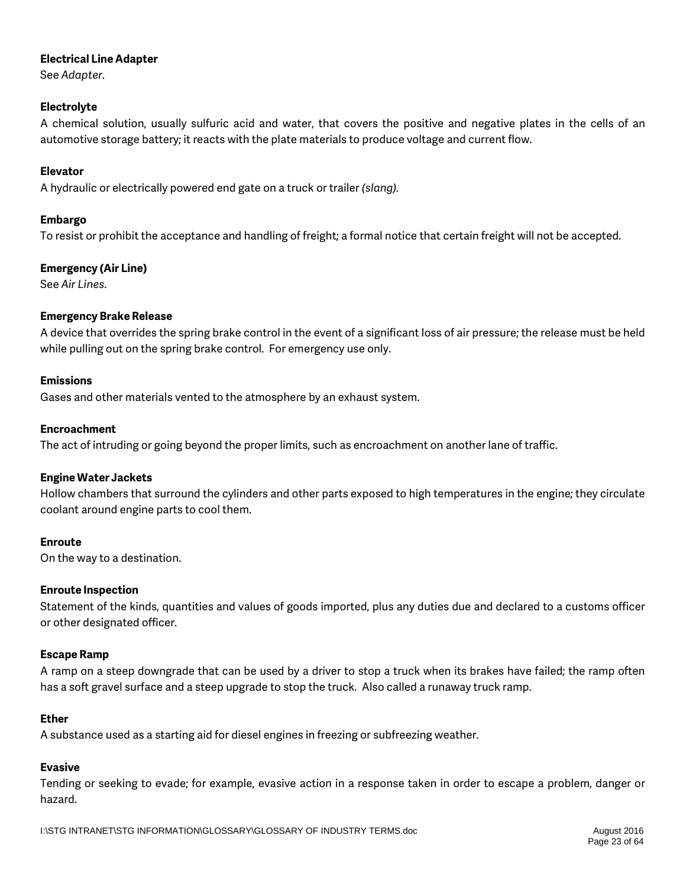### **Electrical Line Adapter**

See *Adapter*.

### **Electrolyte**

A chemical solution, usually sulfuric acid and water, that covers the positive and negative plates in the cells of an automotive storage battery; it reacts with the plate materials to produce voltage and current flow.

### **Elevator**

A hydraulic or electrically powered end gate on a truck or trailer *(slang).*

### **Embargo**

To resist or prohibit the acceptance and handling of freight; a formal notice that certain freight will not be accepted.

### **Emergency (Air Line)**

See *Air Lines*.

### **Emergency Brake Release**

A device that overrides the spring brake control in the event of a significant loss of air pressure; the release must be held while pulling out on the spring brake control. For emergency use only.

### **Emissions**

Gases and other materials vented to the atmosphere by an exhaust system.

### **Encroachment**

The act of intruding or going beyond the proper limits, such as encroachment on another lane of traffic.

### **Engine Water Jackets**

Hollow chambers that surround the cylinders and other parts exposed to high temperatures in the engine; they circulate coolant around engine parts to cool them.

### **Enroute**

On the way to a destination.

### **Enroute Inspection**

Statement of the kinds, quantities and values of goods imported, plus any duties due and declared to a customs officer or other designated officer.

### **Escape Ramp**

A ramp on a steep downgrade that can be used by a driver to stop a truck when its brakes have failed; the ramp often has a soft gravel surface and a steep upgrade to stop the truck. Also called a runaway truck ramp.

### **Ether**

A substance used as a starting aid for diesel engines in freezing or subfreezing weather.

### **Evasive**

Tending or seeking to evade; for example, evasive action in a response taken in order to escape a problem, danger or hazard.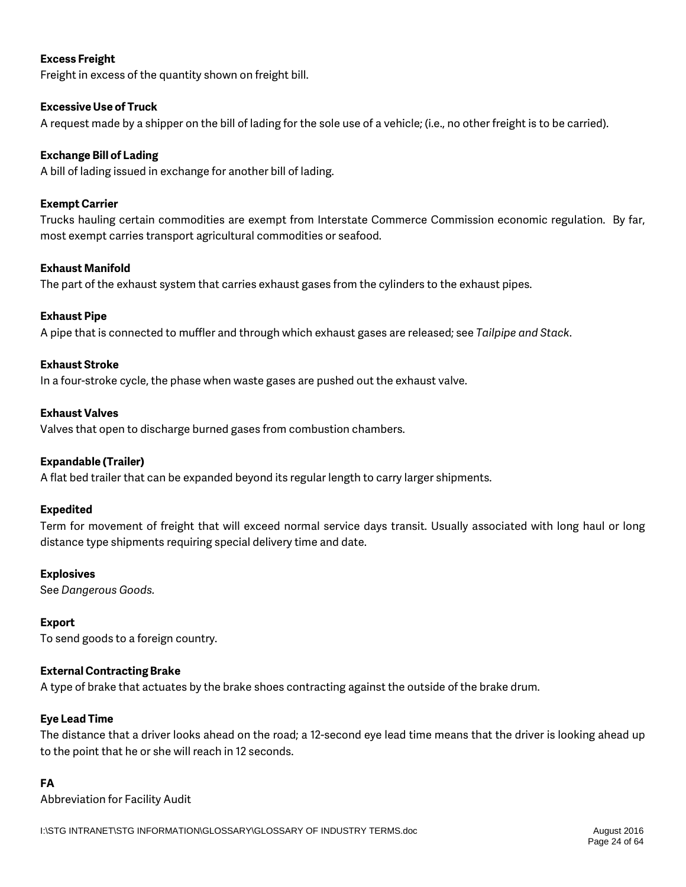### **Excess Freight**

Freight in excess of the quantity shown on freight bill.

### **Excessive Use of Truck**

A request made by a shipper on the bill of lading for the sole use of a vehicle; (i.e., no other freight is to be carried).

### **Exchange Bill of Lading**

A bill of lading issued in exchange for another bill of lading.

### **Exempt Carrier**

Trucks hauling certain commodities are exempt from Interstate Commerce Commission economic regulation. By far, most exempt carries transport agricultural commodities or seafood.

### **Exhaust Manifold**

The part of the exhaust system that carries exhaust gases from the cylinders to the exhaust pipes.

### **Exhaust Pipe**

A pipe that is connected to muffler and through which exhaust gases are released; see *Tailpipe and Stack*.

### **Exhaust Stroke**

In a four-stroke cycle, the phase when waste gases are pushed out the exhaust valve.

### **Exhaust Valves**

Valves that open to discharge burned gases from combustion chambers.

### **Expandable (Trailer)**

A flat bed trailer that can be expanded beyond its regular length to carry larger shipments.

### **Expedited**

Term for movement of freight that will exceed normal service days transit. Usually associated with long haul or long distance type shipments requiring special delivery time and date.

### **Explosives**

See *Dangerous Goods.*

### **Export**

To send goods to a foreign country.

### **External Contracting Brake**

A type of brake that actuates by the brake shoes contracting against the outside of the brake drum.

### **Eye Lead Time**

The distance that a driver looks ahead on the road; a 12-second eye lead time means that the driver is looking ahead up to the point that he or she will reach in 12 seconds.

### **FA**

Abbreviation for Facility Audit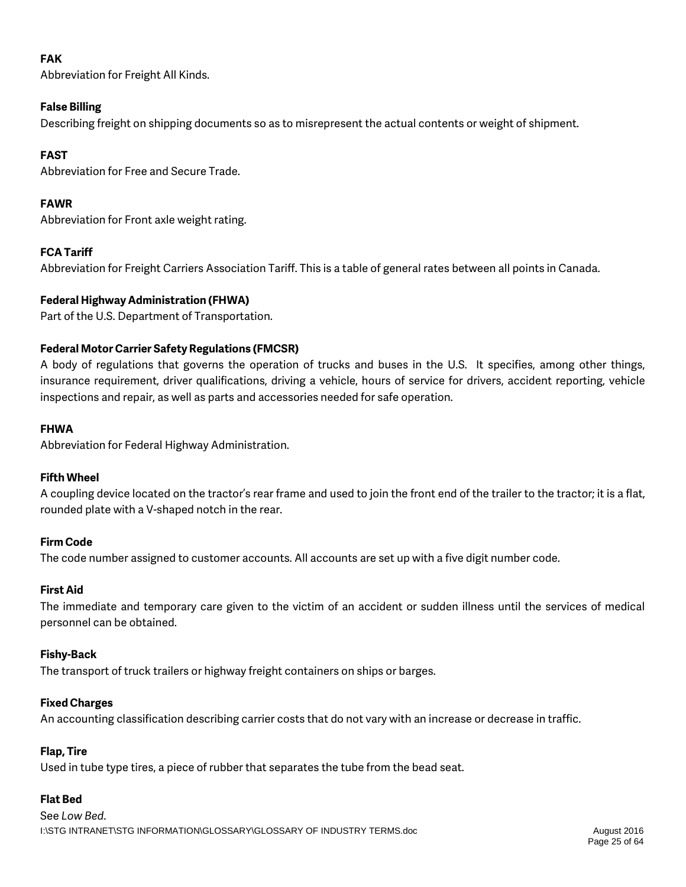## **FAK**

Abbreviation for Freight All Kinds.

### **False Billing**

Describing freight on shipping documents so as to misrepresent the actual contents or weight of shipment.

## **FAST**

Abbreviation for Free and Secure Trade.

## **FAWR**

Abbreviation for Front axle weight rating.

## **FCA Tariff**

Abbreviation for Freight Carriers Association Tariff. This is a table of general rates between all points in Canada.

## **Federal Highway Administration (FHWA)**

Part of the U.S. Department of Transportation.

## **Federal Motor Carrier Safety Regulations (FMCSR)**

A body of regulations that governs the operation of trucks and buses in the U.S. It specifies, among other things, insurance requirement, driver qualifications, driving a vehicle, hours of service for drivers, accident reporting, vehicle inspections and repair, as well as parts and accessories needed for safe operation.

### **FHWA**

Abbreviation for Federal Highway Administration.

## **Fifth Wheel**

A coupling device located on the tractor's rear frame and used to join the front end of the trailer to the tractor; it is a flat, rounded plate with a V-shaped notch in the rear.

## **Firm Code**

The code number assigned to customer accounts. All accounts are set up with a five digit number code.

### **First Aid**

The immediate and temporary care given to the victim of an accident or sudden illness until the services of medical personnel can be obtained.

### **Fishy-Back**

The transport of truck trailers or highway freight containers on ships or barges.

## **Fixed Charges**

An accounting classification describing carrier costs that do not vary with an increase or decrease in traffic.

## **Flap, Tire**

Used in tube type tires, a piece of rubber that separates the tube from the bead seat.

## **Flat Bed**

I:\STG INTRANET\STG INFORMATION\GLOSSARY\GLOSSARY OF INDUSTRY TERMS.doc August 2016 See *Low Bed*.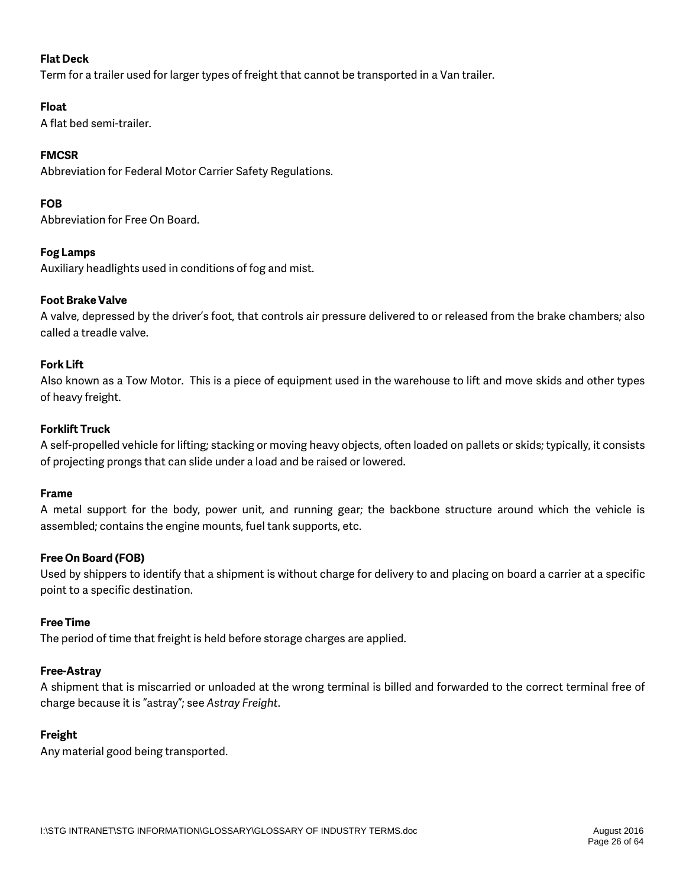### **Flat Deck**

Term for a trailer used for larger types of freight that cannot be transported in a Van trailer.

### **Float**

A flat bed semi-trailer.

### **FMCSR**

Abbreviation for Federal Motor Carrier Safety Regulations.

### **FOB**

Abbreviation for Free On Board.

### **Fog Lamps**

Auxiliary headlights used in conditions of fog and mist.

### **Foot Brake Valve**

A valve, depressed by the driver's foot, that controls air pressure delivered to or released from the brake chambers; also called a treadle valve.

### **Fork Lift**

Also known as a Tow Motor. This is a piece of equipment used in the warehouse to lift and move skids and other types of heavy freight.

### **Forklift Truck**

A self-propelled vehicle for lifting; stacking or moving heavy objects, often loaded on pallets or skids; typically, it consists of projecting prongs that can slide under a load and be raised or lowered.

### **Frame**

A metal support for the body, power unit, and running gear; the backbone structure around which the vehicle is assembled; contains the engine mounts, fuel tank supports, etc.

### **Free On Board (FOB)**

Used by shippers to identify that a shipment is without charge for delivery to and placing on board a carrier at a specific point to a specific destination.

### **Free Time**

The period of time that freight is held before storage charges are applied.

### **Free-Astray**

A shipment that is miscarried or unloaded at the wrong terminal is billed and forwarded to the correct terminal free of charge because it is "astray"; see *Astray Freight*.

### **Freight**

Any material good being transported.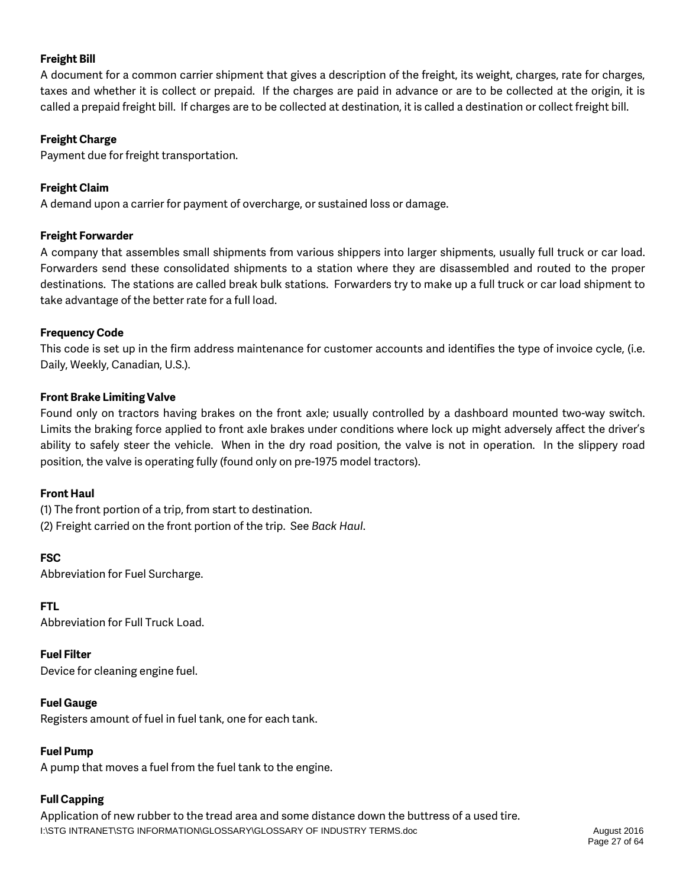### **Freight Bill**

A document for a common carrier shipment that gives a description of the freight, its weight, charges, rate for charges, taxes and whether it is collect or prepaid. If the charges are paid in advance or are to be collected at the origin, it is called a prepaid freight bill. If charges are to be collected at destination, it is called a destination or collect freight bill.

### **Freight Charge**

Payment due for freight transportation.

### **Freight Claim**

A demand upon a carrier for payment of overcharge, or sustained loss or damage.

### **Freight Forwarder**

A company that assembles small shipments from various shippers into larger shipments, usually full truck or car load. Forwarders send these consolidated shipments to a station where they are disassembled and routed to the proper destinations. The stations are called break bulk stations. Forwarders try to make up a full truck or car load shipment to take advantage of the better rate for a full load.

### **Frequency Code**

This code is set up in the firm address maintenance for customer accounts and identifies the type of invoice cycle, (i.e. Daily, Weekly, Canadian, U.S.).

### **Front Brake Limiting Valve**

Found only on tractors having brakes on the front axle; usually controlled by a dashboard mounted two-way switch. Limits the braking force applied to front axle brakes under conditions where lock up might adversely affect the driver's ability to safely steer the vehicle. When in the dry road position, the valve is not in operation. In the slippery road position, the valve is operating fully (found only on pre-1975 model tractors).

### **Front Haul**

(1) The front portion of a trip, from start to destination. (2) Freight carried on the front portion of the trip. See *Back Haul*.

**FSC** Abbreviation for Fuel Surcharge.

**FTL**

Abbreviation for Full Truck Load.

**Fuel Filter**

Device for cleaning engine fuel.

### **Fuel Gauge**

Registers amount of fuel in fuel tank, one for each tank.

### **Fuel Pump**

A pump that moves a fuel from the fuel tank to the engine.

### **Full Capping**

I:\STG INTRANET\STG INFORMATION\GLOSSARY\GLOSSARY OF INDUSTRY TERMS.doc August 2016 Application of new rubber to the tread area and some distance down the buttress of a used tire.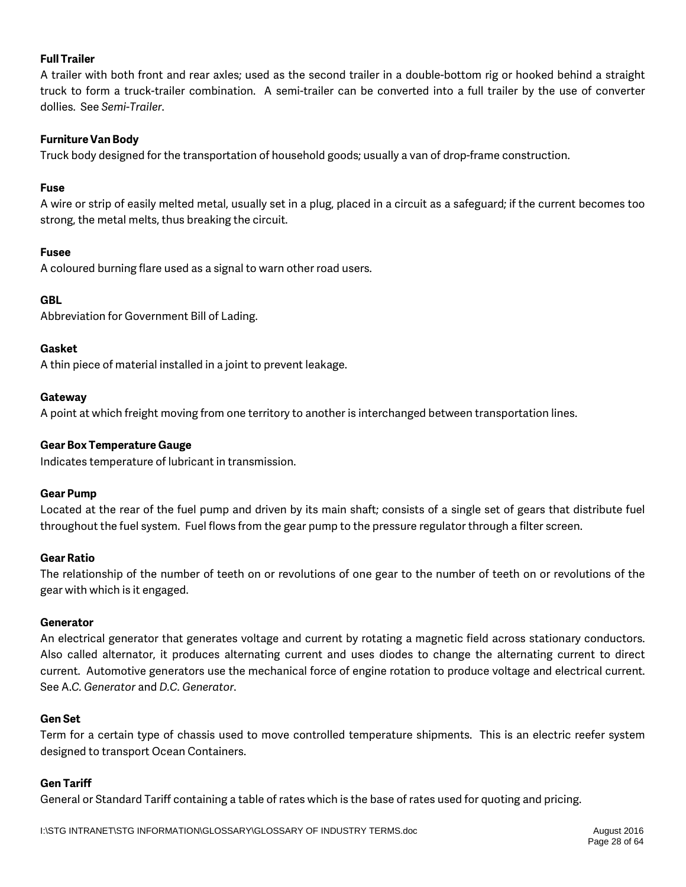### **Full Trailer**

A trailer with both front and rear axles; used as the second trailer in a double-bottom rig or hooked behind a straight truck to form a truck-trailer combination. A semi-trailer can be converted into a full trailer by the use of converter dollies. See *Semi-Trailer*.

### **Furniture Van Body**

Truck body designed for the transportation of household goods; usually a van of drop-frame construction.

### **Fuse**

A wire or strip of easily melted metal, usually set in a plug, placed in a circuit as a safeguard; if the current becomes too strong, the metal melts, thus breaking the circuit.

### **Fusee**

A coloured burning flare used as a signal to warn other road users.

### **GBL**

Abbreviation for Government Bill of Lading.

### **Gasket**

A thin piece of material installed in a joint to prevent leakage.

### **Gateway**

A point at which freight moving from one territory to another is interchanged between transportation lines.

### **Gear Box Temperature Gauge**

Indicates temperature of lubricant in transmission.

### **Gear Pump**

Located at the rear of the fuel pump and driven by its main shaft; consists of a single set of gears that distribute fuel throughout the fuel system. Fuel flows from the gear pump to the pressure regulator through a filter screen.

### **Gear Ratio**

The relationship of the number of teeth on or revolutions of one gear to the number of teeth on or revolutions of the gear with which is it engaged.

### **Generator**

An electrical generator that generates voltage and current by rotating a magnetic field across stationary conductors. Also called alternator, it produces alternating current and uses diodes to change the alternating current to direct current. Automotive generators use the mechanical force of engine rotation to produce voltage and electrical current. See A.*C. Generator* and *D.C. Generator*.

### **Gen Set**

Term for a certain type of chassis used to move controlled temperature shipments. This is an electric reefer system designed to transport Ocean Containers.

### **Gen Tariff**

General or Standard Tariff containing a table of rates which is the base of rates used for quoting and pricing.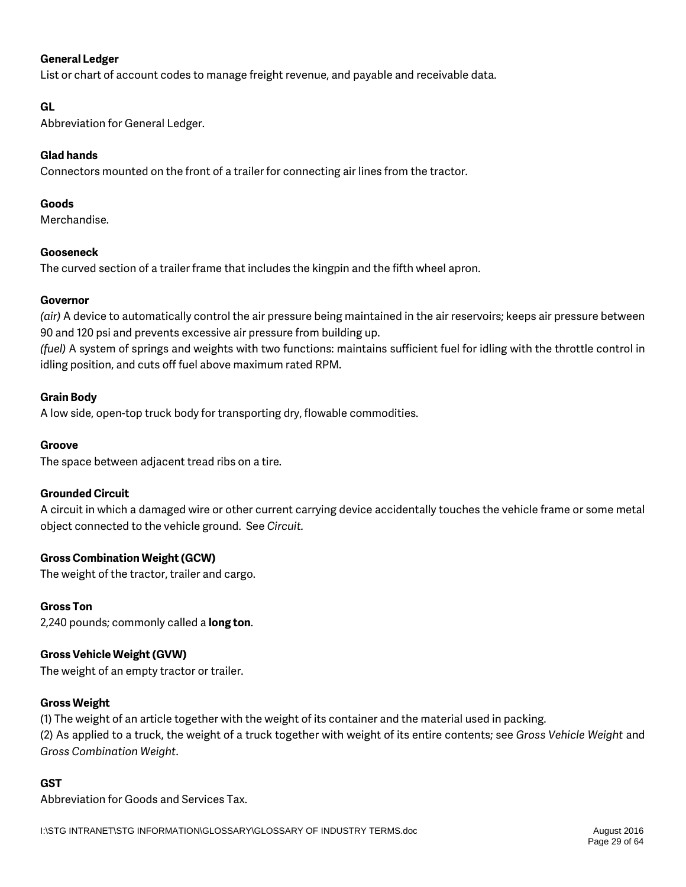### **General Ledger**

List or chart of account codes to manage freight revenue, and payable and receivable data.

### **GL**

Abbreviation for General Ledger.

### **Glad hands**

Connectors mounted on the front of a trailer for connecting air lines from the tractor.

### **Goods**

Merchandise.

### **Gooseneck**

The curved section of a trailer frame that includes the kingpin and the fifth wheel apron.

### **Governor**

*(air)* A device to automatically control the air pressure being maintained in the air reservoirs; keeps air pressure between 90 and 120 psi and prevents excessive air pressure from building up.

*(fuel)* A system of springs and weights with two functions: maintains sufficient fuel for idling with the throttle control in idling position, and cuts off fuel above maximum rated RPM.

### **Grain Body**

A low side, open-top truck body for transporting dry, flowable commodities.

### **Groove**

The space between adjacent tread ribs on a tire.

### **Grounded Circuit**

A circuit in which a damaged wire or other current carrying device accidentally touches the vehicle frame or some metal object connected to the vehicle ground. See *Circuit.*

### **Gross Combination Weight (GCW)**

The weight of the tractor, trailer and cargo.

### **Gross Ton**

2,240 pounds; commonly called a **long ton**.

### **Gross Vehicle Weight (GVW)**

The weight of an empty tractor or trailer.

### **Gross Weight**

(1) The weight of an article together with the weight of its container and the material used in packing. (2) As applied to a truck, the weight of a truck together with weight of its entire contents; see *Gross Vehicle Weight* and *Gross Combination Weight*.

### **GST**

Abbreviation for Goods and Services Tax.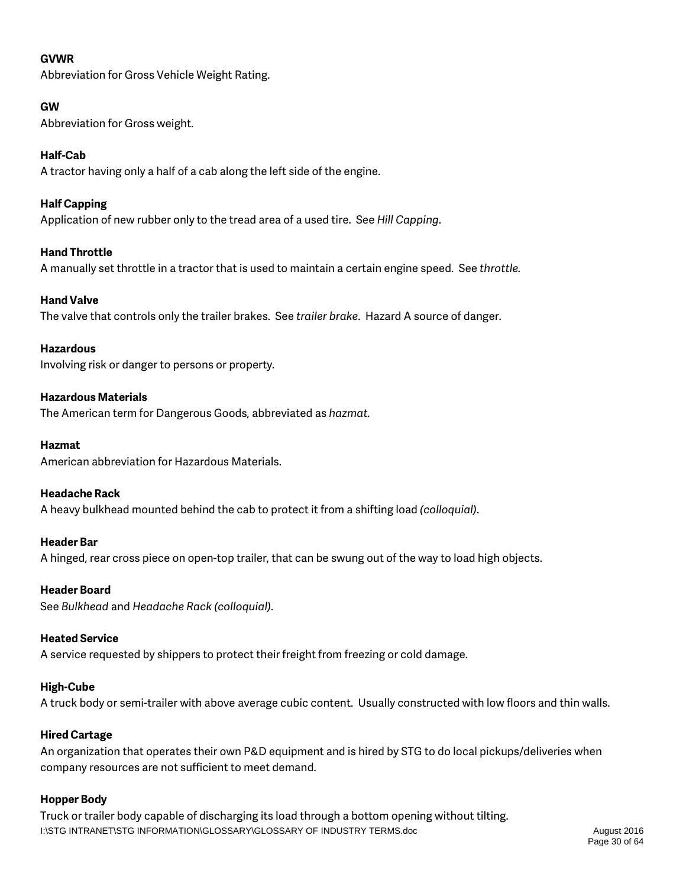### **GVWR**

Abbreviation for Gross Vehicle Weight Rating.

### **GW**

Abbreviation for Gross weight.

### **Half-Cab**

A tractor having only a half of a cab along the left side of the engine.

### **Half Capping**

Application of new rubber only to the tread area of a used tire. See *Hill Capping*.

### **Hand Throttle**

A manually set throttle in a tractor that is used to maintain a certain engine speed. See *throttle.*

### **Hand Valve**

The valve that controls only the trailer brakes. See *trailer brake*. Hazard A source of danger.

### **Hazardous**

Involving risk or danger to persons or property*.*

### **Hazardous Materials**

The American term for Dangerous Goods, abbreviated as *hazmat.*

### **Hazmat**

American abbreviation for Hazardous Materials.

### **Headache Rack**

A heavy bulkhead mounted behind the cab to protect it from a shifting load *(colloquial)*.

### **Header Bar**

A hinged, rear cross piece on open-top trailer, that can be swung out of the way to load high objects.

### **Header Board**

See *Bulkhead* and *Headache Rack (colloquial)*.

### **Heated Service**

A service requested by shippers to protect their freight from freezing or cold damage.

### **High-Cube**

A truck body or semi-trailer with above average cubic content. Usually constructed with low floors and thin walls.

### **Hired Cartage**

An organization that operates their own P&D equipment and is hired by STG to do local pickups/deliveries when company resources are not sufficient to meet demand.

### **Hopper Body**

I:\STG INTRANET\STG INFORMATION\GLOSSARY\GLOSSARY OF INDUSTRY TERMS.doc August 2016 Truck or trailer body capable of discharging its load through a bottom opening without tilting.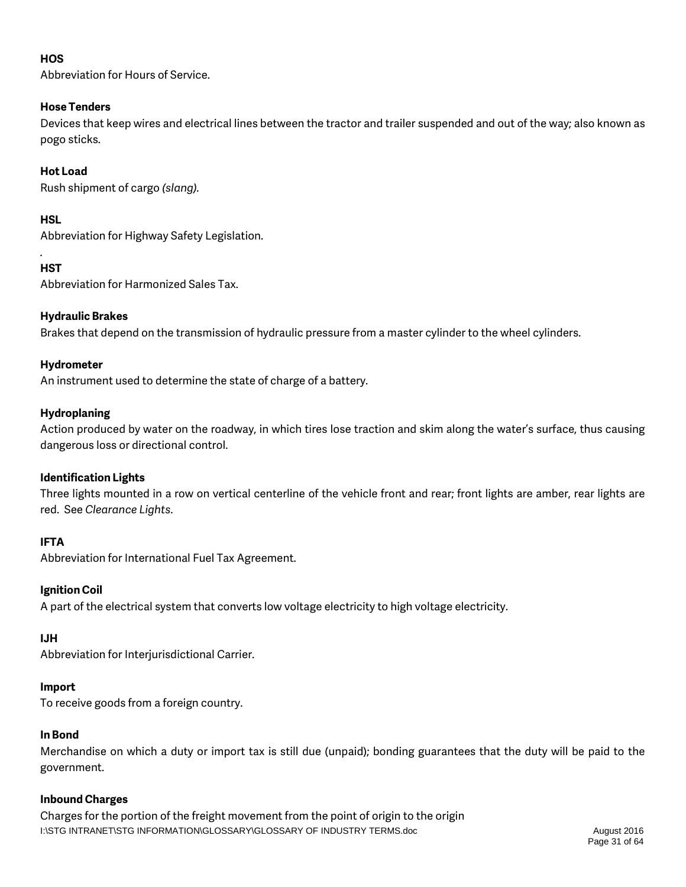### **HOS**

Abbreviation for Hours of Service.

### **Hose Tenders**

Devices that keep wires and electrical lines between the tractor and trailer suspended and out of the way; also known as pogo sticks.

### **Hot Load**

Rush shipment of cargo *(slang).*

### **HSL**

Abbreviation for Highway Safety Legislation.

### **HST**

*.*

Abbreviation for Harmonized Sales Tax.

### **Hydraulic Brakes**

Brakes that depend on the transmission of hydraulic pressure from a master cylinder to the wheel cylinders.

### **Hydrometer**

An instrument used to determine the state of charge of a battery.

### **Hydroplaning**

Action produced by water on the roadway, in which tires lose traction and skim along the water's surface, thus causing dangerous loss or directional control.

### **Identification Lights**

Three lights mounted in a row on vertical centerline of the vehicle front and rear; front lights are amber, rear lights are red. See *Clearance Lights*.

### **IFTA**

Abbreviation for International Fuel Tax Agreement.

### **Ignition Coil**

A part of the electrical system that converts low voltage electricity to high voltage electricity.

## **IJH**

Abbreviation for Interjurisdictional Carrier.

## **Import**

To receive goods from a foreign country.

## **In Bond**

Merchandise on which a duty or import tax is still due (unpaid); bonding guarantees that the duty will be paid to the government.

### **Inbound Charges**

I:\STG INTRANET\STG INFORMATION\GLOSSARY\GLOSSARY OF INDUSTRY TERMS.doc August 2016 Charges for the portion of the freight movement from the point of origin to the origin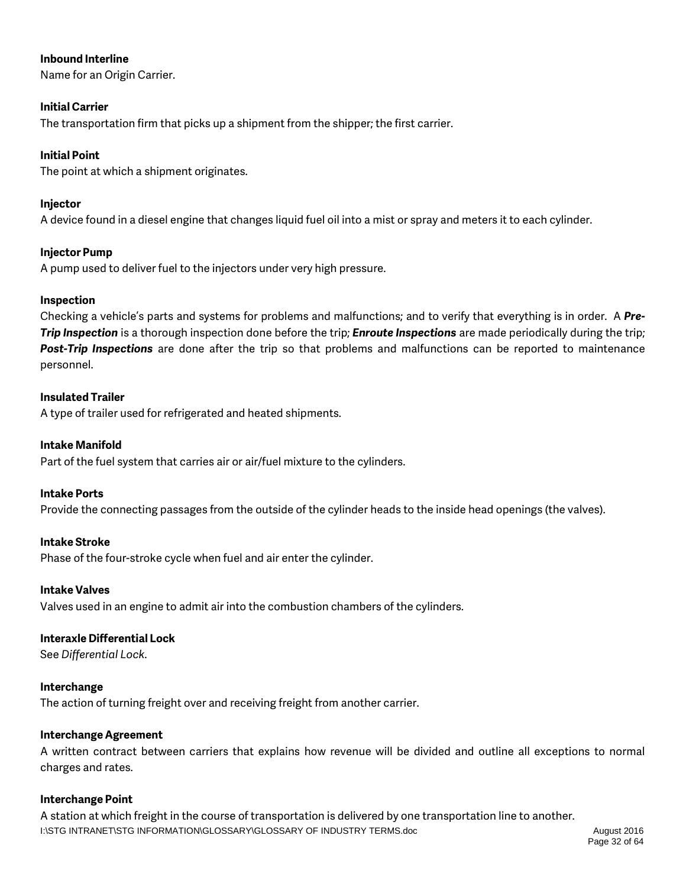### **Inbound Interline**

Name for an Origin Carrier.

### **Initial Carrier**

The transportation firm that picks up a shipment from the shipper; the first carrier.

### **Initial Point**

The point at which a shipment originates.

### **Injector**

A device found in a diesel engine that changes liquid fuel oil into a mist or spray and meters it to each cylinder.

### **Injector Pump**

A pump used to deliver fuel to the injectors under very high pressure.

### **Inspection**

Checking a vehicle's parts and systems for problems and malfunctions; and to verify that everything is in order. A *Pre-Trip Inspection* is a thorough inspection done before the trip; *Enroute Inspections* are made periodically during the trip; *Post-Trip Inspections* are done after the trip so that problems and malfunctions can be reported to maintenance personnel.

### **Insulated Trailer**

A type of trailer used for refrigerated and heated shipments.

### **Intake Manifold**

Part of the fuel system that carries air or air/fuel mixture to the cylinders.

### **Intake Ports**

Provide the connecting passages from the outside of the cylinder heads to the inside head openings (the valves).

### **Intake Stroke**

Phase of the four-stroke cycle when fuel and air enter the cylinder.

### **Intake Valves**

Valves used in an engine to admit air into the combustion chambers of the cylinders.

### **Interaxle Differential Lock**

See *Differential Lock*.

### **Interchange**

The action of turning freight over and receiving freight from another carrier.

### **Interchange Agreement**

A written contract between carriers that explains how revenue will be divided and outline all exceptions to normal charges and rates.

### **Interchange Point**

I:\STG INTRANET\STG INFORMATION\GLOSSARY\GLOSSARY OF INDUSTRY TERMS.doc August 2016 A station at which freight in the course of transportation is delivered by one transportation line to another.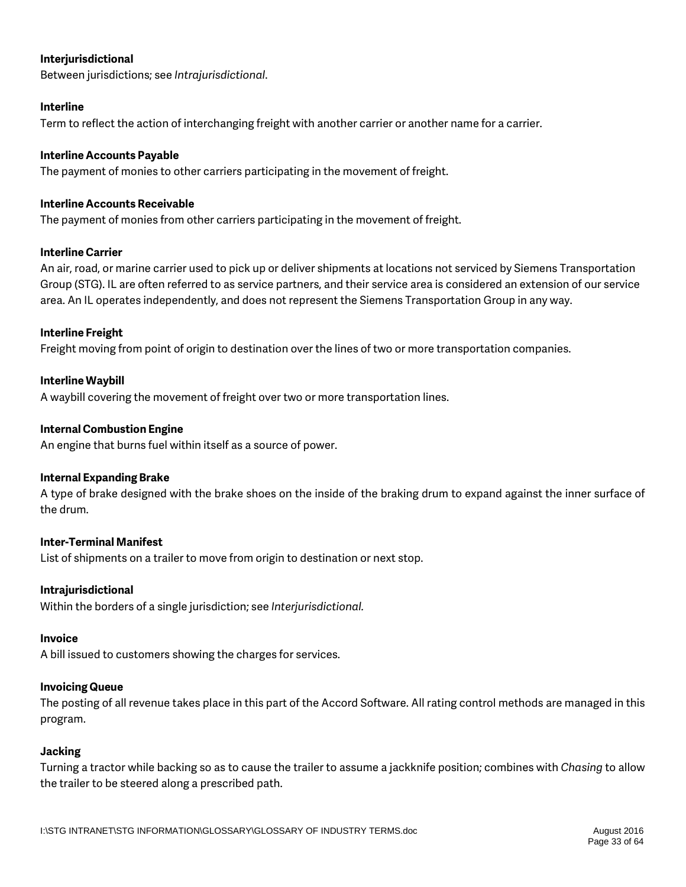### **Interjurisdictional**

Between jurisdictions; see *Intrajurisdictional*.

### **Interline**

Term to reflect the action of interchanging freight with another carrier or another name for a carrier.

### **Interline Accounts Payable**

The payment of monies to other carriers participating in the movement of freight.

### **Interline Accounts Receivable**

The payment of monies from other carriers participating in the movement of freight.

### **Interline Carrier**

An air, road, or marine carrier used to pick up or deliver shipments at locations not serviced by Siemens Transportation Group (STG). IL are often referred to as service partners, and their service area is considered an extension of our service area. An IL operates independently, and does not represent the Siemens Transportation Group in any way.

### **Interline Freight**

Freight moving from point of origin to destination over the lines of two or more transportation companies.

### **Interline Waybill**

A waybill covering the movement of freight over two or more transportation lines.

### **Internal Combustion Engine**

An engine that burns fuel within itself as a source of power.

### **Internal Expanding Brake**

A type of brake designed with the brake shoes on the inside of the braking drum to expand against the inner surface of the drum.

### **Inter-Terminal Manifest**

List of shipments on a trailer to move from origin to destination or next stop.

### **Intrajurisdictional**

Within the borders of a single jurisdiction; see *Interjurisdictional.*

### **Invoice**

A bill issued to customers showing the charges for services.

### **Invoicing Queue**

The posting of all revenue takes place in this part of the Accord Software. All rating control methods are managed in this program.

### **Jacking**

Turning a tractor while backing so as to cause the trailer to assume a jackknife position; combines with *Chasing* to allow the trailer to be steered along a prescribed path.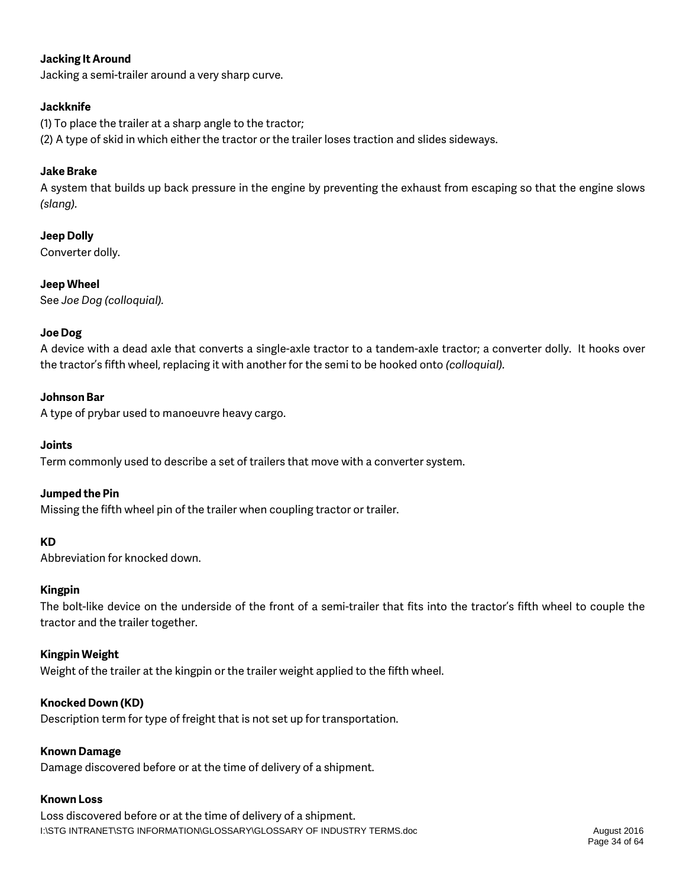### **Jacking It Around**

Jacking a semi-trailer around a very sharp curve.

### **Jackknife**

(1) To place the trailer at a sharp angle to the tractor; (2) A type of skid in which either the tractor or the trailer loses traction and slides sideways.

### **Jake Brake**

A system that builds up back pressure in the engine by preventing the exhaust from escaping so that the engine slows *(slang).*

### **Jeep Dolly**

Converter dolly.

### **Jeep Wheel**

See *Joe Dog (colloquial).*

### **Joe Dog**

A device with a dead axle that converts a single-axle tractor to a tandem-axle tractor; a converter dolly. It hooks over the tractor's fifth wheel, replacing it with another for the semi to be hooked onto *(colloquial).*

### **Johnson Bar**

A type of prybar used to manoeuvre heavy cargo.

### **Joints**

Term commonly used to describe a set of trailers that move with a converter system.

### **Jumped the Pin**

Missing the fifth wheel pin of the trailer when coupling tractor or trailer.

### **KD**

Abbreviation for knocked down.

### **Kingpin**

The bolt-like device on the underside of the front of a semi-trailer that fits into the tractor's fifth wheel to couple the tractor and the trailer together.

### **Kingpin Weight**

Weight of the trailer at the kingpin or the trailer weight applied to the fifth wheel.

### **Knocked Down (KD)**

Description term for type of freight that is not set up for transportation.

### **Known Damage**

Damage discovered before or at the time of delivery of a shipment.

### **Known Loss**

I:\STG INTRANET\STG INFORMATION\GLOSSARY\GLOSSARY OF INDUSTRY TERMS.doc August 2016 Loss discovered before or at the time of delivery of a shipment.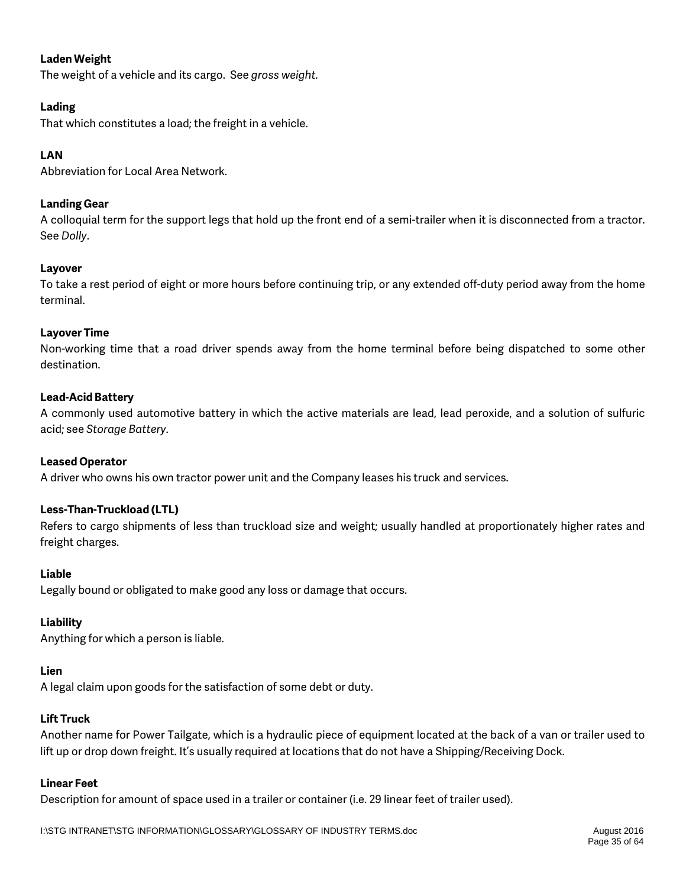### **Laden Weight**

The weight of a vehicle and its cargo. See *gross weight.*

### **Lading**

That which constitutes a load; the freight in a vehicle.

### **LAN**

Abbreviation for Local Area Network.

### **Landing Gear**

A colloquial term for the support legs that hold up the front end of a semi-trailer when it is disconnected from a tractor. See *Dolly*.

### **Layover**

To take a rest period of eight or more hours before continuing trip, or any extended off-duty period away from the home terminal.

### **Layover Time**

Non-working time that a road driver spends away from the home terminal before being dispatched to some other destination.

### **Lead-Acid Battery**

A commonly used automotive battery in which the active materials are lead, lead peroxide, and a solution of sulfuric acid; see *Storage Battery*.

### **Leased Operator**

A driver who owns his own tractor power unit and the Company leases his truck and services.

### **Less-Than-Truckload (LTL)**

Refers to cargo shipments of less than truckload size and weight; usually handled at proportionately higher rates and freight charges.

### **Liable**

Legally bound or obligated to make good any loss or damage that occurs.

### **Liability**

Anything for which a person is liable.

### **Lien**

A legal claim upon goods for the satisfaction of some debt or duty.

### **Lift Truck**

Another name for Power Tailgate, which is a hydraulic piece of equipment located at the back of a van or trailer used to lift up or drop down freight. It's usually required at locations that do not have a Shipping/Receiving Dock.

### **Linear Feet**

Description for amount of space used in a trailer or container (i.e. 29 linear feet of trailer used).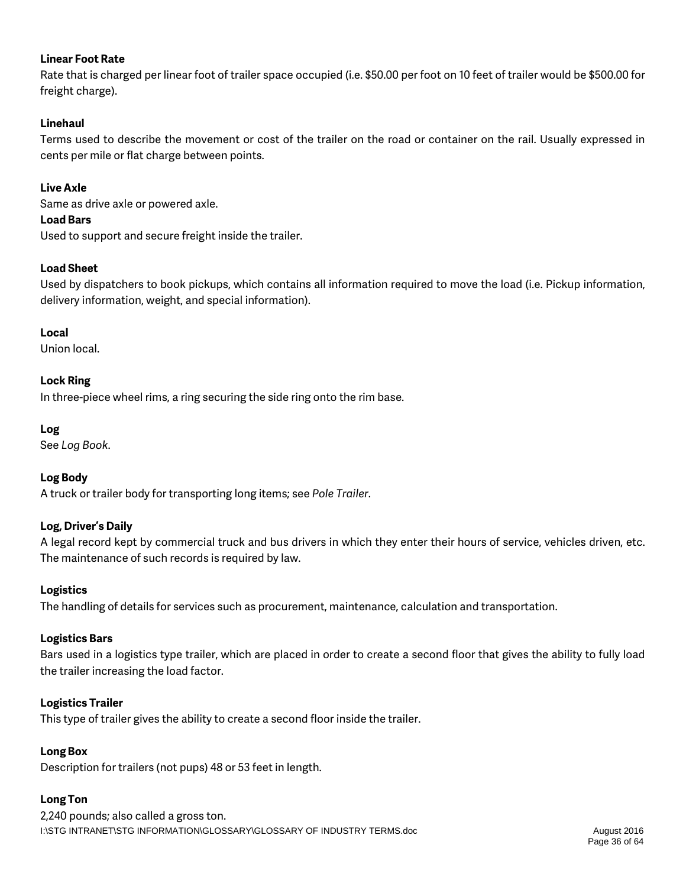### **Linear Foot Rate**

Rate that is charged per linear foot of trailer space occupied (i.e. \$50.00 per foot on 10 feet of trailer would be \$500.00 for freight charge).

### **Linehaul**

Terms used to describe the movement or cost of the trailer on the road or container on the rail. Usually expressed in cents per mile or flat charge between points.

### **Live Axle**

Same as drive axle or powered axle.

### **Load Bars**

Used to support and secure freight inside the trailer.

### **Load Sheet**

Used by dispatchers to book pickups, which contains all information required to move the load (i.e. Pickup information, delivery information, weight, and special information).

### **Local**

Union local.

### **Lock Ring**

In three-piece wheel rims, a ring securing the side ring onto the rim base.

### **Log**

See *Log Book*.

### **Log Body**

A truck or trailer body for transporting long items; see *Pole Trailer*.

### **Log, Driver's Daily**

A legal record kept by commercial truck and bus drivers in which they enter their hours of service, vehicles driven, etc. The maintenance of such records is required by law.

### **Logistics**

The handling of details for services such as procurement, maintenance, calculation and transportation.

### **Logistics Bars**

Bars used in a logistics type trailer, which are placed in order to create a second floor that gives the ability to fully load the trailer increasing the load factor.

### **Logistics Trailer**

This type of trailer gives the ability to create a second floor inside the trailer.

### **Long Box**

Description for trailers (not pups) 48 or 53 feet in length.

### **Long Ton**

I:\STG INTRANET\STG INFORMATION\GLOSSARY\GLOSSARY OF INDUSTRY TERMS.doc August 2016 2,240 pounds; also called a gross ton.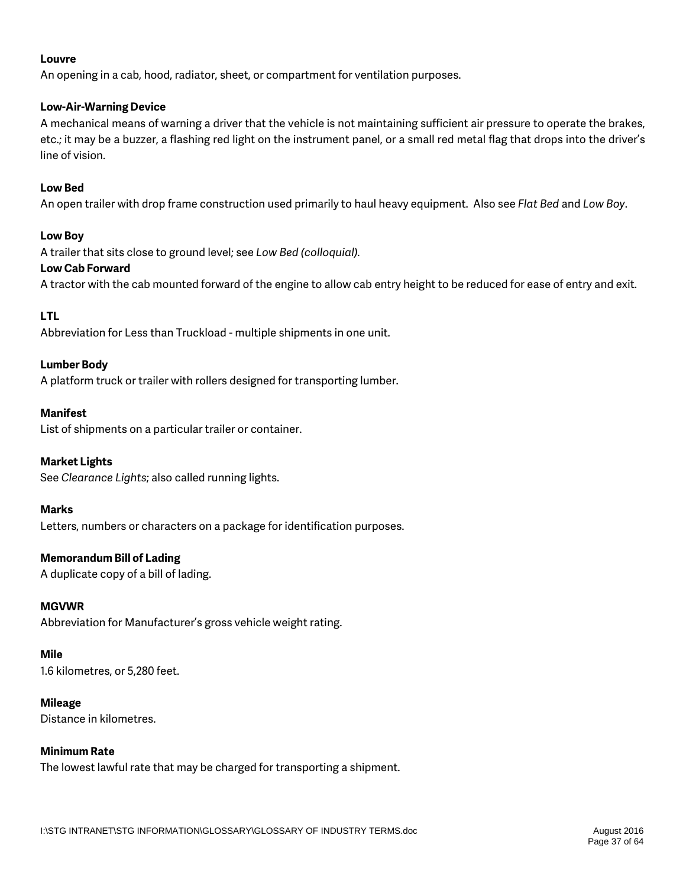### **Louvre**

An opening in a cab, hood, radiator, sheet, or compartment for ventilation purposes.

### **Low-Air-Warning Device**

A mechanical means of warning a driver that the vehicle is not maintaining sufficient air pressure to operate the brakes, etc.; it may be a buzzer, a flashing red light on the instrument panel, or a small red metal flag that drops into the driver's line of vision.

### **Low Bed**

An open trailer with drop frame construction used primarily to haul heavy equipment. Also see *Flat Bed* and *Low Boy*.

### **Low Boy**

A trailer that sits close to ground level; see *Low Bed (colloquial).*

### **Low Cab Forward**

A tractor with the cab mounted forward of the engine to allow cab entry height to be reduced for ease of entry and exit.

### **LTL**

Abbreviation for Less than Truckload - multiple shipments in one unit.

### **Lumber Body**

A platform truck or trailer with rollers designed for transporting lumber.

### **Manifest**

List of shipments on a particular trailer or container.

### **Market Lights**

See *Clearance Lights*; also called running lights.

### **Marks**

Letters, numbers or characters on a package for identification purposes.

### **Memorandum Bill of Lading**

A duplicate copy of a bill of lading.

### **MGVWR**

Abbreviation for Manufacturer's gross vehicle weight rating.

### **Mile**

1.6 kilometres, or 5,280 feet.

### **Mileage**

Distance in kilometres.

### **Minimum Rate**

The lowest lawful rate that may be charged for transporting a shipment.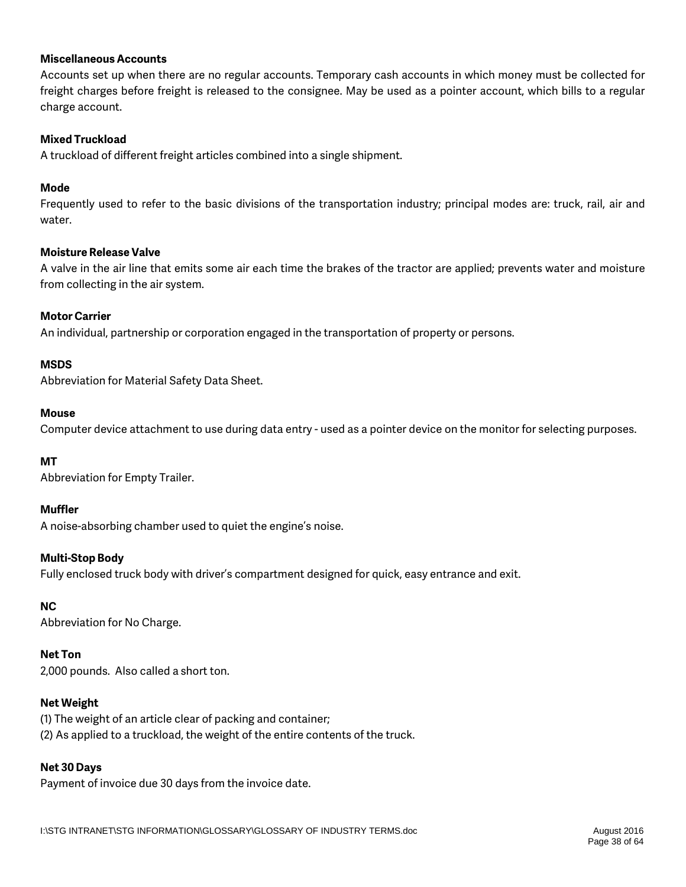### **Miscellaneous Accounts**

Accounts set up when there are no regular accounts. Temporary cash accounts in which money must be collected for freight charges before freight is released to the consignee. May be used as a pointer account, which bills to a regular charge account.

### **Mixed Truckload**

A truckload of different freight articles combined into a single shipment.

### **Mode**

Frequently used to refer to the basic divisions of the transportation industry; principal modes are: truck, rail, air and water.

### **Moisture Release Valve**

A valve in the air line that emits some air each time the brakes of the tractor are applied; prevents water and moisture from collecting in the air system.

### **Motor Carrier**

An individual, partnership or corporation engaged in the transportation of property or persons.

### **MSDS**

Abbreviation for Material Safety Data Sheet.

### **Mouse**

Computer device attachment to use during data entry - used as a pointer device on the monitor for selecting purposes.

### **MT**

Abbreviation for Empty Trailer.

### **Muffler**

A noise-absorbing chamber used to quiet the engine's noise.

### **Multi-Stop Body**

Fully enclosed truck body with driver's compartment designed for quick, easy entrance and exit.

## **NC**

Abbreviation for No Charge.

## **Net Ton**

2,000 pounds. Also called a short ton.

## **Net Weight**

(1) The weight of an article clear of packing and container; (2) As applied to a truckload, the weight of the entire contents of the truck.

## **Net 30 Days**

Payment of invoice due 30 days from the invoice date.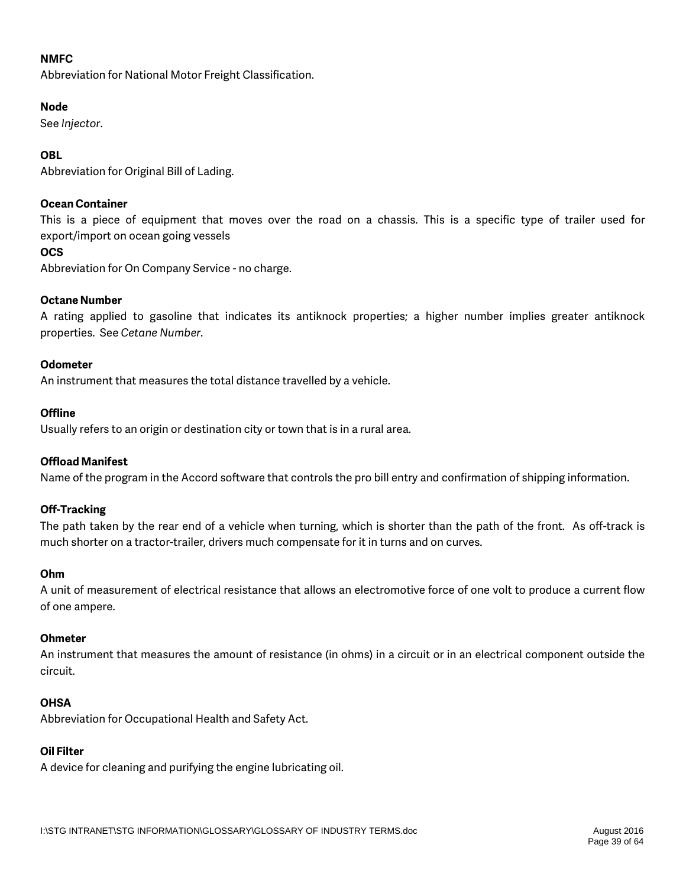### **NMFC**

Abbreviation for National Motor Freight Classification.

#### **Node**

See *Injector*.

### **OBL**

Abbreviation for Original Bill of Lading.

#### **Ocean Container**

This is a piece of equipment that moves over the road on a chassis. This is a specific type of trailer used for export/import on ocean going vessels

#### **OCS**

Abbreviation for On Company Service - no charge.

#### **Octane Number**

A rating applied to gasoline that indicates its antiknock properties; a higher number implies greater antiknock properties. See *Cetane Number*.

#### **Odometer**

An instrument that measures the total distance travelled by a vehicle.

### **Offline**

Usually refers to an origin or destination city or town that is in a rural area.

### **Offload Manifest**

Name of the program in the Accord software that controls the pro bill entry and confirmation of shipping information.

### **Off-Tracking**

The path taken by the rear end of a vehicle when turning, which is shorter than the path of the front. As off-track is much shorter on a tractor-trailer, drivers much compensate for it in turns and on curves.

#### **Ohm**

A unit of measurement of electrical resistance that allows an electromotive force of one volt to produce a current flow of one ampere.

#### **Ohmeter**

An instrument that measures the amount of resistance (in ohms) in a circuit or in an electrical component outside the circuit.

### **OHSA**

Abbreviation for Occupational Health and Safety Act.

### **Oil Filter**

A device for cleaning and purifying the engine lubricating oil.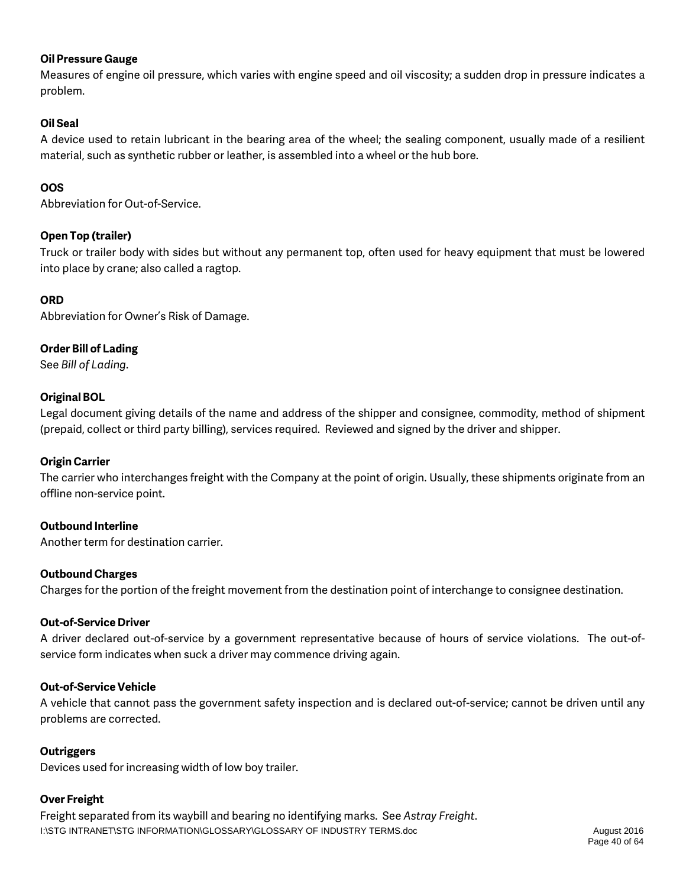### **Oil Pressure Gauge**

Measures of engine oil pressure, which varies with engine speed and oil viscosity; a sudden drop in pressure indicates a problem.

### **Oil Seal**

A device used to retain lubricant in the bearing area of the wheel; the sealing component, usually made of a resilient material, such as synthetic rubber or leather, is assembled into a wheel or the hub bore.

### **OOS**

Abbreviation for Out-of-Service.

### **Open Top (trailer)**

Truck or trailer body with sides but without any permanent top, often used for heavy equipment that must be lowered into place by crane; also called a ragtop.

### **ORD**

Abbreviation for Owner's Risk of Damage.

### **Order Bill of Lading**

See *Bill of Lading*.

### **Original BOL**

Legal document giving details of the name and address of the shipper and consignee, commodity, method of shipment (prepaid, collect or third party billing), services required. Reviewed and signed by the driver and shipper.

### **Origin Carrier**

The carrier who interchanges freight with the Company at the point of origin. Usually, these shipments originate from an offline non-service point.

### **Outbound Interline**

Another term for destination carrier.

### **Outbound Charges**

Charges for the portion of the freight movement from the destination point of interchange to consignee destination.

### **Out-of-Service Driver**

A driver declared out-of-service by a government representative because of hours of service violations. The out-ofservice form indicates when suck a driver may commence driving again.

### **Out-of-Service Vehicle**

A vehicle that cannot pass the government safety inspection and is declared out-of-service; cannot be driven until any problems are corrected.

### **Outriggers**

Devices used for increasing width of low boy trailer.

### **Over Freight**

I:\STG INTRANET\STG INFORMATION\GLOSSARY\GLOSSARY OF INDUSTRY TERMS.doc August 2016 Freight separated from its waybill and bearing no identifying marks. See *Astray Freight*.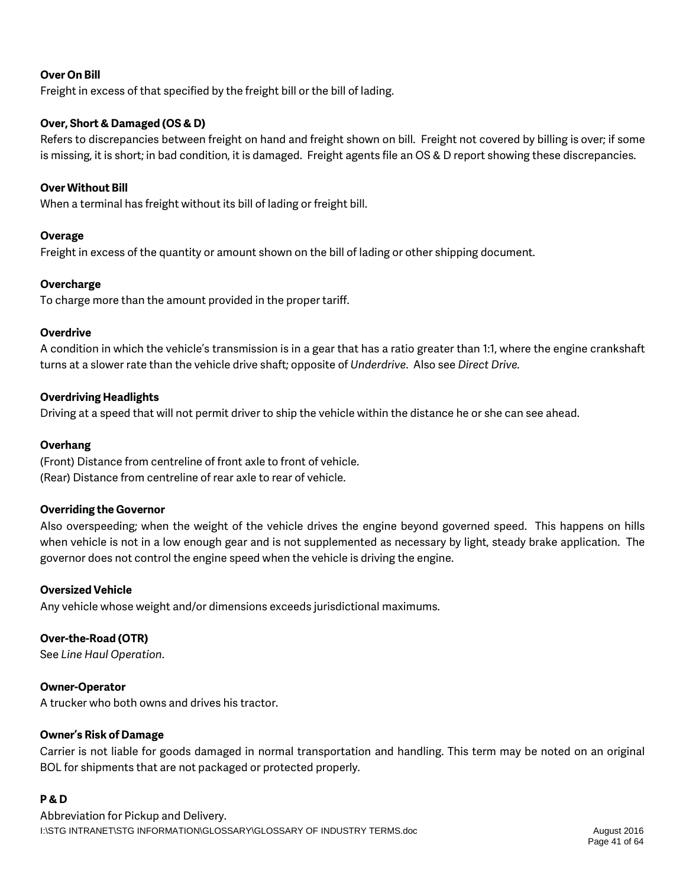### **Over On Bill**

Freight in excess of that specified by the freight bill or the bill of lading.

### **Over, Short & Damaged (OS & D)**

Refers to discrepancies between freight on hand and freight shown on bill. Freight not covered by billing is over; if some is missing, it is short; in bad condition, it is damaged. Freight agents file an OS & D report showing these discrepancies.

### **Over Without Bill**

When a terminal has freight without its bill of lading or freight bill.

### **Overage**

Freight in excess of the quantity or amount shown on the bill of lading or other shipping document.

### **Overcharge**

To charge more than the amount provided in the proper tariff.

### **Overdrive**

A condition in which the vehicle's transmission is in a gear that has a ratio greater than 1:1, where the engine crankshaft turns at a slower rate than the vehicle drive shaft; opposite of *Underdrive*. Also see *Direct Drive.*

### **Overdriving Headlights**

Driving at a speed that will not permit driver to ship the vehicle within the distance he or she can see ahead.

### **Overhang**

(Front) Distance from centreline of front axle to front of vehicle. (Rear) Distance from centreline of rear axle to rear of vehicle.

### **Overriding the Governor**

Also overspeeding; when the weight of the vehicle drives the engine beyond governed speed. This happens on hills when vehicle is not in a low enough gear and is not supplemented as necessary by light, steady brake application. The governor does not control the engine speed when the vehicle is driving the engine.

### **Oversized Vehicle**

Any vehicle whose weight and/or dimensions exceeds jurisdictional maximums.

### **Over-the-Road (OTR)**

See *Line Haul Operation*.

### **Owner-Operator**

A trucker who both owns and drives his tractor.

### **Owner's Risk of Damage**

Carrier is not liable for goods damaged in normal transportation and handling. This term may be noted on an original BOL for shipments that are not packaged or protected properly.

### **P & D**

I:\STG INTRANET\STG INFORMATION\GLOSSARY\GLOSSARY OF INDUSTRY TERMS.doc August 2016 Abbreviation for Pickup and Delivery.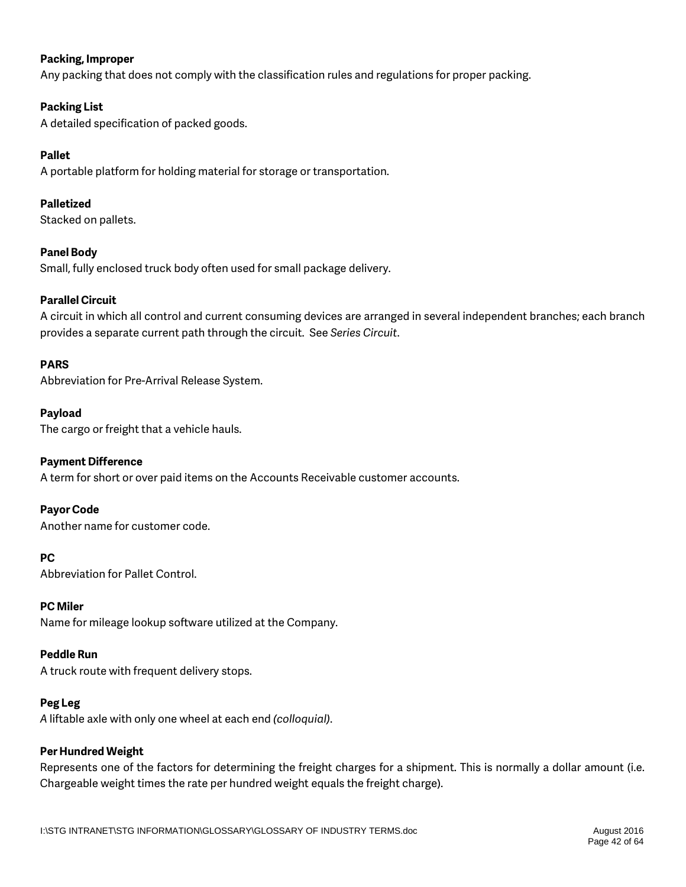### **Packing, Improper**

Any packing that does not comply with the classification rules and regulations for proper packing.

### **Packing List**

A detailed specification of packed goods.

### **Pallet**

A portable platform for holding material for storage or transportation.

### **Palletized**

Stacked on pallets.

### **Panel Body**

Small, fully enclosed truck body often used for small package delivery.

### **Parallel Circuit**

A circuit in which all control and current consuming devices are arranged in several independent branches; each branch provides a separate current path through the circuit. See *Series Circuit*.

### **PARS**

Abbreviation for Pre-Arrival Release System.

### **Payload**

The cargo or freight that a vehicle hauls.

### **Payment Difference**

A term for short or over paid items on the Accounts Receivable customer accounts.

### **Payor Code**

Another name for customer code.

### **PC**

Abbreviation for Pallet Control.

### **PC Miler**

Name for mileage lookup software utilized at the Company.

### **Peddle Run**

A truck route with frequent delivery stops.

### **Peg Leg**

*A* liftable axle with only one wheel at each end *(colloquial)*.

### **Per Hundred Weight**

Represents one of the factors for determining the freight charges for a shipment. This is normally a dollar amount (i.e. Chargeable weight times the rate per hundred weight equals the freight charge).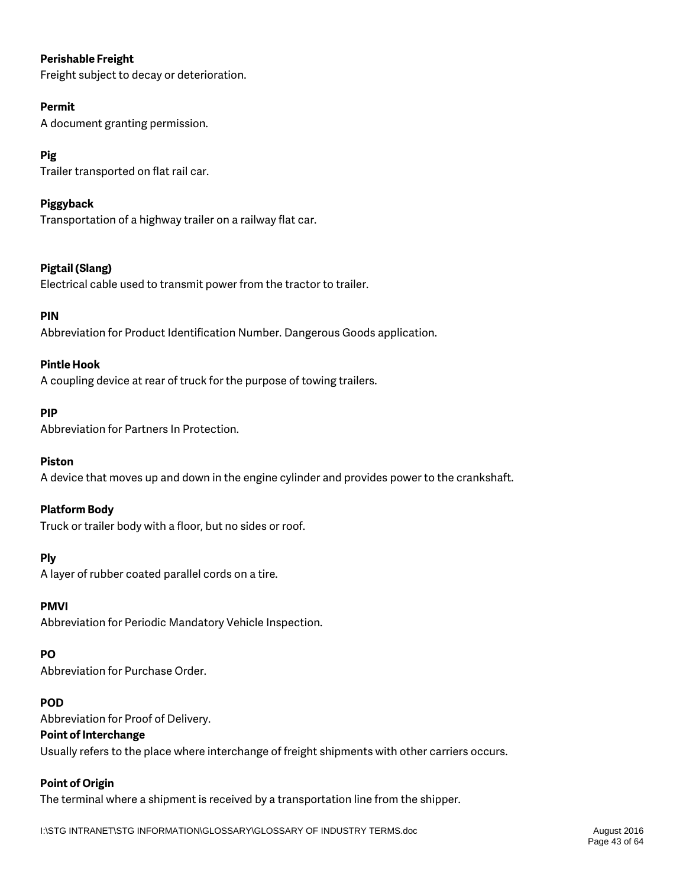### **Perishable Freight**

Freight subject to decay or deterioration.

### **Permit**

A document granting permission.

## **Pig**

Trailer transported on flat rail car.

### **Piggyback**

Transportation of a highway trailer on a railway flat car.

### **Pigtail (Slang)**

Electrical cable used to transmit power from the tractor to trailer.

### **PIN**

Abbreviation for Product Identification Number. Dangerous Goods application.

### **Pintle Hook**

A coupling device at rear of truck for the purpose of towing trailers.

### **PIP**

Abbreviation for Partners In Protection.

### **Piston**

A device that moves up and down in the engine cylinder and provides power to the crankshaft.

### **Platform Body**

Truck or trailer body with a floor, but no sides or roof.

### **Ply**

A layer of rubber coated parallel cords on a tire.

### **PMVI**

Abbreviation for Periodic Mandatory Vehicle Inspection.

### **PO**

Abbreviation for Purchase Order.

### **POD**

Abbreviation for Proof of Delivery.

### **Point of Interchange**

Usually refers to the place where interchange of freight shipments with other carriers occurs.

### **Point of Origin**

The terminal where a shipment is received by a transportation line from the shipper.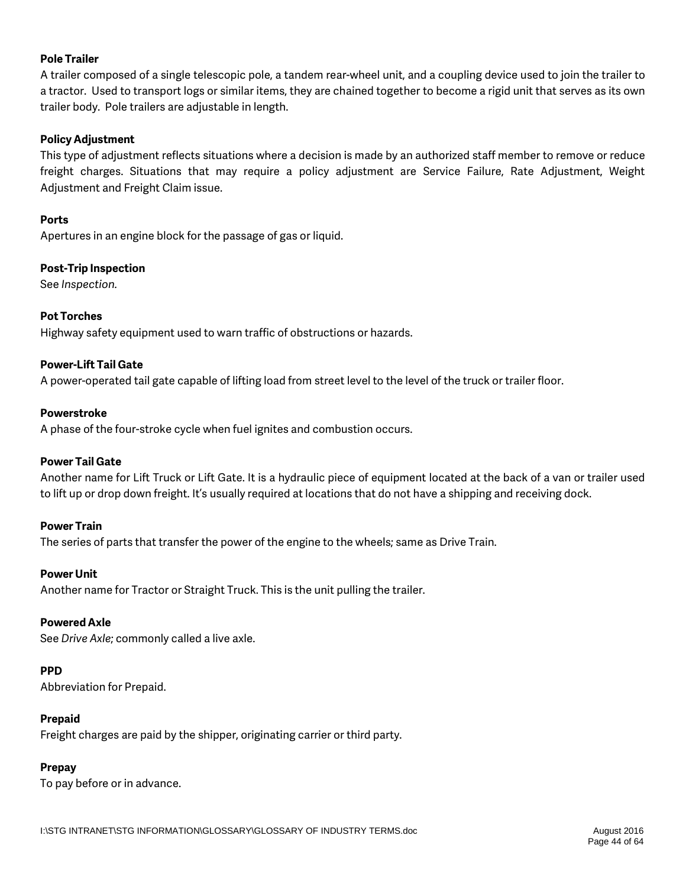### **Pole Trailer**

A trailer composed of a single telescopic pole, a tandem rear-wheel unit, and a coupling device used to join the trailer to a tractor. Used to transport logs or similar items, they are chained together to become a rigid unit that serves as its own trailer body. Pole trailers are adjustable in length.

### **Policy Adjustment**

This type of adjustment reflects situations where a decision is made by an authorized staff member to remove or reduce freight charges. Situations that may require a policy adjustment are Service Failure, Rate Adjustment, Weight Adjustment and Freight Claim issue.

### **Ports**

Apertures in an engine block for the passage of gas or liquid.

### **Post-Trip Inspection**

See *Inspection.* 

### **Pot Torches**

Highway safety equipment used to warn traffic of obstructions or hazards.

### **Power-Lift Tail Gate**

A power-operated tail gate capable of lifting load from street level to the level of the truck or trailer floor.

### **Powerstroke**

A phase of the four-stroke cycle when fuel ignites and combustion occurs.

### **Power Tail Gate**

Another name for Lift Truck or Lift Gate. It is a hydraulic piece of equipment located at the back of a van or trailer used to lift up or drop down freight. It's usually required at locations that do not have a shipping and receiving dock.

### **Power Train**

The series of parts that transfer the power of the engine to the wheels; same as Drive Train.

#### **Power Unit**

Another name for Tractor or Straight Truck. This is the unit pulling the trailer.

### **Powered Axle**

See *Drive Axle*; commonly called a live axle.

### **PPD**

Abbreviation for Prepaid.

### **Prepaid**

Freight charges are paid by the shipper, originating carrier or third party.

### **Prepay**

To pay before or in advance.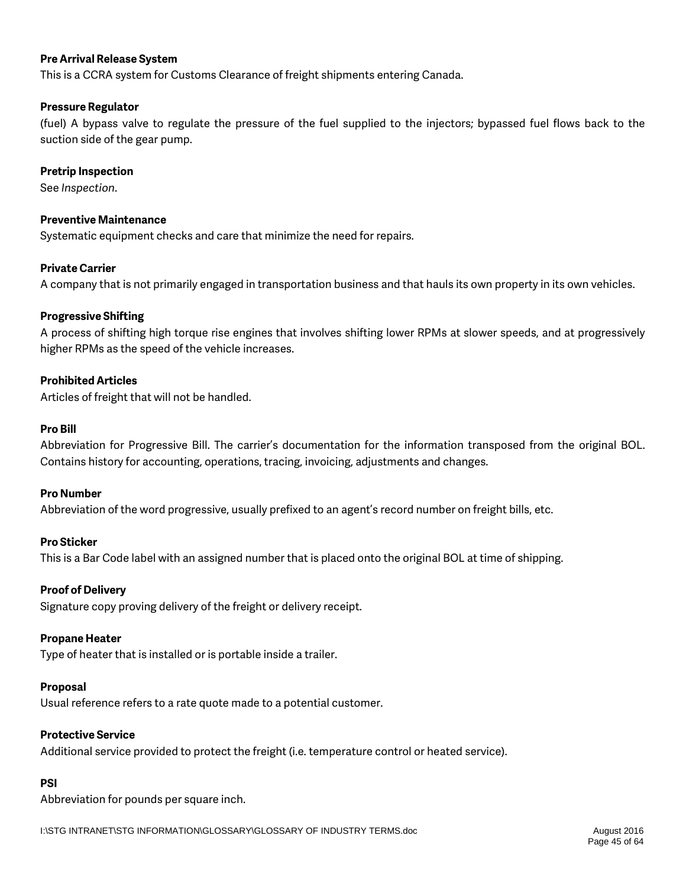### **Pre Arrival Release System**

This is a CCRA system for Customs Clearance of freight shipments entering Canada.

### **Pressure Regulator**

(fuel) A bypass valve to regulate the pressure of the fuel supplied to the injectors; bypassed fuel flows back to the suction side of the gear pump.

#### **Pretrip Inspection**

See *Inspection*.

#### **Preventive Maintenance**

Systematic equipment checks and care that minimize the need for repairs.

### **Private Carrier**

A company that is not primarily engaged in transportation business and that hauls its own property in its own vehicles.

### **Progressive Shifting**

A process of shifting high torque rise engines that involves shifting lower RPMs at slower speeds, and at progressively higher RPMs as the speed of the vehicle increases.

#### **Prohibited Articles**

Articles of freight that will not be handled.

#### **Pro Bill**

Abbreviation for Progressive Bill. The carrier's documentation for the information transposed from the original BOL. Contains history for accounting, operations, tracing, invoicing, adjustments and changes.

#### **Pro Number**

Abbreviation of the word progressive, usually prefixed to an agent's record number on freight bills, etc.

### **Pro Sticker**

This is a Bar Code label with an assigned number that is placed onto the original BOL at time of shipping.

#### **Proof of Delivery**

Signature copy proving delivery of the freight or delivery receipt.

#### **Propane Heater**

Type of heater that is installed or is portable inside a trailer.

#### **Proposal**

Usual reference refers to a rate quote made to a potential customer.

#### **Protective Service**

Additional service provided to protect the freight (i.e. temperature control or heated service).

## **PSI**

Abbreviation for pounds per square inch.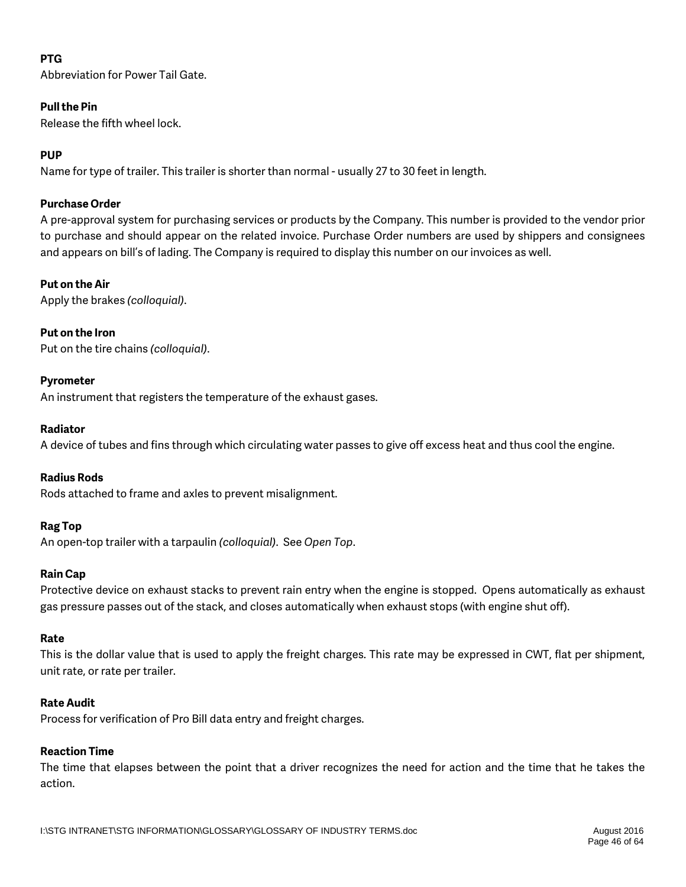### **PTG**

Abbreviation for Power Tail Gate.

### **Pull the Pin**

Release the fifth wheel lock.

### **PUP**

Name for type of trailer. This trailer is shorter than normal - usually 27 to 30 feet in length.

### **Purchase Order**

A pre-approval system for purchasing services or products by the Company. This number is provided to the vendor prior to purchase and should appear on the related invoice. Purchase Order numbers are used by shippers and consignees and appears on bill's of lading. The Company is required to display this number on our invoices as well.

### **Put on the Air**

Apply the brakes *(colloquial)*.

### **Put on the Iron**

Put on the tire chains *(colloquial)*.

### **Pyrometer**

An instrument that registers the temperature of the exhaust gases.

#### **Radiator**

A device of tubes and fins through which circulating water passes to give off excess heat and thus cool the engine.

### **Radius Rods**

Rods attached to frame and axles to prevent misalignment.

### **Rag Top**

An open-top trailer with a tarpaulin *(colloquial)*. See *Open Top*.

### **Rain Cap**

Protective device on exhaust stacks to prevent rain entry when the engine is stopped. Opens automatically as exhaust gas pressure passes out of the stack, and closes automatically when exhaust stops (with engine shut off).

### **Rate**

This is the dollar value that is used to apply the freight charges. This rate may be expressed in CWT, flat per shipment, unit rate, or rate per trailer.

### **Rate Audit**

Process for verification of Pro Bill data entry and freight charges.

## **Reaction Time**

The time that elapses between the point that a driver recognizes the need for action and the time that he takes the action.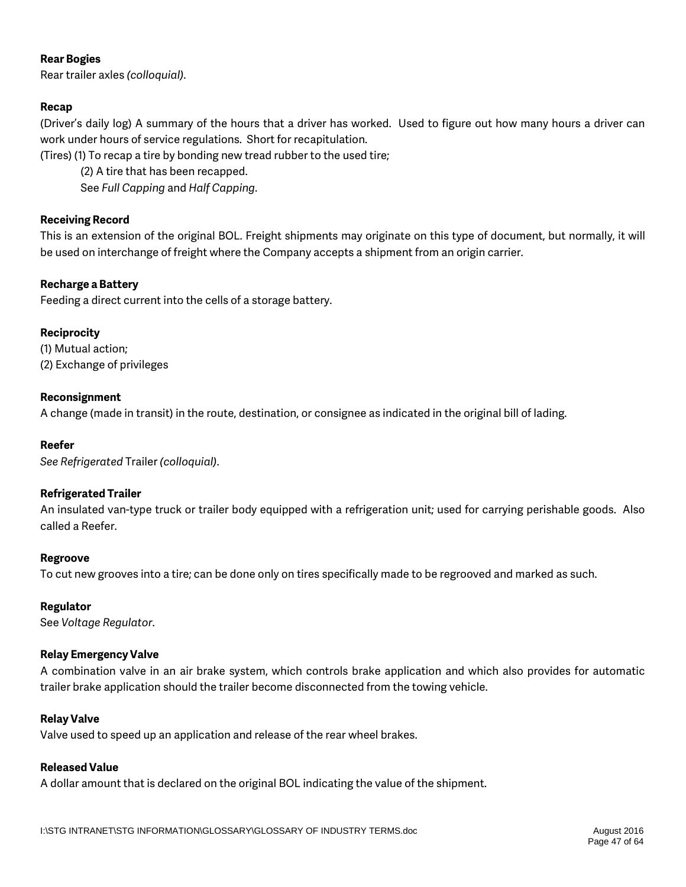### **Rear Bogies**

Rear trailer axles *(colloquial)*.

### **Recap**

(Driver's daily log) A summary of the hours that a driver has worked. Used to figure out how many hours a driver can work under hours of service regulations. Short for recapitulation.

(Tires) (1) To recap a tire by bonding new tread rubber to the used tire;

(2) A tire that has been recapped.

See *Full Capping* and *Half Capping*.

### **Receiving Record**

This is an extension of the original BOL. Freight shipments may originate on this type of document, but normally, it will be used on interchange of freight where the Company accepts a shipment from an origin carrier.

### **Recharge a Battery**

Feeding a direct current into the cells of a storage battery.

### **Reciprocity**

(1) Mutual action; (2) Exchange of privileges

### **Reconsignment**

A change (made in transit) in the route, destination, or consignee as indicated in the original bill of lading.

### **Reefer**

*See Refrigerated* Trailer *(colloquial)*.

### **Refrigerated Trailer**

An insulated van-type truck or trailer body equipped with a refrigeration unit; used for carrying perishable goods. Also called a Reefer.

### **Regroove**

To cut new grooves into a tire; can be done only on tires specifically made to be regrooved and marked as such.

### **Regulator**

See *Voltage Regulator*.

### **Relay Emergency Valve**

A combination valve in an air brake system, which controls brake application and which also provides for automatic trailer brake application should the trailer become disconnected from the towing vehicle.

### **Relay Valve**

Valve used to speed up an application and release of the rear wheel brakes.

### **Released Value**

A dollar amount that is declared on the original BOL indicating the value of the shipment.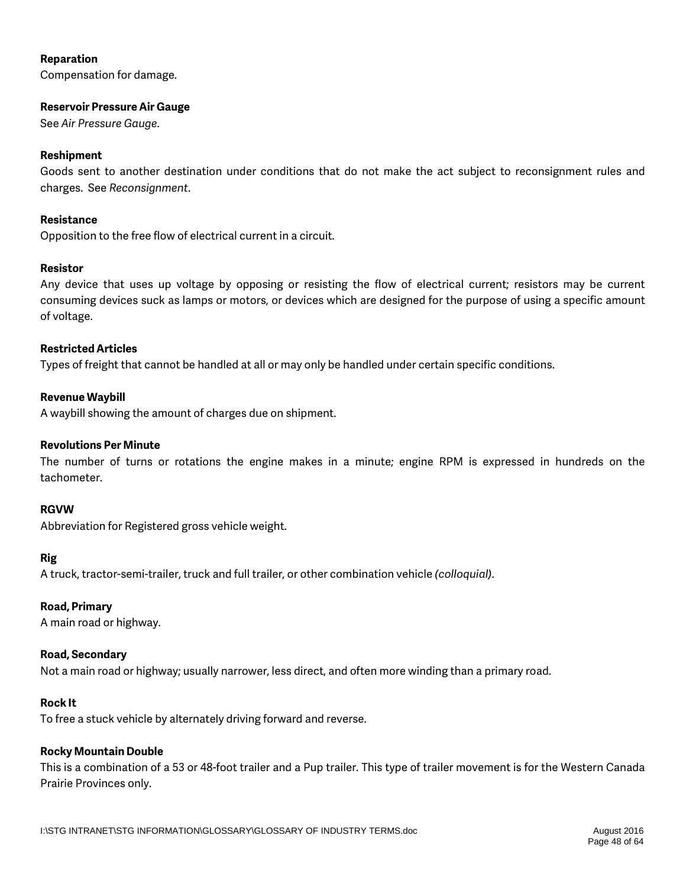### **Reparation**

Compensation for damage.

#### **Reservoir Pressure Air Gauge**

See *Air Pressure Gauge*.

### **Reshipment**

Goods sent to another destination under conditions that do not make the act subject to reconsignment rules and charges. See *Reconsignment*.

### **Resistance**

Opposition to the free flow of electrical current in a circuit.

### **Resistor**

Any device that uses up voltage by opposing or resisting the flow of electrical current; resistors may be current consuming devices suck as lamps or motors, or devices which are designed for the purpose of using a specific amount of voltage.

#### **Restricted Articles**

Types of freight that cannot be handled at all or may only be handled under certain specific conditions.

### **Revenue Waybill**

A waybill showing the amount of charges due on shipment.

### **Revolutions Per Minute**

The number of turns or rotations the engine makes in a minute; engine RPM is expressed in hundreds on the tachometer.

#### **RGVW**

Abbreviation for Registered gross vehicle weight.

### **Rig**

A truck, tractor-semi-trailer, truck and full trailer, or other combination vehicle *(colloquial)*.

### **Road, Primary**

A main road or highway.

#### **Road, Secondary**

Not a main road or highway; usually narrower, less direct, and often more winding than a primary road.

#### **Rock It**

To free a stuck vehicle by alternately driving forward and reverse.

### **Rocky Mountain Double**

This is a combination of a 53 or 48-foot trailer and a Pup trailer. This type of trailer movement is for the Western Canada Prairie Provinces only.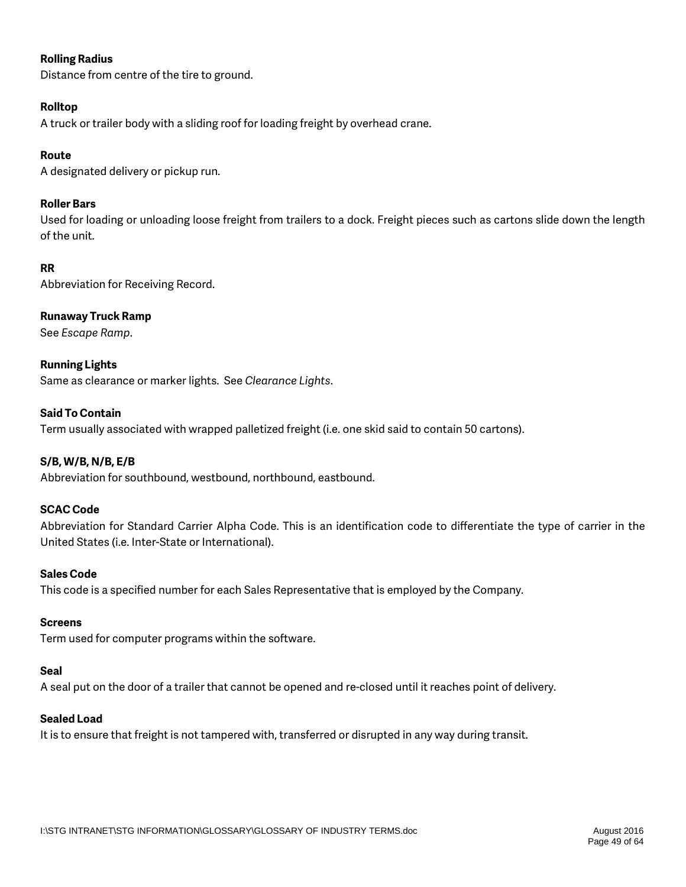### **Rolling Radius**

Distance from centre of the tire to ground.

### **Rolltop**

A truck or trailer body with a sliding roof for loading freight by overhead crane.

### **Route**

A designated delivery or pickup run.

### **Roller Bars**

Used for loading or unloading loose freight from trailers to a dock. Freight pieces such as cartons slide down the length of the unit.

### **RR**

Abbreviation for Receiving Record.

### **Runaway Truck Ramp**

See *Escape Ramp*.

**Running Lights** Same as clearance or marker lights. See *Clearance Lights*.

### **Said To Contain**

Term usually associated with wrapped palletized freight (i.e. one skid said to contain 50 cartons).

### **S/B, W/B, N/B, E/B**

Abbreviation for southbound, westbound, northbound, eastbound.

### **SCAC Code**

Abbreviation for Standard Carrier Alpha Code. This is an identification code to differentiate the type of carrier in the United States (i.e. Inter-State or International).

### **Sales Code**

This code is a specified number for each Sales Representative that is employed by the Company.

### **Screens**

Term used for computer programs within the software.

### **Seal**

A seal put on the door of a trailer that cannot be opened and re-closed until it reaches point of delivery.

### **Sealed Load**

It is to ensure that freight is not tampered with, transferred or disrupted in any way during transit.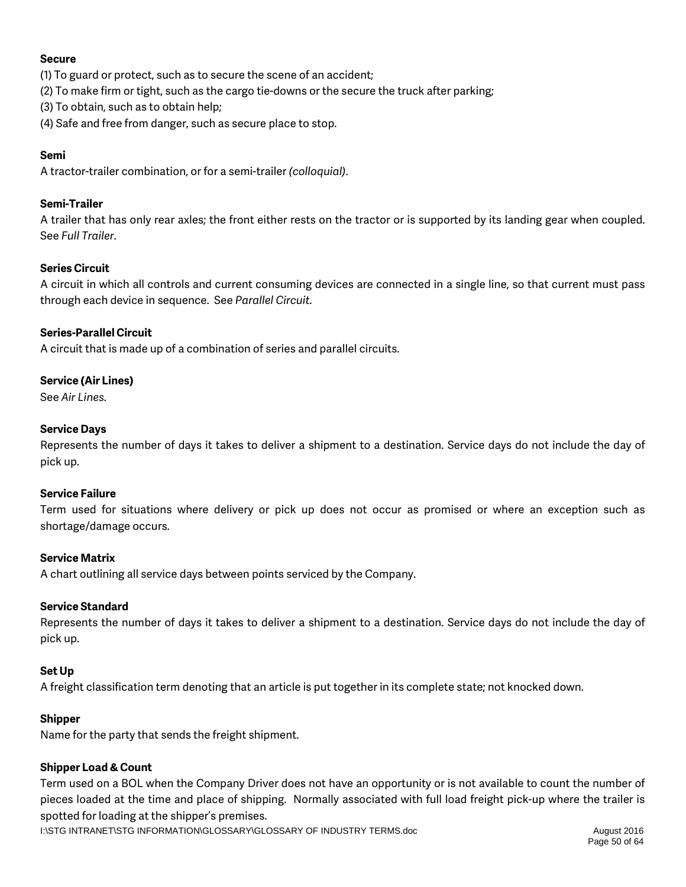### **Secure**

- (1) To guard or protect, such as to secure the scene of an accident;
- (2) To make firm or tight, such as the cargo tie-downs or the secure the truck after parking;
- (3) To obtain, such as to obtain help;
- (4) Safe and free from danger, such as secure place to stop.

### **Semi**

A tractor-trailer combination, or for a semi-trailer *(colloquial)*.

### **Semi-Trailer**

A trailer that has only rear axles; the front either rests on the tractor or is supported by its landing gear when coupled. See *Full Trailer*.

### **Series Circuit**

A circuit in which all controls and current consuming devices are connected in a single line, so that current must pass through each device in sequence. See *Parallel Circuit.*

### **Series-Parallel Circuit**

A circuit that is made up of a combination of series and parallel circuits.

### **Service (Air Lines)**

See *Air Lines.*

### **Service Days**

Represents the number of days it takes to deliver a shipment to a destination. Service days do not include the day of pick up.

### **Service Failure**

Term used for situations where delivery or pick up does not occur as promised or where an exception such as shortage/damage occurs.

### **Service Matrix**

A chart outlining all service days between points serviced by the Company.

### **Service Standard**

Represents the number of days it takes to deliver a shipment to a destination. Service days do not include the day of pick up.

### **Set Up**

A freight classification term denoting that an article is put together in its complete state; not knocked down.

### **Shipper**

Name for the party that sends the freight shipment.

### **Shipper Load & Count**

Term used on a BOL when the Company Driver does not have an opportunity or is not available to count the number of pieces loaded at the time and place of shipping. Normally associated with full load freight pick-up where the trailer is spotted for loading at the shipper's premises.

I:\STG INTRANET\STG INFORMATION\GLOSSARY\GLOSSARY OF INDUSTRY TERMS.doc August 2016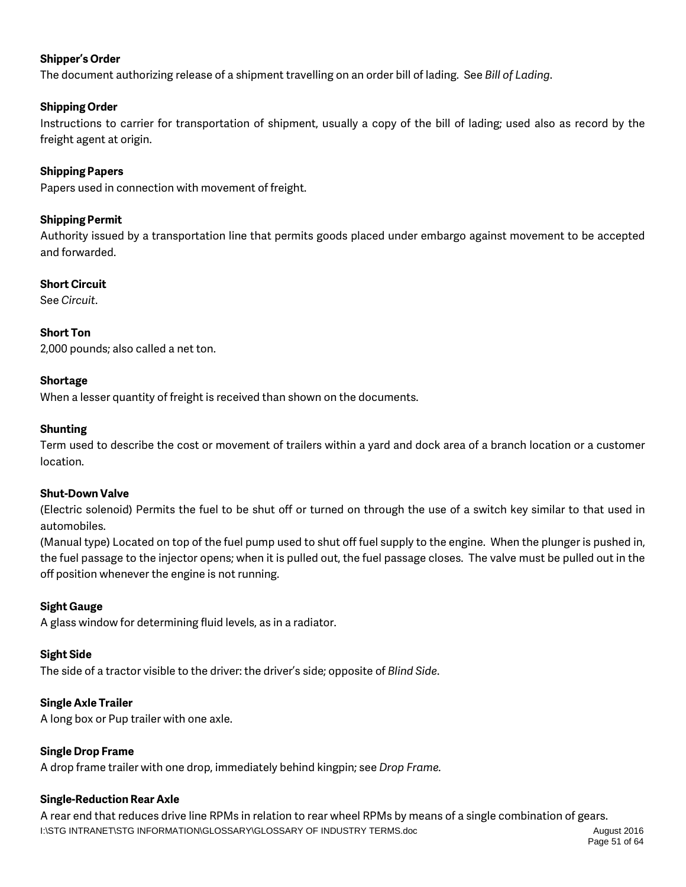### **Shipper's Order**

The document authorizing release of a shipment travelling on an order bill of lading. See *Bill of Lading*.

### **Shipping Order**

Instructions to carrier for transportation of shipment, usually a copy of the bill of lading; used also as record by the freight agent at origin.

### **Shipping Papers**

Papers used in connection with movement of freight.

### **Shipping Permit**

Authority issued by a transportation line that permits goods placed under embargo against movement to be accepted and forwarded.

### **Short Circuit**

See *Circuit*.

### **Short Ton**

2,000 pounds; also called a net ton.

### **Shortage**

When a lesser quantity of freight is received than shown on the documents.

### **Shunting**

Term used to describe the cost or movement of trailers within a yard and dock area of a branch location or a customer location.

### **Shut-Down Valve**

(Electric solenoid) Permits the fuel to be shut off or turned on through the use of a switch key similar to that used in automobiles.

(Manual type) Located on top of the fuel pump used to shut off fuel supply to the engine. When the plunger is pushed in, the fuel passage to the injector opens; when it is pulled out, the fuel passage closes. The valve must be pulled out in the off position whenever the engine is not running.

### **Sight Gauge**

A glass window for determining fluid levels, as in a radiator.

### **Sight Side**

The side of a tractor visible to the driver: the driver's side; opposite of *Blind Side*.

### **Single Axle Trailer**

A long box or Pup trailer with one axle.

### **Single Drop Frame**

A drop frame trailer with one drop, immediately behind kingpin; see *Drop Frame.*

### **Single-Reduction Rear Axle**

I:\STG INTRANET\STG INFORMATION\GLOSSARY\GLOSSARY OF INDUSTRY TERMS.doc August 2016 A rear end that reduces drive line RPMs in relation to rear wheel RPMs by means of a single combination of gears.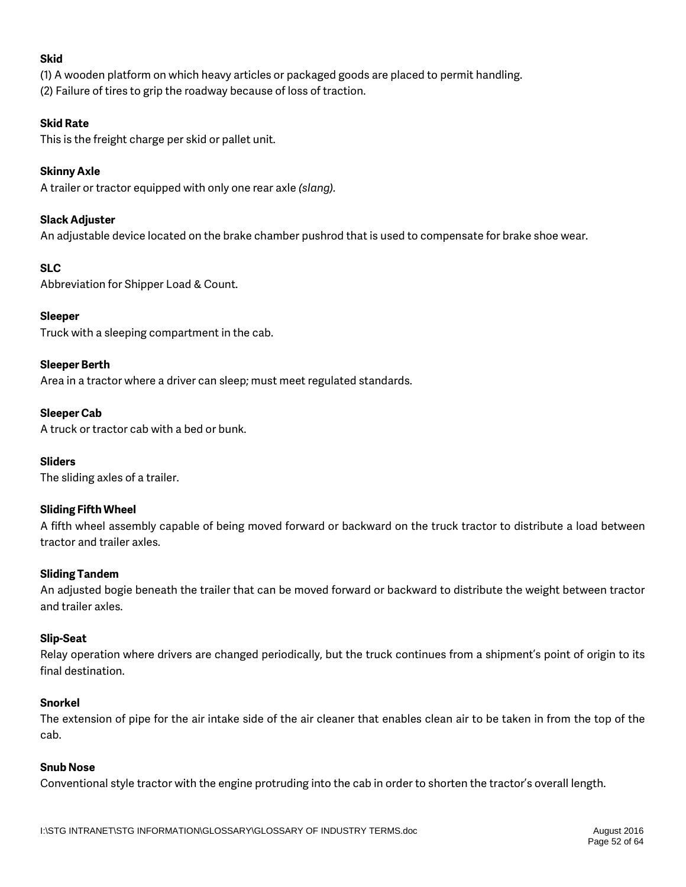### **Skid**

(1) A wooden platform on which heavy articles or packaged goods are placed to permit handling. (2) Failure of tires to grip the roadway because of loss of traction.

### **Skid Rate**

This is the freight charge per skid or pallet unit.

### **Skinny Axle**

A trailer or tractor equipped with only one rear axle *(slang).*

### **Slack Adjuster**

An adjustable device located on the brake chamber pushrod that is used to compensate for brake shoe wear.

### **SLC**

Abbreviation for Shipper Load & Count.

### **Sleeper**

Truck with a sleeping compartment in the cab.

### **Sleeper Berth**

Area in a tractor where a driver can sleep; must meet regulated standards.

### **Sleeper Cab**

A truck or tractor cab with a bed or bunk.

### **Sliders**

The sliding axles of a trailer.

### **Sliding Fifth Wheel**

A fifth wheel assembly capable of being moved forward or backward on the truck tractor to distribute a load between tractor and trailer axles.

### **Sliding Tandem**

An adjusted bogie beneath the trailer that can be moved forward or backward to distribute the weight between tractor and trailer axles.

#### **Slip-Seat**

Relay operation where drivers are changed periodically, but the truck continues from a shipment's point of origin to its final destination.

#### **Snorkel**

The extension of pipe for the air intake side of the air cleaner that enables clean air to be taken in from the top of the cab.

#### **Snub Nose**

Conventional style tractor with the engine protruding into the cab in order to shorten the tractor's overall length.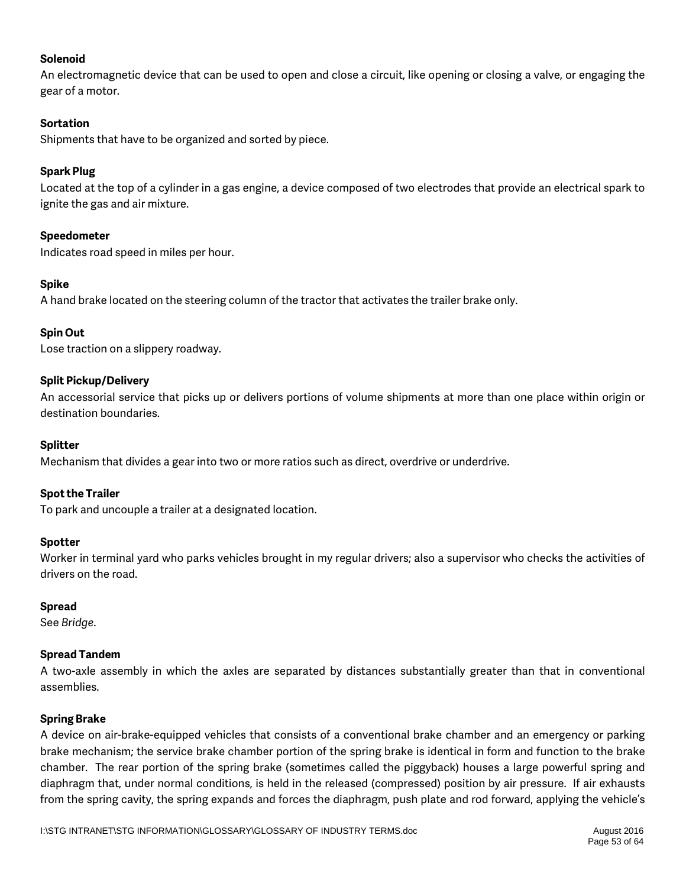### **Solenoid**

An electromagnetic device that can be used to open and close a circuit, like opening or closing a valve, or engaging the gear of a motor.

### **Sortation**

Shipments that have to be organized and sorted by piece.

### **Spark Plug**

Located at the top of a cylinder in a gas engine, a device composed of two electrodes that provide an electrical spark to ignite the gas and air mixture.

### **Speedometer**

Indicates road speed in miles per hour.

### **Spike**

A hand brake located on the steering column of the tractor that activates the trailer brake only.

### **Spin Out**

Lose traction on a slippery roadway.

### **Split Pickup/Delivery**

An accessorial service that picks up or delivers portions of volume shipments at more than one place within origin or destination boundaries.

### **Splitter**

Mechanism that divides a gear into two or more ratios such as direct, overdrive or underdrive.

### **Spot the Trailer**

To park and uncouple a trailer at a designated location.

### **Spotter**

Worker in terminal yard who parks vehicles brought in my regular drivers; also a supervisor who checks the activities of drivers on the road.

### **Spread**

See *Bridge*.

### **Spread Tandem**

A two-axle assembly in which the axles are separated by distances substantially greater than that in conventional assemblies.

### **Spring Brake**

A device on air-brake-equipped vehicles that consists of a conventional brake chamber and an emergency or parking brake mechanism; the service brake chamber portion of the spring brake is identical in form and function to the brake chamber. The rear portion of the spring brake (sometimes called the piggyback) houses a large powerful spring and diaphragm that, under normal conditions, is held in the released (compressed) position by air pressure. If air exhausts from the spring cavity, the spring expands and forces the diaphragm, push plate and rod forward, applying the vehicle's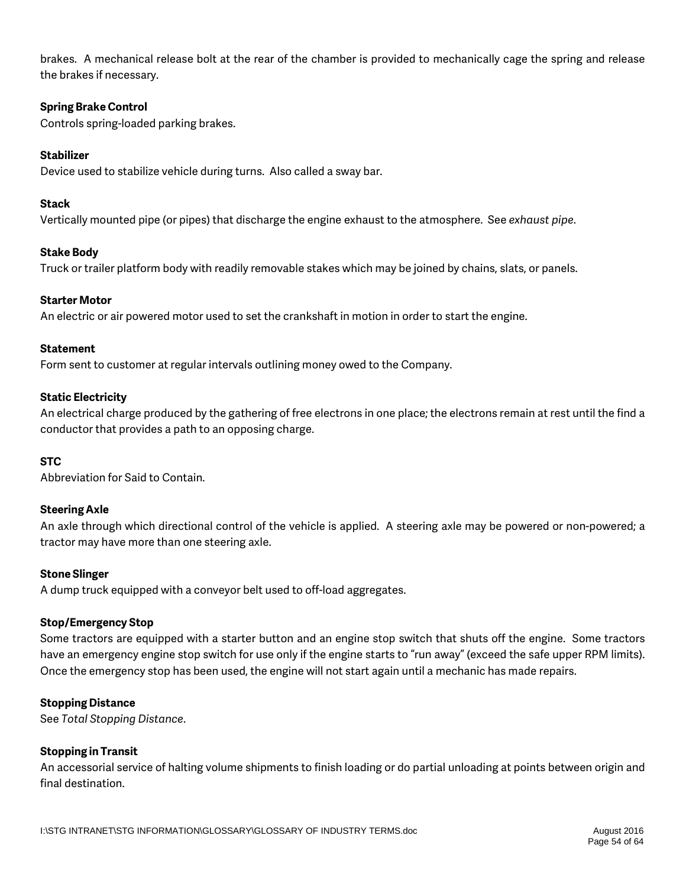brakes. A mechanical release bolt at the rear of the chamber is provided to mechanically cage the spring and release the brakes if necessary.

### **Spring Brake Control**

Controls spring-loaded parking brakes.

#### **Stabilizer**

Device used to stabilize vehicle during turns. Also called a sway bar.

### **Stack**

Vertically mounted pipe (or pipes) that discharge the engine exhaust to the atmosphere. See *exhaust pipe*.

#### **Stake Body**

Truck or trailer platform body with readily removable stakes which may be joined by chains, slats, or panels.

#### **Starter Motor**

An electric or air powered motor used to set the crankshaft in motion in order to start the engine.

#### **Statement**

Form sent to customer at regular intervals outlining money owed to the Company.

### **Static Electricity**

An electrical charge produced by the gathering of free electrons in one place; the electrons remain at rest until the find a conductor that provides a path to an opposing charge.

### **STC**

Abbreviation for Said to Contain.

#### **Steering Axle**

An axle through which directional control of the vehicle is applied. A steering axle may be powered or non-powered; a tractor may have more than one steering axle.

#### **Stone Slinger**

A dump truck equipped with a conveyor belt used to off-load aggregates.

### **Stop/Emergency Stop**

Some tractors are equipped with a starter button and an engine stop switch that shuts off the engine. Some tractors have an emergency engine stop switch for use only if the engine starts to "run away" (exceed the safe upper RPM limits). Once the emergency stop has been used, the engine will not start again until a mechanic has made repairs.

#### **Stopping Distance**

See *Total Stopping Distance*.

### **Stopping in Transit**

An accessorial service of halting volume shipments to finish loading or do partial unloading at points between origin and final destination.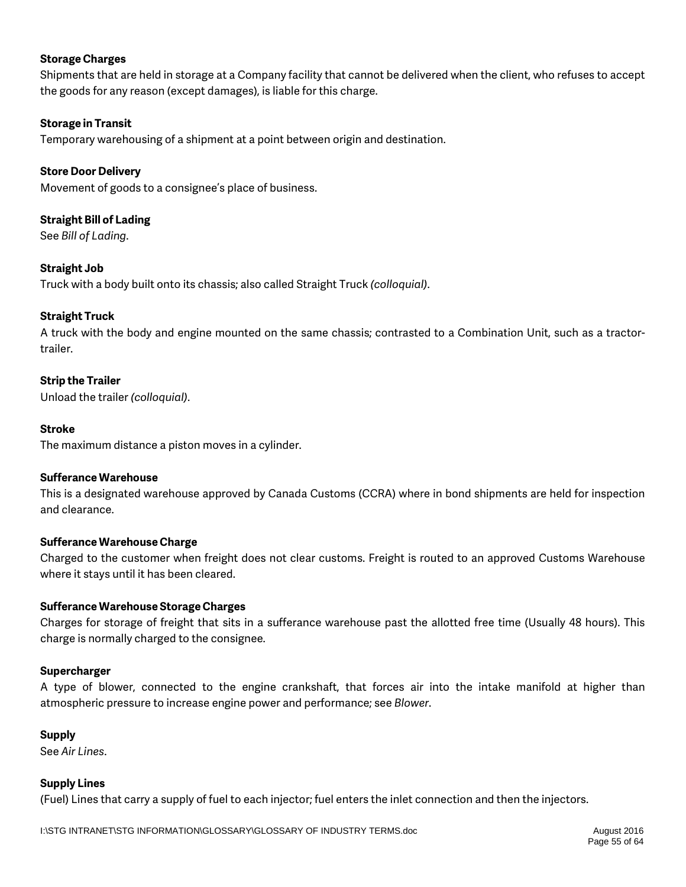### **Storage Charges**

Shipments that are held in storage at a Company facility that cannot be delivered when the client, who refuses to accept the goods for any reason (except damages), is liable for this charge.

### **Storage in Transit**

Temporary warehousing of a shipment at a point between origin and destination.

### **Store Door Delivery**

Movement of goods to a consignee's place of business.

## **Straight Bill of Lading**

See *Bill of Lading*.

### **Straight Job**

Truck with a body built onto its chassis; also called Straight Truck *(colloquial)*.

### **Straight Truck**

A truck with the body and engine mounted on the same chassis; contrasted to a Combination Unit, such as a tractortrailer.

### **Strip the Trailer**

Unload the trailer *(colloquial)*.

### **Stroke**

The maximum distance a piston moves in a cylinder.

### **Sufferance Warehouse**

This is a designated warehouse approved by Canada Customs (CCRA) where in bond shipments are held for inspection and clearance.

### **Sufferance Warehouse Charge**

Charged to the customer when freight does not clear customs. Freight is routed to an approved Customs Warehouse where it stays until it has been cleared.

### **Sufferance Warehouse Storage Charges**

Charges for storage of freight that sits in a sufferance warehouse past the allotted free time (Usually 48 hours). This charge is normally charged to the consignee.

### **Supercharger**

A type of blower, connected to the engine crankshaft, that forces air into the intake manifold at higher than atmospheric pressure to increase engine power and performance; see *Blower*.

### **Supply**

See *Air Lines*.

### **Supply Lines**

(Fuel) Lines that carry a supply of fuel to each injector; fuel enters the inlet connection and then the injectors.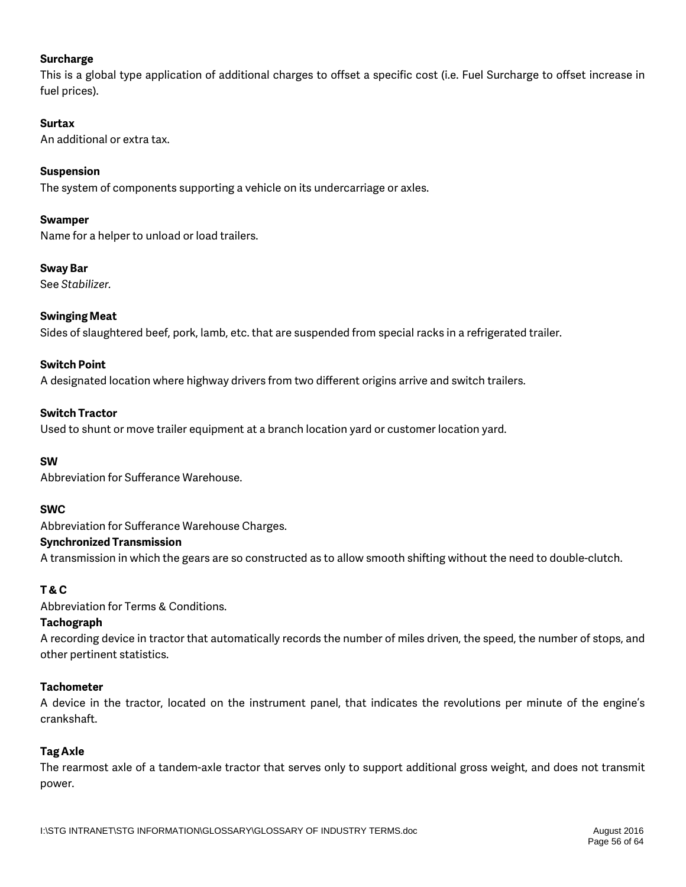### **Surcharge**

This is a global type application of additional charges to offset a specific cost (i.e. Fuel Surcharge to offset increase in fuel prices).

### **Surtax**

An additional or extra tax.

### **Suspension**

The system of components supporting a vehicle on its undercarriage or axles.

### **Swamper**

Name for a helper to unload or load trailers.

### **Sway Bar**

See *Stabilizer.*

### **Swinging Meat**

Sides of slaughtered beef, pork, lamb, etc. that are suspended from special racks in a refrigerated trailer.

### **Switch Point**

A designated location where highway drivers from two different origins arrive and switch trailers.

### **Switch Tractor**

Used to shunt or move trailer equipment at a branch location yard or customer location yard.

### **SW**

Abbreviation for Sufferance Warehouse.

### **SWC**

Abbreviation for Sufferance Warehouse Charges.

### **Synchronized Transmission**

A transmission in which the gears are so constructed as to allow smooth shifting without the need to double-clutch.

### **T & C**

Abbreviation for Terms & Conditions.

### **Tachograph**

A recording device in tractor that automatically records the number of miles driven, the speed, the number of stops, and other pertinent statistics.

### **Tachometer**

A device in the tractor, located on the instrument panel, that indicates the revolutions per minute of the engine's crankshaft.

### **Tag Axle**

The rearmost axle of a tandem-axle tractor that serves only to support additional gross weight, and does not transmit power.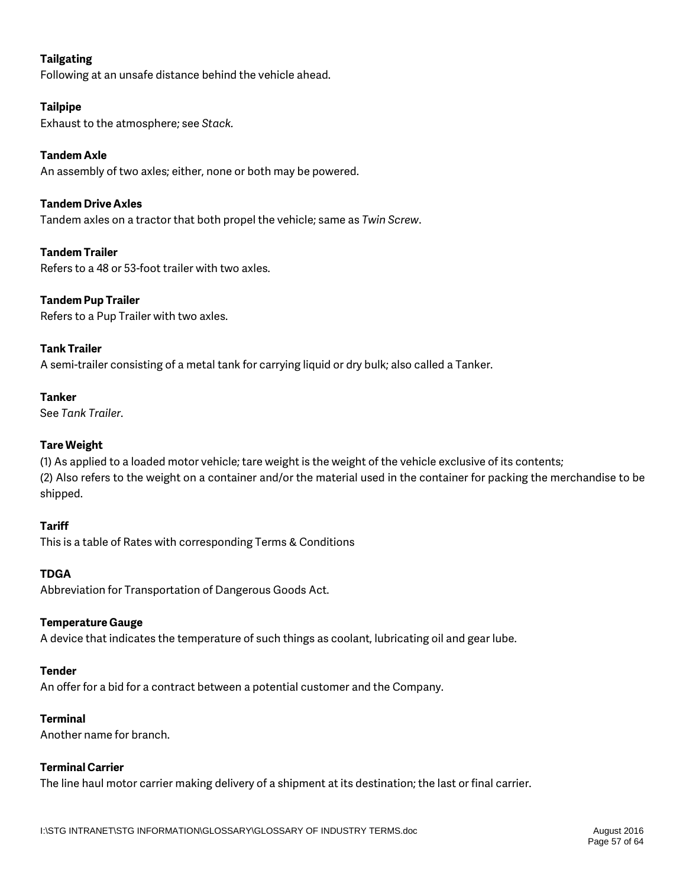### **Tailgating**

Following at an unsafe distance behind the vehicle ahead.

### **Tailpipe**

Exhaust to the atmosphere; see *Stack.*

### **Tandem Axle**

An assembly of two axles; either, none or both may be powered.

## **Tandem Drive Axles**

Tandem axles on a tractor that both propel the vehicle; same as *Twin Screw*.

## **Tandem Trailer**

Refers to a 48 or 53-foot trailer with two axles.

## **Tandem Pup Trailer**

Refers to a Pup Trailer with two axles.

## **Tank Trailer**

A semi-trailer consisting of a metal tank for carrying liquid or dry bulk; also called a Tanker.

### **Tanker**

See *Tank Trailer*.

### **Tare Weight**

(1) As applied to a loaded motor vehicle; tare weight is the weight of the vehicle exclusive of its contents; (2) Also refers to the weight on a container and/or the material used in the container for packing the merchandise to be shipped.

### **Tariff**

This is a table of Rates with corresponding Terms & Conditions

### **TDGA**

Abbreviation for Transportation of Dangerous Goods Act.

### **Temperature Gauge**

A device that indicates the temperature of such things as coolant, lubricating oil and gear lube.

### **Tender**

An offer for a bid for a contract between a potential customer and the Company.

### **Terminal**

Another name for branch.

### **Terminal Carrier**

The line haul motor carrier making delivery of a shipment at its destination; the last or final carrier.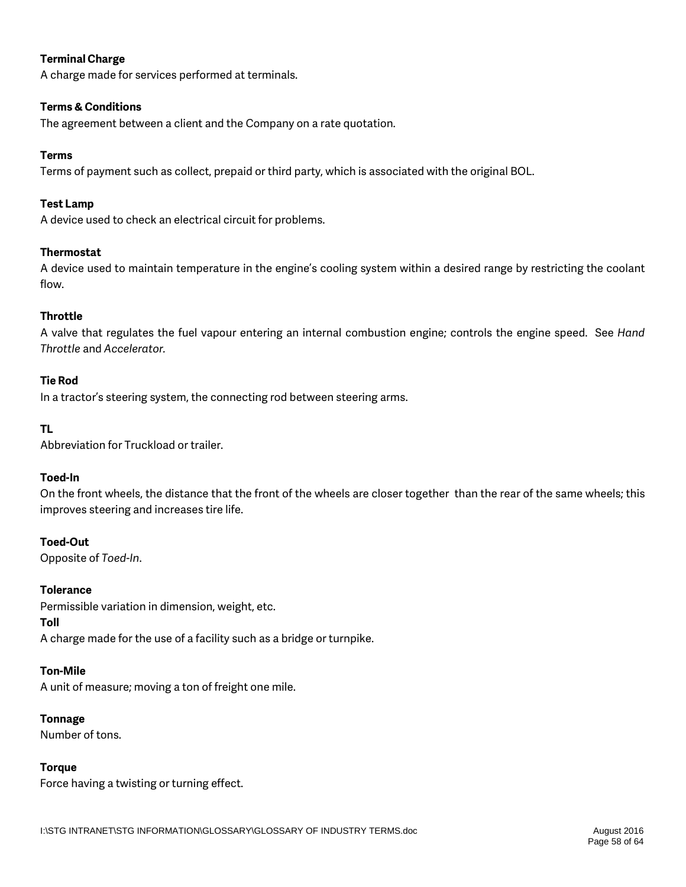### **Terminal Charge**

A charge made for services performed at terminals.

### **Terms & Conditions**

The agreement between a client and the Company on a rate quotation.

### **Terms**

Terms of payment such as collect, prepaid or third party, which is associated with the original BOL.

### **Test Lamp**

A device used to check an electrical circuit for problems.

### **Thermostat**

A device used to maintain temperature in the engine's cooling system within a desired range by restricting the coolant flow.

### **Throttle**

A valve that regulates the fuel vapour entering an internal combustion engine; controls the engine speed. See *Hand Throttle* and *Accelerator.*

### **Tie Rod**

In a tractor's steering system, the connecting rod between steering arms.

### **TL**

Abbreviation for Truckload or trailer.

### **Toed-In**

On the front wheels, the distance that the front of the wheels are closer together than the rear of the same wheels; this improves steering and increases tire life.

### **Toed-Out**

Opposite of *Toed-In*.

### **Tolerance**

Permissible variation in dimension, weight, etc. **Toll** A charge made for the use of a facility such as a bridge or turnpike.

### **Ton-Mile**

A unit of measure; moving a ton of freight one mile.

### **Tonnage**

Number of tons.

### **Torque**

Force having a twisting or turning effect.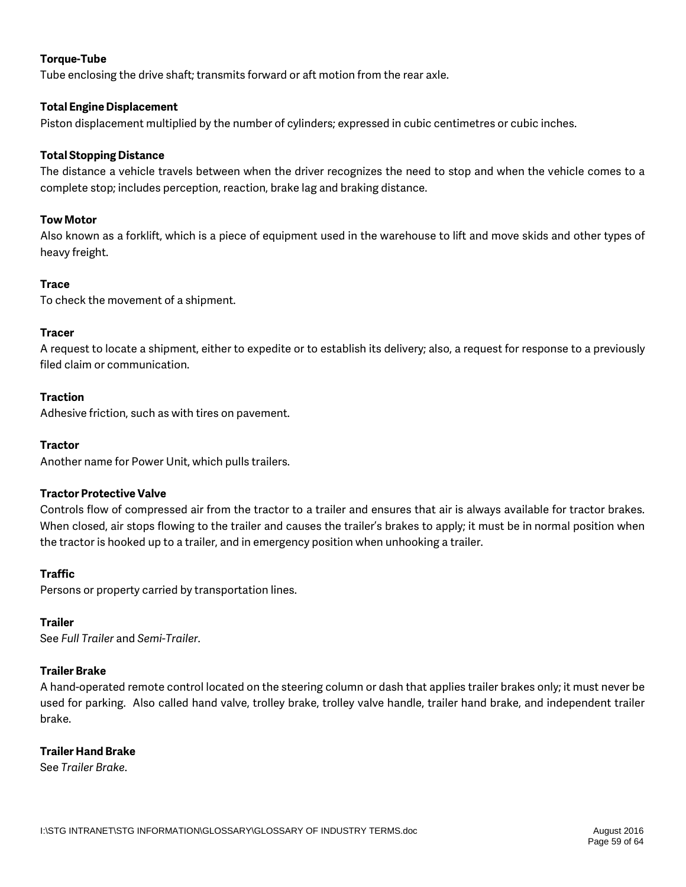### **Torque-Tube**

Tube enclosing the drive shaft; transmits forward or aft motion from the rear axle.

### **Total Engine Displacement**

Piston displacement multiplied by the number of cylinders; expressed in cubic centimetres or cubic inches.

### **Total Stopping Distance**

The distance a vehicle travels between when the driver recognizes the need to stop and when the vehicle comes to a complete stop; includes perception, reaction, brake lag and braking distance.

### **Tow Motor**

Also known as a forklift, which is a piece of equipment used in the warehouse to lift and move skids and other types of heavy freight.

### **Trace**

To check the movement of a shipment.

### **Tracer**

A request to locate a shipment, either to expedite or to establish its delivery; also, a request for response to a previously filed claim or communication.

### **Traction**

Adhesive friction, such as with tires on pavement.

### **Tractor**

Another name for Power Unit, which pulls trailers.

### **Tractor Protective Valve**

Controls flow of compressed air from the tractor to a trailer and ensures that air is always available for tractor brakes. When closed, air stops flowing to the trailer and causes the trailer's brakes to apply; it must be in normal position when the tractor is hooked up to a trailer, and in emergency position when unhooking a trailer.

### **Traffic**

Persons or property carried by transportation lines.

### **Trailer**

See *Full Trailer* and *Semi-Trailer*.

### **Trailer Brake**

A hand-operated remote control located on the steering column or dash that applies trailer brakes only; it must never be used for parking. Also called hand valve, trolley brake, trolley valve handle, trailer hand brake, and independent trailer brake.

### **Trailer Hand Brake**

See *Trailer Brake*.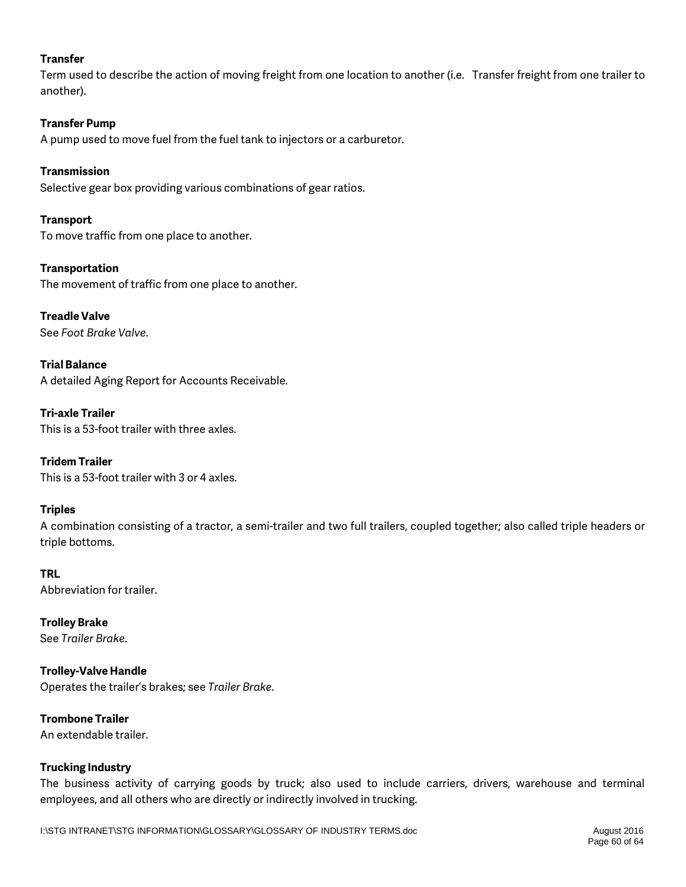### **Transfer**

Term used to describe the action of moving freight from one location to another (i.e. Transfer freight from one trailer to another).

### **Transfer Pump**

A pump used to move fuel from the fuel tank to injectors or a carburetor.

### **Transmission**

Selective gear box providing various combinations of gear ratios.

### **Transport**

To move traffic from one place to another.

### **Transportation**

The movement of traffic from one place to another.

### **Treadle Valve** See *Foot Brake Valve*.

**Trial Balance** A detailed Aging Report for Accounts Receivable.

**Tri-axle Trailer** This is a 53-foot trailer with three axles.

## **Tridem Trailer**

This is a 53-foot trailer with 3 or 4 axles.

### **Triples**

A combination consisting of a tractor, a semi-trailer and two full trailers, coupled together; also called triple headers or triple bottoms.

### **TRL**

Abbreviation for trailer.

**Trolley Brake** See *Trailer Brake*.

**Trolley-Valve Handle** Operates the trailer's brakes; see *Trailer Brake*.

# **Trombone Trailer**

An extendable trailer.

### **Trucking Industry**

The business activity of carrying goods by truck; also used to include carriers, drivers, warehouse and terminal employees, and all others who are directly or indirectly involved in trucking.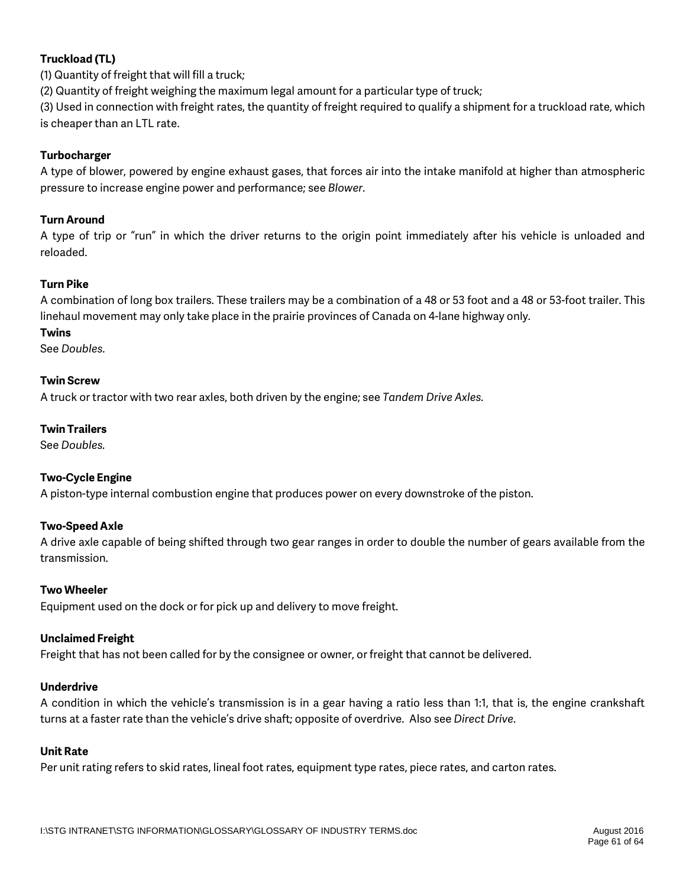### **Truckload (TL)**

(1) Quantity of freight that will fill a truck;

(2) Quantity of freight weighing the maximum legal amount for a particular type of truck;

(3) Used in connection with freight rates, the quantity of freight required to qualify a shipment for a truckload rate, which is cheaper than an LTL rate.

### **Turbocharger**

A type of blower, powered by engine exhaust gases, that forces air into the intake manifold at higher than atmospheric pressure to increase engine power and performance; see *Blower*.

### **Turn Around**

A type of trip or "run" in which the driver returns to the origin point immediately after his vehicle is unloaded and reloaded.

### **Turn Pike**

A combination of long box trailers. These trailers may be a combination of a 48 or 53 foot and a 48 or 53-foot trailer. This linehaul movement may only take place in the prairie provinces of Canada on 4-lane highway only.

#### **Twins**

See *Doubles.*

### **Twin Screw**

A truck or tractor with two rear axles, both driven by the engine; see *Tandem Drive Axles.*

#### **Twin Trailers**

See *Doubles.*

### **Two-Cycle Engine**

A piston-type internal combustion engine that produces power on every downstroke of the piston.

### **Two-Speed Axle**

A drive axle capable of being shifted through two gear ranges in order to double the number of gears available from the transmission.

### **Two Wheeler**

Equipment used on the dock or for pick up and delivery to move freight.

### **Unclaimed Freight**

Freight that has not been called for by the consignee or owner, or freight that cannot be delivered.

#### **Underdrive**

A condition in which the vehicle's transmission is in a gear having a ratio less than 1:1, that is, the engine crankshaft turns at a faster rate than the vehicle's drive shaft; opposite of overdrive. Also see *Direct Drive*.

#### **Unit Rate**

Per unit rating refers to skid rates, lineal foot rates, equipment type rates, piece rates, and carton rates.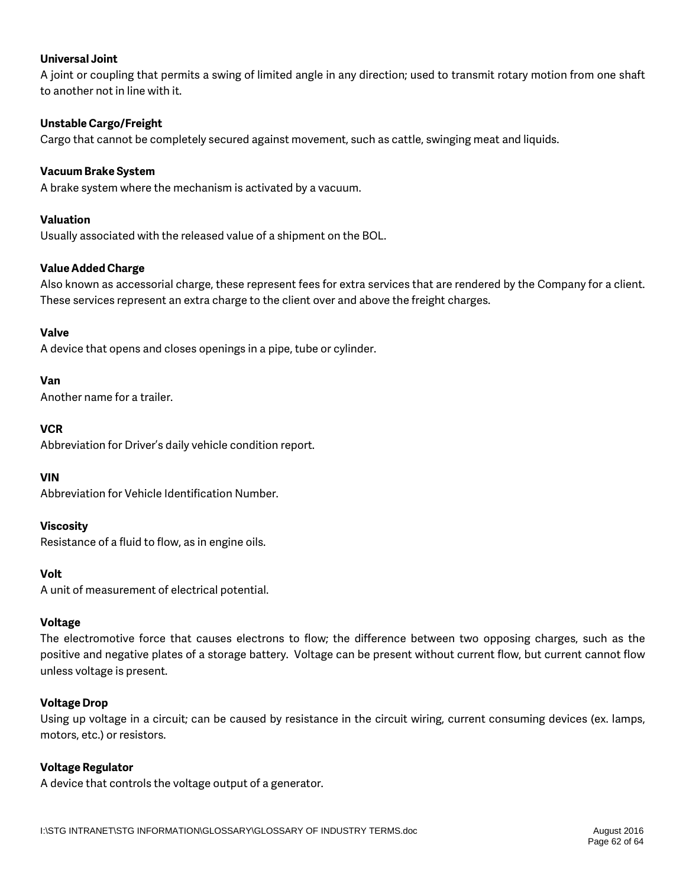### **Universal Joint**

A joint or coupling that permits a swing of limited angle in any direction; used to transmit rotary motion from one shaft to another not in line with it.

### **Unstable Cargo/Freight**

Cargo that cannot be completely secured against movement, such as cattle, swinging meat and liquids.

### **Vacuum Brake System**

A brake system where the mechanism is activated by a vacuum.

### **Valuation**

Usually associated with the released value of a shipment on the BOL.

### **Value Added Charge**

Also known as accessorial charge, these represent fees for extra services that are rendered by the Company for a client. These services represent an extra charge to the client over and above the freight charges.

### **Valve**

A device that opens and closes openings in a pipe, tube or cylinder.

### **Van**

Another name for a trailer.

### **VCR**

Abbreviation for Driver's daily vehicle condition report.

### **VIN**

Abbreviation for Vehicle Identification Number.

### **Viscosity**

Resistance of a fluid to flow, as in engine oils.

### **Volt**

A unit of measurement of electrical potential.

### **Voltage**

The electromotive force that causes electrons to flow; the difference between two opposing charges, such as the positive and negative plates of a storage battery. Voltage can be present without current flow, but current cannot flow unless voltage is present.

### **Voltage Drop**

Using up voltage in a circuit; can be caused by resistance in the circuit wiring, current consuming devices (ex. lamps, motors, etc.) or resistors.

### **Voltage Regulator**

A device that controls the voltage output of a generator.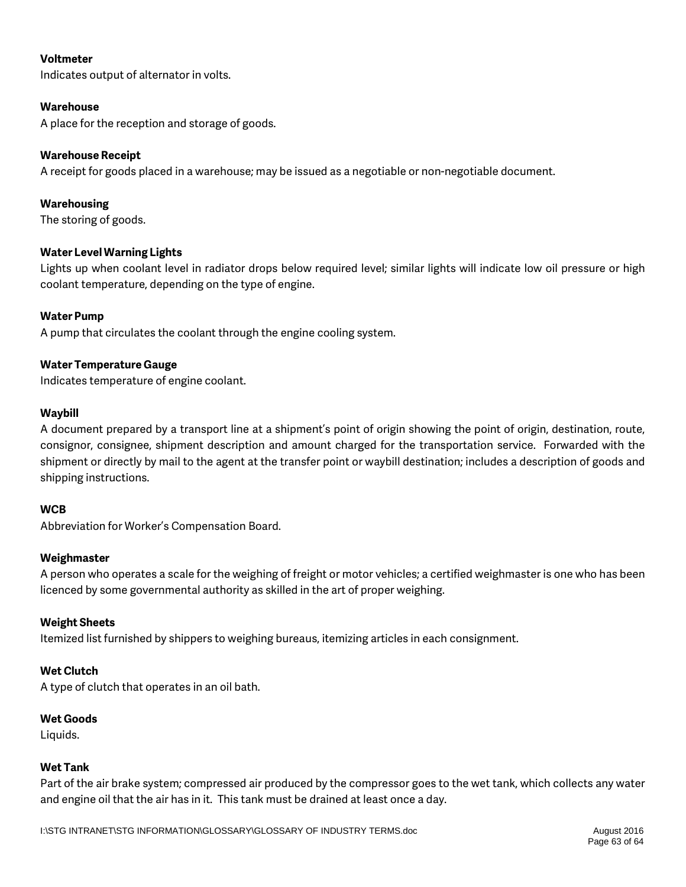### **Voltmeter**

Indicates output of alternator in volts.

### **Warehouse**

A place for the reception and storage of goods.

### **Warehouse Receipt**

A receipt for goods placed in a warehouse; may be issued as a negotiable or non-negotiable document.

### **Warehousing**

The storing of goods.

### **Water Level Warning Lights**

Lights up when coolant level in radiator drops below required level; similar lights will indicate low oil pressure or high coolant temperature, depending on the type of engine.

### **Water Pump**

A pump that circulates the coolant through the engine cooling system.

### **Water Temperature Gauge**

Indicates temperature of engine coolant.

### **Waybill**

A document prepared by a transport line at a shipment's point of origin showing the point of origin, destination, route, consignor, consignee, shipment description and amount charged for the transportation service. Forwarded with the shipment or directly by mail to the agent at the transfer point or waybill destination; includes a description of goods and shipping instructions.

### **WCB**

Abbreviation for Worker's Compensation Board.

### **Weighmaster**

A person who operates a scale for the weighing of freight or motor vehicles; a certified weighmaster is one who has been licenced by some governmental authority as skilled in the art of proper weighing.

### **Weight Sheets**

Itemized list furnished by shippers to weighing bureaus, itemizing articles in each consignment.

### **Wet Clutch**

A type of clutch that operates in an oil bath.

### **Wet Goods**

Liquids.

### **Wet Tank**

Part of the air brake system; compressed air produced by the compressor goes to the wet tank, which collects any water and engine oil that the air has in it. This tank must be drained at least once a day.